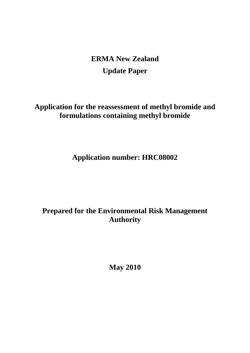**ERMA New Zealand Update Paper**

**Application for the reassessment of methyl bromide and formulations containing methyl bromide**

**Application number: HRC08002**

**Prepared for the Environmental Risk Management Authority**

**May 2010**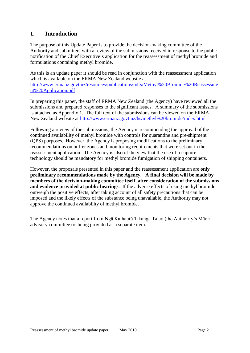# **1. Introduction**

The purpose of this Update Paper is to provide the decision-making committee of the Authority and submitters with a review of the submissions received in response to the public notification of the Chief Executive's application for the reassessment of methyl bromide and formulations containing methyl bromide.

As this is an update paper it should be read in conjunction with the reassessment application which is available on the ERMA New Zealand website at [http://www.ermanz.govt.nz/resources/publications/pdfs/Methyl%20Bromide%20Reassessme](http://www.ermanz.govt.nz/resources/publications/pdfs/Methyl%20Bromide%20Reassessment%20Application.pdf) [nt%20Application.pdf](http://www.ermanz.govt.nz/resources/publications/pdfs/Methyl%20Bromide%20Reassessment%20Application.pdf)

In preparing this paper, the staff of ERMA New Zealand (the Agency) have reviewed all the submissions and prepared responses to the significant issues. A summary of the submissions is attached as Appendix 1. The full text of the submissions can be viewed on the ERMA New Zealand website at <http://www.ermanz.govt.nz/hs/methyl%20bromide/index.html>

Following a review of the submissions, the Agency is recommending the approval of the continued availability of methyl bromide with controls for quarantine and pre-shipment (QPS) purposes. However, the Agency is proposing modifications to the preliminary recommendations on buffer zones and monitoring requirements that were set out in the reassessment application. The Agency is also of the view that the use of recapture technology should be mandatory for methyl bromide fumigation of shipping containers.

However, the proposals presented in this paper and the reassessment application are **only preliminary recommendations made by the Agency. A final decision will be made by members of the decision-making committee itself, after consideration of the submissions and evidence provided at public hearings**. If the adverse effects of using methyl bromide outweigh the positive effects, after taking account of all safety precautions that can be imposed and the likely effects of the substance being unavailable, the Authority may not approve the continued availability of methyl bromide.

The Agency notes that a report from Ngā Kaihautū Tikanga Taiao (the Authority's Māori advisory committee) is being provided as a separate item.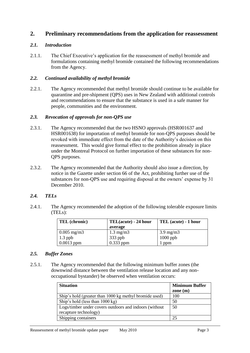# **2. Preliminary recommendations from the application for reassessment**

# *2.1. Introduction*

2.1.1. The Chief Executive's application for the reassessment of methyl bromide and formulations containing methyl bromide contained the following recommendations from the Agency.

### *2.2. Continued availability of methyl bromide*

2.2.1. The Agency recommended that methyl bromide should continue to be available for quarantine and pre-shipment (QPS) uses in New Zealand with additional controls and recommendations to ensure that the substance is used in a safe manner for people, communities and the environment.

### *2.3. Revocation of approvals for non-QPS use*

- 2.3.1. The Agency recommended that the two HSNO approvals (HSR001637 and HSR001638) for importation of methyl bromide for non-QPS purposes should be revoked with immediate effect from the date of the Authority's decision on this reassessment. This would give formal effect to the prohibition already in place under the Montreal Protocol on further importation of these substances for non-QPS purposes.
- 2.3.2. The Agency recommended that the Authority should also issue a direction, by notice in the Gazette under section 66 of the Act, prohibiting further use of the substances for non-QPS use and requiring disposal at the owners' expense by 31 December 2010.

### *2.4. TELs*

2.4.1. The Agency recommended the adoption of the following tolerable exposure limits (TELs):

| <b>TEL</b> (chronic) | TEL(acute) - 24 hour | TEL (acute) - 1 hour |
|----------------------|----------------------|----------------------|
|                      | average              |                      |
| $0.005$ mg/m3        | $1.3 \text{ mg/m}$   | $3.9 \text{ mg/m}$   |
| $1.3$ ppb            | 333 ppb              | $1000$ ppb           |
| $0.0013$ ppm         | $0.333$ ppm          | ppm                  |

### *2.5. Buffer Zones*

2.5.1. The Agency recommended that the following minimum buffer zones (the downwind distance between the ventilation release location and any nonoccupational bystander) be observed when ventilation occurs:

| <b>Situation</b>                                       | <b>Minimum Buffer</b><br>zone $(m)$ |
|--------------------------------------------------------|-------------------------------------|
| Ship's hold (greater than 1000 kg methyl bromide used) | 100                                 |
| Ship's hold (less than 1000 kg)                        | 50                                  |
| Logs/timber under covers outdoors and indoors (without | 50                                  |
| recapture technology)                                  |                                     |
| Shipping containers                                    | 25                                  |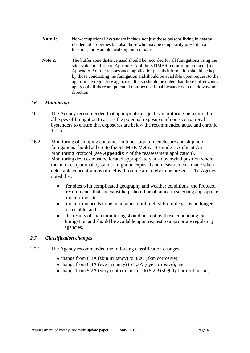- **Note 1**: Non-occupational bystanders include not just those persons living in nearby residential properties but also those who may be temporarily present in a location, for example, walking on footpaths.
- **Note 2**: The buffer zone distance used should be recorded for all fumigations using the site evaluation form in Appendix A of the STIMBR monitoring protocol (see Appendix P of the reassessment application). This information should be kept by those conducting the fumigation and should be available upon request to the appropriate regulatory agencies. It also should be noted that these buffer zones apply only if there are potential non-occupational bystanders in the downwind direction.

### *2.6. Monitoring*

- 2.6.1. The Agency recommended that appropriate air quality monitoring be required for all types of fumigation to assess the potential exposures of non-occupational bystanders to ensure that exposures are below the recommended acute and chronic TELs.
- 2.6.2. Monitoring of shipping container, outdoor tarpaulin enclosure and ship hold fumigations should adhere to the STIMBR Methyl Bromide – Ambient Air Monitoring Protocol (see **Appendix** P of the reassessment application). Monitoring devices must be located appropriately at a downwind position where the non-occupational bystander might be exposed and measurements made when detectable concentrations of methyl bromide are likely to be present. The Agency noted that:
	- for sites with complicated geography and weather conditions, the Protocol  $\bullet$ recommends that specialist help should be obtained in selecting appropriate monitoring sites;
	- monitoring needs to be maintained until methyl bromide gas is no longer  $\bullet$ detectable; and
	- the results of such monitoring should be kept by those conducting the  $\bullet$ fumigation and should be available upon request to appropriate regulatory agencies.

### *2.7. Classification changes*

- 2.7.1. The Agency recommended the following classification changes:
	- change from 6.3A (skin irritancy) to 8.2C (skin corrosive);
	- change from 6.4A (eye irritancy) to 8.3A (eye corrosive); and
	- change from 9.2A (very ecotoxic in soil) to 9.2D (slightly harmful in soil).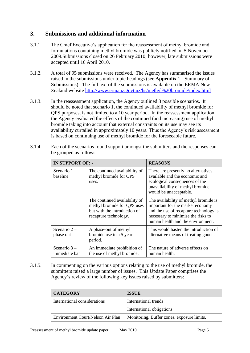# **3. Submissions and additional information**

- 3.1.1. The Chief Executive's application for the reassessment of methyl bromide and formulations containing methyl bromide was publicly notified on 5 November 2009.Submissions closed on 26 February 2010; however, late submissions were accepted until 16 April 2010.
- 3.1.2. A total of 95 submissions were received. The Agency has summarised the issues raised in the submissions under topic headings (see **Appendix** 1 - Summary of Submissions). The full text of the submissions is available on the ERMA New Zealand website<http://www.ermanz.govt.nz/hs/methyl%20bromide/index.html>
- 3.1.3. In the reassessment application, the Agency outlined 3 possible scenarios. It should be noted that scenario 1, the continued availability of methyl bromide for QPS purposes, is not limited to a 10 year period. In the reassessment application, the Agency evaluated the effects of the continued (and increasing) use of methyl bromide taking into account that external constraints on its use may see its availability curtailed in approximately 10 years. Thus the Agency's risk assessment is based on continuing use of methyl bromide for the foreseeable future.

| <b>IN SUPPORT OF: -</b>        |                                                                                                                       | <b>REASONS</b>                                                                                                                                                                                 |
|--------------------------------|-----------------------------------------------------------------------------------------------------------------------|------------------------------------------------------------------------------------------------------------------------------------------------------------------------------------------------|
| Scenario $1 -$<br>baseline     | The continued availability of<br>methyl bromide for QPS<br>uses.                                                      | There are presently no alternatives<br>available and the economic and<br>ecological consequences of the<br>unavailability of methyl bromide<br>would be unacceptable.                          |
|                                | The continued availability of<br>methyl bromide for QPS uses<br>but with the introduction of<br>recapture technology. | The availability of methyl bromide is<br>important for the market economy<br>and the use of recapture technology is<br>necessary to minimise the risks to<br>human health and the environment. |
| Scenario $2-$<br>phase out     | A phase-out of methyl<br>bromide use in a 5 year<br>period.                                                           | This would hasten the introduction of<br>alternative means of treating goods.                                                                                                                  |
| Scenario $3-$<br>immediate ban | An immediate prohibition of<br>the use of methyl bromide.                                                             | The nature of adverse effects on<br>human health.                                                                                                                                              |

3.1.4. Each of the scenarios found support amongst the submitters and the responses can be grouped as follows:

3.1.5. In commenting on the various options relating to the use of methyl bromide, the submitters raised a large number of issues. This Update Paper comprises the Agency's review of the following key issues raised by submitters:

| <b>CATEGORY</b>                   | <b>ISSUE</b>                               |  |
|-----------------------------------|--------------------------------------------|--|
| International considerations      | International trends                       |  |
|                                   | International obligations                  |  |
| Environment Court/Nelson Air Plan | Monitoring, Buffer zones, exposure limits, |  |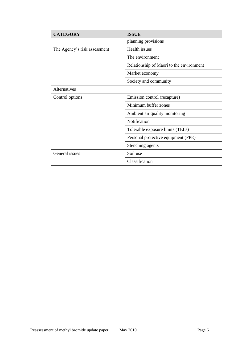| <b>CATEGORY</b>              | <b>ISSUE</b>                              |
|------------------------------|-------------------------------------------|
|                              | planning provisions                       |
| The Agency's risk assessment | Health issues                             |
|                              | The environment                           |
|                              | Relationship of Matori to the environment |
|                              | Market economy                            |
|                              | Society and community                     |
| Alternatives                 |                                           |
| Control options              | Emission control (recapture)              |
|                              | Minimum buffer zones                      |
|                              | Ambient air quality monitoring            |
|                              | Notification                              |
|                              | Tolerable exposure limits (TELs)          |
|                              | Personal protective equipment (PPE)       |
|                              | Stenching agents                          |
| General issues               | Soil use                                  |
|                              | Classification                            |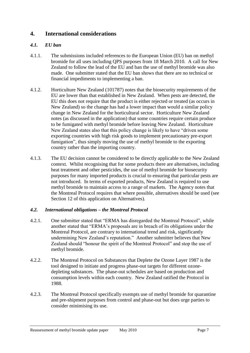# **4. International considerations**

## *4.1. EU ban*

- 4.1.1. The submissions included references to the European Union (EU) ban on methyl bromide for all uses including QPS purposes from 18 March 2010. A call for New Zealand to follow the lead of the EU and ban the use of methyl bromide was also made. One submitter stated that the EU ban shows that there are no technical or financial impediments to implementing a ban.
- 4.1.2. Horticulture New Zealand (101787) notes that the biosecurity requirements of the EU are lower than that established in New Zealand. When pests are detected, the EU this does not require that the product is either rejected or treated (as occurs in New Zealand) so the change has had a lower impact than would a similar policy change in New Zealand for the horticultural sector. Horticulture New Zealand notes (as discussed in the application) that some countries require certain produce to be fumigated with methyl bromide before leaving New Zealand. Horticulture New Zealand states also that this policy change is likely to have "driven some" exporting countries with high risk goods to implement precautionary pre-export fumigation", thus simply moving the use of methyl bromide to the exporting country rather than the importing country.
- 4.1.3. The EU decision cannot be considered to be directly applicable to the New Zealand context. Whilst recognising that for some products there are alternatives, including heat treatment and other pesticides, the use of methyl bromide for biosecurity purposes for many imported products is crucial to ensuring that particular pests are not introduced. In terms of exported products, New Zealand is required to use methyl bromide to maintain access to a range of markets. The Agency notes that the Montreal Protocol requires that where possible, alternatives should be used (see Section [12](#page-22-0) of this application on Alternatives).

### *4.2. International obligations – the Montreal Protocol*

- 4.2.1. One submitter stated that "ERMA has disregarded the Montreal Protocol", while another stated that "ERMA's proposals are in breach of its obligations under the Montreal Protocol, are contrary to international trend and risk, significantly undermining New Zealand's reputation." Another submitter believes that New Zealand should "honour the spirit of the Montreal Protocol" and stop the use of methyl bromide.
- 4.2.2. The Montreal Protocol on Substances that Deplete the Ozone Layer 1987 is the tool designed to initiate and progress phase-out targets for different ozonedepleting substances. The phase-out schedules are based on production and consumption levels within each country. New Zealand ratified the Protocol in 1988.
- 4.2.3. The Montreal Protocol specifically exempts use of methyl bromide for quarantine and pre-shipment purposes from control and phase-out but does urge parties to consider minimising its use.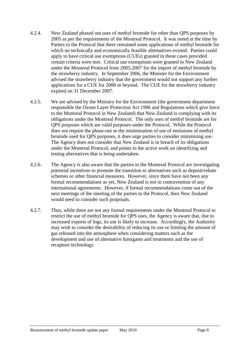- 4.2.4. New Zealand phased out uses of methyl bromide for other than QPS purposes by 2005 as per the requirements of the Montreal Protocol. It was noted at the time by Parties to the Protocol that there remained some applications of methyl bromide for which no technically and economically feasible alternatives existed. Parties could apply to have critical use exemptions (CUEs) granted in these cases provided certain criteria were met. Critical use exemptions were granted to New Zealand under the Montreal Protocol from 2005-2007 for the import of methyl bromide by the strawberry industry. In September 2006, the Minister for the Environment advised the strawberry industry that the government would not support any further applications for a CUE for 2008 or beyond. The CUE for the strawberry industry expired on 31 December 2007.
- 4.2.5. We are advised by the Ministry for the Environment (the government department responsible the Ozone Layer Protection Act 1996 and Regulations which give force to the Montreal Protocol in New Zealand) that New Zealand is complying with its obligations under the Montreal Protocol. The only uses of methyl bromide are for QPS purposes which are valid purposes under the Protocol. While the Protocol does not require the phase-out or the minimisation of use of emissions of methyl bromide used for QPS purposes, it does urge parties to consider minimising use. The Agency does not consider that New Zealand is in breach of its obligations under the Montreal Protocol, and points to the active work on identifying and testing alternatives that is being undertaken.
- 4.2.6. The Agency is also aware that the parties to the Montreal Protocol are investigating potential incentives to promote the transition to alternatives such as deposit/rebate schemes or other financial measures. However, since there have not been any formal recommendations as yet, New Zealand is not in contravention of any international agreements. However, if formal recommendations come out of the next meetings of the meeting of the parties to the Protocol, then New Zealand would need to consider such proposals.
- 4.2.7. Thus, while there are not any formal requirements under the Montreal Protocol to restrict the use of methyl bromide for QPS uses, the Agency is aware that, due to increased exports of logs, its use is likely to increase. Accordingly, the Authority may wish to consider the desirability of reducing its use or limiting the amount of gas released into the atmosphere when considering matters such as the development and use of alternative fumigants and treatments and the use of recapture technology.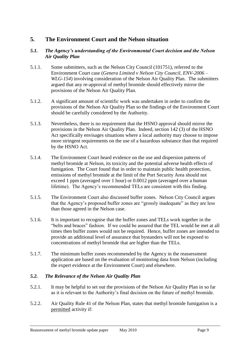# **5. The Environment Court and the Nelson situation**

### *5.1. The Agency's understanding of the Environmental Court decision and the Nelson Air Quality Plan*

- 5.1.1. Some submitters, such as the Nelson City Council (101751), referred to the Environment Court case (*Genera Limited v Nelson City Council, ENV-2006 – WLG-154*) involving consideration of the Nelson Air Quality Plan. The submitters argued that any re-approval of methyl bromide should effectively mirror the provisions of the Nelson Air Quality Plan.
- 5.1.2. A significant amount of scientific work was undertaken in order to confirm the provisions of the Nelson Air Quality Plan so the findings of the Environment Court should be carefully considered by the Authority.
- 5.1.3. Nevertheless, there is no requirement that the HSNO approval should mirror the provisions in the Nelson Air Quality Plan. Indeed, section 142 (3) of the HSNO Act specifically envisages situations where a local authority may choose to impose more stringent requirements on the use of a hazardous substance than that required by the HSNO Act.
- 5.1.4. The Environment Court heard evidence on the use and dispersion patterns of methyl bromide at Nelson, its toxicity and the potential adverse health effects of fumigation. The Court found that in order to maintain public health protection, emissions of methyl bromide at the limit of the Port Security Area should not exceed 1 ppm (averaged over 1 hour) or 0.0012 ppm (averaged over a human lifetime). The Agency's recommended TELs are consistent with this finding.
- 5.1.5. The Environment Court also discussed buffer zones. Nelson City Council argues that the Agency's proposed buffer zones are "grossly inadequate" as they are less than those agreed in the Nelson case.
- 5.1.6. It is important to recognise that the buffer zones and TELs work together in the "belts and braces" fashion. If we could be assured that the TEL would be met at all times then buffer zones would not be required. Hence, buffer zones are intended to provide an additional level of assurance that bystanders will not be exposed to concentrations of methyl bromide that are higher than the TELs.
- 5.1.7. The minimum buffer zones recommended by the Agency in the reassessment application are based on the evaluation of monitoring data from Nelson (including the expert evidence at the Environment Court) and elsewhere.

# *5.2. The Relevance of the Nelson Air Quality Plan*

- 5.2.1. It may be helpful to set out the provisions of the Nelson Air Quality Plan in so far as it is relevant to the Authority's final decision on the future of methyl bromide.
- 5.2.2. Air Quality Rule 41 of the Nelson Plan, states that methyl bromide fumigation is a permitted activity if: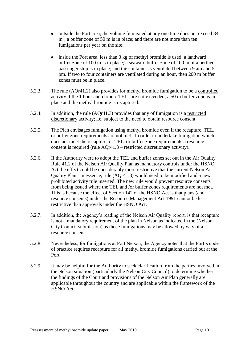- outside the Port area, the volume fumigated at any one time does not exceed 34  $m<sup>3</sup>$ ; a buffer zone of 50 m is in place; and there are not more than ten fumigations per year on the site;
- $\bullet$ inside the Port area, less than 3 kg of methyl bromide is used; a landward buffer zone of 100 m is in place; a seaward buffer zone of 100 m of a berthed passenger ship is in place; and the container is ventilated between 9 am and 5 pm. If two to four containers are ventilated during an hour, then 200 m buffer zones must be in place.
- 5.2.3. The rule (AQr41.2) also provides for methyl bromide fumigation to be a controlled activity if the 1 hour and chronic TELs are not exceeded; a 50 m buffer zone is in place and the methyl bromide is recaptured.
- 5.2.4. In addition, the rule (AQr41.3) provides that any of fumigation is a restricted discretionary activity; i.e. subject to the need to obtain resource consent.
- 5.2.5. The Plan envisages fumigation using methyl bromide even if the recapture, TEL, or buffer zone requirements are not met. In order to undertake fumigation which does not meet the recapture, or TEL, or buffer zone requirements a resource consent is required (rule AQr41.3 – restricted discretionary activity).
- 5.2.6. If the Authority were to adopt the TEL and buffer zones set out in the Air Quality Rule 41.2 of the Nelson Air Quality Plan as mandatory controls under the HSNO Act the effect could be considerably more restrictive that the current Nelson Air Quality Plan. In essence, rule (AQr41.3) would need to be modified and a new prohibited activity rule inserted. The new rule would prevent resource consents from being issued where the TEL and /or buffer zones requirements are not met. This is because the effect of Section 142 of the HSNO Act is that plans (and resource consents) under the Resource Management Act 1991 cannot be less restrictive than approvals under the HSNO Act.
- 5.2.7. In addition, the Agency's reading of the Nelson Air Quality report, is that recapture is not a mandatory requirement of the plan in Nelson as indicated in the (Nelson City Council submission) as those fumigations may be allowed by way of a resource consent.
- 5.2.8. Nevertheless, for fumigations at Port Nelson, the Agency notes that the Port's code of practice requires recapture for all methyl bromide fumigations carried out at the Port.
- 5.2.9. It may be helpful for the Authority to seek clarification from the parties involved in the Nelson situation (particularly the Nelson City Council) to determine whether the findings of the Court and provisions of the Nelson Air Plan generally are applicable throughout the country and are applicable within the framework of the HSNO Act.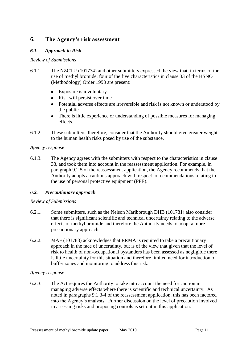# **6. The Agency's risk assessment**

## *6.1. Approach to Risk*

#### *Review of Submissions*

- 6.1.1. The NZCTU (101774) and other submitters expressed the view that, in terms of the use of methyl bromide, four of the five characteristics in clause 33 of the HSNO (Methodology) Order 1998 are present:
	- Exposure is involuntary
	- Risk will persist over time
	- Potential adverse effects are irreversible and risk is not known or understood by the public
	- There is little experience or understanding of possible measures for managing effects.
- 6.1.2. These submitters, therefore, consider that the Authority should give greater weight to the human health risks posed by use of the substance.

#### *Agency response*

6.1.3. The Agency agrees with the submitters with respect to the characteristics in clause 33, and took them into account in the reassessment application. For example, in paragraph 9.2.5 of the reassessment application, the Agency recommends that the Authority adopts a cautious approach with respect to recommendations relating to the use of personal protective equipment (PPE).

### *6.2. Precautionary approach*

### *Review of Submissions*

- 6.2.1. Some submitters, such as the Nelson Marlborough DHB (101781) also consider that there is significant scientific and technical uncertainty relating to the adverse effects of methyl bromide and therefore the Authority needs to adopt a more precautionary approach.
- 6.2.2. MAF (101783) acknowledges that ERMA is required to take a precautionary approach in the face of uncertainty, but is of the view that given that the level of risk to health of non-occupational bystanders has been assessed as negligible there is little uncertainty for this situation and therefore limited need for introduction of buffer zones and monitoring to address this risk.

### *Agency response*

6.2.3. The Act requires the Authority to take into account the need for caution in managing adverse effects where there is scientific and technical uncertainty. As noted in paragraphs 9.1.3-4 of the reassessment application, this has been factored into the Agency's analysis. Further discussion on the level of precaution involved in assessing risks and proposing controls is set out in this application.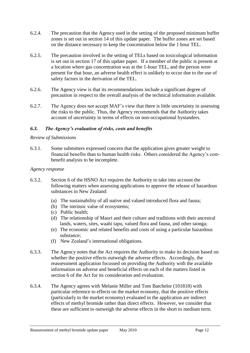- 6.2.4. The precaution that the Agency used in the setting of the proposed minimum buffer zones is set out in section 14 of this update paper. The buffer zones are set based on the distance necessary to keep the concentration below the 1 hour TEL.
- 6.2.5. The precaution involved in the setting of TELs based on toxicological information is set out in section 17 of this update paper. If a member of the public is present at a location where gas concentration was at the 1-hour TEL, and the person were present for that hour, an adverse health effect is unlikely to occur due to the use of safety factors in the derivation of the TEL.
- 6.2.6. The Agency view is that its recommendations include a significant degree of precaution in respect to the overall analysis of the technical information available.
- 6.2.7. The Agency does not accept MAF's view that there is little uncertainty in assessing the risks to the public. Thus, the Agency recommends that the Authority takes account of uncertainty in terms of effects on non-occupational bystanders.

### *6.3. The Agency's evaluation of risks, costs and benefits*

#### *Review of Submissions*

6.3.1. Some submitters expressed concern that the application gives greater weight to financial benefits than to human health risks. Others considered the Agency's costbenefit analysis to be incomplete.

#### *Agency response*

- 6.3.2. Section 6 of the HSNO Act requires the Authority to take into account the following matters when assessing applications to approve the release of hazardous substances in New Zealand:
	- (a) The sustainability of all native and valued introduced flora and fauna;
	- (b) The intrinsic value of ecosystems;
	- (c) Public health;
	- (d) The relationship of Maori and their culture and traditions with their ancestral lands, waters, sites, waahi tapu, valued flora and fauna, and other taonga;
	- (e) The economic and related benefits and costs of using a particular hazardous substance;
	- (f) New Zealand's international obligations.
- 6.3.3. The Agency notes that the Act requires the Authority to make its decision based on whether the positive effects outweigh the adverse effects. Accordingly, the reassessment application focussed on providing the Authority with the available information on adverse and beneficial effects on each of the matters listed in section 6 of the Act for its consideration and evaluation.
- 6.3.4. The Agency agrees with Melanie Miller and Tom Batchelor (101818) with particular reference to effects on the market economy, that the positive effects (particularly to the market economy) evaluated in the application are indirect effects of methyl bromide rather than direct effects. However, we consider that these are sufficient to outweigh the adverse effects in the short to medium term.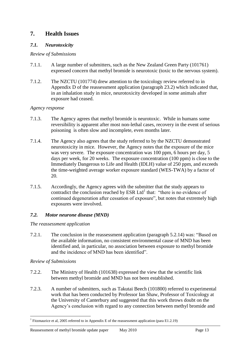# **7. Health Issues**

### *7.1. Neurotoxicity*

### *Review of Submissions*

- 7.1.1. A large number of submitters, such as the New Zealand Green Party (101761) expressed concern that methyl bromide is neurotoxic (toxic to the nervous system).
- 7.1.2. The NZCTU (101774) drew attention to the toxicology review referred to in Appendix D of the reassessment application (paragraph 23.2) which indicated that, in an inhalation study in mice, neurotoxicity developed in some animals after exposure had ceased.

### *Agency response*

- 7.1.3. The Agency agrees that methyl bromide is neurotoxic. While in humans some reversibility is apparent after most non-lethal cases, recovery in the event of serious poisoning is often slow and incomplete, even months later.
- 7.1.4. The Agency also agrees that the study referred to by the NZCTU demonstrated neurotoxicity in mice. However, the Agency notes that the exposure of the mice was very severe. The exposure concentration was 100 ppm, 6 hours per day, 5 days per week, for 20 weeks. The exposure concentration (100 ppm) is close to the Immediately Dangerous to Life and Health (IDLH) value of 250 ppm, and exceeds the time-weighted average worker exposure standard (WES-TWA) by a factor of 20.
- 7.1.5. Accordingly, the Agency agrees with the submitter that the study appears to contradict the conclusion reached by ESR Ltd<sup>1</sup> that: "there is no evidence of continued degeneration after cessation of exposure", but notes that extremely high exposures were involved.

### *7.2. Motor neurone disease (MND)*

### *The reassessment application*

7.2.1. The conclusion in the reassessment application (paragraph 5.2.14) was: "Based on the available information, no consistent environmental cause of MND has been identified and, in particular, no association between exposure to methyl bromide and the incidence of MND has been identified".

### *Review of Submissions*

1

- 7.2.2. The Ministry of Health (101638) expressed the view that the scientific link between methyl bromide and MND has not been established.
- 7.2.3. A number of submitters, such as Takutai Beech (101800) referred to experimental work that has been conducted by Professor Ian Shaw, Professor of Toxicology at the University of Canterbury and suggested that this work throws doubt on the Agency's conclusion with regard to any connection between methyl bromide and

<sup>&</sup>lt;sup>1</sup> Fitzmaurice et al, 2005 referred to in Appendix E of the reassessment application (para E1.2.19)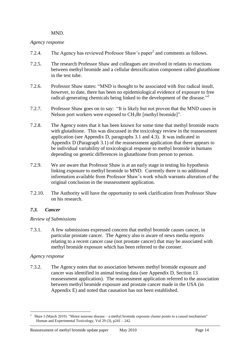#### <span id="page-13-0"></span>MND.

### *Agency response*

- 7.[2](#page-13-0).4. The Agency has reviewed Professor Shaw's paper $^2$  and comments as follows.
- 7.2.5. The research Professor Shaw and colleagues are involved in relates to reactions between methyl bromide and a cellular detoxification component called glutathione in the test tube.
- 7.2.6. Professor Shaw states: "MND is thought to be associated with free radical insult, however, to date, there has been no epidemiological evidence of exposure to free radical-generating chemicals being linked to the development of the disease."<sup>2</sup>
- 7.2.7. Professor Shaw goes on to say: "It is likely but not proven that the MND cases in Nelson port workers were exposed to CH<sub>3</sub>Br [methyl bromide]".
- 7.2.8. The Agency notes that it has been known for some time that methyl bromide reacts with glutathione. This was discussed in the toxicology review in the reassessment application (see Appendix D, paragraphs 3.1 and 4.3). It was indicated in Appendix D (Paragraph 3.1) of the reassessment application that there appears to be individual variability of toxicological response to methyl bromide in humans depending on genetic differences in glutathione from person to person.
- 7.2.9. We are aware that Professor Shaw is at an early stage in testing his hypothesis linking exposure to methyl bromide to MND. Currently there is no additional information available from Professor Shaw's work which warrants alteration of the original conclusion in the reassessment application.
- 7.2.10. The Authority will have the opportunity to seek clarification from Professor Shaw on his research.

# *7.3. Cancer*

### *Review of Submissions*

7.3.1. A few submissions expressed concern that methyl bromide causes cancer, in particular prostate cancer. The Agency also is aware of news media reports relating to a recent cancer case (not prostate cancer) that may be associated with methyl bromide exposure which has been referred to the coroner.

### *Agency response*

7.3.2. The Agency notes that no association between methyl bromide exposure and cancer was identified in animal testing data (see Appendix D, Section 13 reassessment application). The reassessment application referred to the association between methyl bromide exposure and prostate cancer made in the USA (in Appendix E) and noted that causation has not been established.

<sup>&</sup>lt;u>.</u> 2 Shaw I (March 2010) "Motor neurone disease – a methyl bromide exposure cluster points to a causal mechanism" Human and Experimental Toxicology, Vol 29 (3), p241 – 242.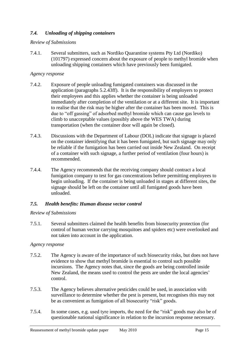# *7.4. Unloading of shipping containers*

### *Review of Submissions*

7.4.1. Several submitters, such as Nordiko Quarantine systems Pty Ltd (Nordiko) (101797) expressed concern about the exposure of people to methyl bromide when unloading shipping containers which have previously been fumigated.

### *Agency response*

- 7.4.2. Exposure of people unloading fumigated containers was discussed in the application (paragraphs 5.2.43ff). It is the responsibility of employers to protect their employees and this applies whether the container is being unloaded immediately after completion of the ventilation or at a different site. It is important to realise that the risk may be higher after the container has been moved. This is due to "off gassing" of adsorbed methyl bromide which can cause gas levels to climb to unacceptable values (possibly above the WES TWA) during transportation (when the container door will again be closed).
- 7.4.3. Discussions with the Department of Labour (DOL) indicate that signage is placed on the container identifying that it has been fumigated, but such signage may only be reliable if the fumigation has been carried out inside New Zealand. On receipt of a container with such signage, a further period of ventilation (four hours) is recommended.
- 7.4.4. The Agency recommends that the receiving company should contract a local fumigation company to test for gas concentrations before permitting employees to begin unloading. If the container is being unloaded in stages at different sites, the signage should be left on the container until all fumigated goods have been unloaded.

# *7.5. Health benefits: Human disease vector control*

### *Review of Submissions*

7.5.1. Several submitters claimed the health benefits from biosecurity protection (for control of human vector carrying mosquitoes and spiders etc) were overlooked and not taken into account in the application.

### *Agency response*

- 7.5.2. The Agency is aware of the importance of such biosecurity risks, but does not have evidence to show that methyl bromide is essential to control such possible incursions. The Agency notes that, since the goods are being controlled inside New Zealand, the means used to control the pests are under the local agencies' control.
- 7.5.3. The Agency believes alternative pesticides could be used, in association with surveillance to determine whether the pest is present, but recognises this may not be as convenient as fumigation of all biosecurity "risk" goods.
- 7.5.4. In some cases, e.g. used tyre imports, the need for the "risk" goods may also be of questionable national significance in relation to the incursion response necessary.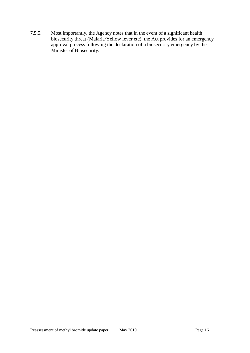7.5.5. Most importantly, the Agency notes that in the event of a significant health biosecurity threat (Malaria/Yellow fever etc), the Act provides for an emergency approval process following the declaration of a biosecurity emergency by the Minister of Biosecurity.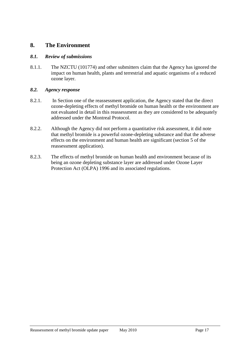# **8. The Environment**

### *8.1. Review of submissions*

8.1.1. The NZCTU (101774) and other submitters claim that the Agency has ignored the impact on human health, plants and terrestrial and aquatic organisms of a reduced ozone layer.

### *8.2. Agency response*

- 8.2.1. In Section one of the reassessment application, the Agency stated that the direct ozone-depleting effects of methyl bromide on human health or the environment are not evaluated in detail in this reassessment as they are considered to be adequately addressed under the Montreal Protocol.
- 8.2.2. Although the Agency did not perform a quantitative risk assessment, it did note that methyl bromide is a powerful ozone-depleting substance and that the adverse effects on the environment and human health are significant (section 5 of the reassessment application).
- 8.2.3. The effects of methyl bromide on human health and environment because of its being an ozone depleting substance layer are addressed under Ozone Layer Protection Act (OLPA) 1996 and its associated regulations.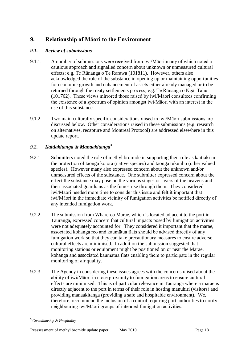# **9. Relationship of Māori to the Environment**

## *9.1. Review of submissions*

- 9.1.1. A number of submissions were received from iwi/Māori many of which noted a cautious approach and signalled concern about unknown or unmeasured cultural effects; e.g. Te Rūnanga o Te Rarawa (101811). However, others also acknowledged the role of the substance in opening up or maintaining opportunities for economic growth and enhancement of assets either already managed or to be returned through the treaty settlements process; e.g. Te Rūnanga o Ngāi Tahu (101762). These views mirrored those raised by iwi/Māori consultees confirming the existence of a spectrum of opinion amongst iwi/Māori with an interest in the use of this substance.
- 9.1.2. Two main culturally specific considerations raised in iwi/Māori submissions are discussed below. Other considerations raised in these submissions (e.g. research on alternatives, recapture and Montreal Protocol) are addressed elsewhere in this update report.

# *9.2. Kaitiakitanga & Manaakitanga<sup>3</sup>*

- 9.2.1. Submitters noted the role of methyl bromide in supporting their role as kaitiaki in the protection of taonga koiora (native species) and taonga tuku iho (other valued species). However many also expressed concern about the unknown and/or unmeasured effects of the substance. One submitter expressed concern about the effect the substance may pose on the various stages or layers of the heavens and their associated guardians as the fumes rise through them. They considered iwi/Māori needed more time to consider this issue and felt it important that iwi/Māori in the immediate vicinity of fumigation activities be notified directly of any intended fumigation work.
- 9.2.2. The submission from Whareroa Marae, which is located adjacent to the port in Tauranga, expressed concern that cultural impacts posed by fumigation activities were not adequately accounted for. They considered it important that the marae, associated kohanga reo and kaumātua flats should be advised directly of any fumigation work so that they can take precautionary measures to ensure adverse cultural effects are minimised. In addition the submission suggested that monitoring stations or equipment might be positioned on or near the Marae, kohanga and associated kaumātua flats enabling them to participate in the regular monitoring of air quality.
- 9.2.3. The Agency in considering these issues agrees with the concerns raised about the ability of iwi/Māori in close proximity to fumigation areas to ensure cultural effects are minimised. This is of particular relevance in Tauranga where a marae is directly adjacent to the port in terms of their role in hosting manuhiri (visitors) and providing manaakitanga (providing a safe and hospitable environment). We, therefore, recommend the inclusion of a control requiring port authorities to notify neighbouring iwi/Māori groups of intended fumigation activities.

<sup>1</sup> **<sup>3</sup>** *Custodianship & Hospitality*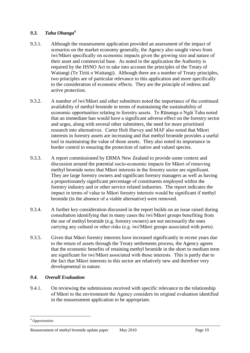## *9.3. Taha Ohanga<sup>4</sup>*

- 9.3.1. Although the reassessment application provided an assessment of the impact of scenarios on the market economy generally, the Agency also sought views from iwi/Māori specifically on economic impacts given the growing size and nature of their asset and commercial base. As noted in the application the Authority is required by the HSNO Act to take into account the principles of the Treaty of Waitangi (Te Tiriti o Waitangi). Although there are a number of Treaty principles, two principles are of particular relevance to this application and more specifically to the consideration of economic effects. They are the principle of redress and active protection.
- 9.3.2. A number of iwi/Māori and other submitters noted the importance of the continued availability of methyl bromide in terms of maintaining the sustainability of economic opportunities relating to forestry assets. Te Rūnanga o Ngāi Tahu noted that an immediate ban would have a significant adverse effect on the forestry sector and urges, along with several other submitters, the need for more prioritised research into alternatives. Carter Holt Harvey and MAF also noted that Māori interests in forestry assets are increasing and that methyl bromide provides a useful tool in maintaining the value of those assets. They also noted its importance in border control to ensuring the protection of native and valued species.
- 9.3.3. A report commissioned by ERMA New Zealand to provide some context and discussion around the potential socio-economic impacts for Māori of removing methyl bromide notes that Māori interests in the forestry sector are significant. They are large forestry owners and significant forestry managers as well as having a proportionately significant percentage of constituents employed within the forestry industry and or other service related industries. The report indicates the impact in terms of value to Māori forestry interests would be significant if methyl bromide (in the absence of a viable alternative) were removed.
- 9.3.4. A further key consideration discussed in the report builds on an issue raised during consultation identifying that in many cases the iwi/Māori groups benefiting from the use of methyl bromide (e.g. forestry owners) are not necessarily the ones carrying any cultural or other risks (e.g. iwi/Māori groups associated with ports).
- 9.3.5. Given that Māori forestry interests have increased significantly in recent years due to the return of assets through the Treaty settlements process, the Agency agrees that the economic benefits of retaining methyl bromide in the short to medium term are significant for iwi/Māori associated with those interests. This is partly due to the fact that Māori interests in this sector are relatively new and therefore very developmental in nature.

# *9.4. Overall Evaluation*

9.4.1. On reviewing the submissions received with specific relevance to the relationship of Māori to the environment the Agency considers its original evaluation identified in the reassessment application to be appropriate.

<sup>1</sup> <sup>4</sup> *Opportunities*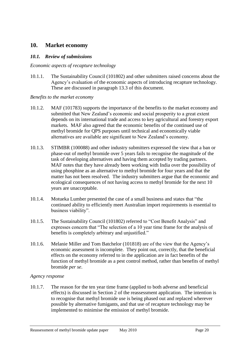# **10. Market economy**

### *10.1. Review of submissions*

#### *Economic aspects of recapture technology*

10.1.1. The Sustainability Council (101802) and other submitters raised concerns about the Agency's evaluation of the economic aspects of introducing recapture technology. These are discussed in paragraph [13.3](#page-28-0) of this document.

#### *Benefits to the market economy*

- 10.1.2. MAF (101783) supports the importance of the benefits to the market economy and submitted that New Zealand's economic and social prosperity to a great extent depends on its international trade and access to key agricultural and forestry export markets. MAF also agreed that the economic benefits of the continued use of methyl bromide for QPS purposes until technical and economically viable alternatives are available are significant to New Zealand's economy.
- 10.1.3. STIMBR (100088) and other industry submitters expressed the view that a ban or phase-out of methyl bromide over 5 years fails to recognise the magnitude of the task of developing alternatives and having them accepted by trading partners. MAF notes that they have already been working with India over the possibility of using phosphine as an alternative to methyl bromide for four years and that the matter has not been resolved. The industry submitters argue that the economic and ecological consequences of not having access to methyl bromide for the next 10 years are unacceptable.
- 10.1.4. Motueka Lumber presented the case of a small business and states that "the continued ability to efficiently meet Australian import requirements is essential to business viability".
- 10.1.5. The Sustainability Council (101802) referred to "Cost Benefit Analysis" and expresses concern that "The selection of a 10 year time frame for the analysis of benefits is completely arbitrary and unjustified."
- 10.1.6. Melanie Miller and Tom Batchelor (101818) are of the view that the Agency's economic assessment is incomplete. They point out, correctly, that the beneficial effects on the economy referred to in the application are in fact benefits of the function of methyl bromide as a pest control method, rather than benefits of methyl bromide *per se*.

### *Agency response*

10.1.7. The reason for the ten year time frame (applied to both adverse and beneficial effects) is discussed in Section 2 of the reassessment application. The intention is to recognise that methyl bromide use is being phased out and replaced wherever possible by alternative fumigants, and that use of recapture technology may be implemented to minimise the emission of methyl bromide.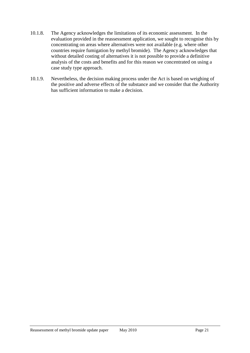- 10.1.8. The Agency acknowledges the limitations of its economic assessment. In the evaluation provided in the reassessment application, we sought to recognise this by concentrating on areas where alternatives were not available (e.g. where other countries require fumigation by methyl bromide). The Agency acknowledges that without detailed costing of alternatives it is not possible to provide a definitive analysis of the costs and benefits and for this reason we concentrated on using a case study type approach.
- 10.1.9. Nevertheless, the decision making process under the Act is based on weighing of the positive and adverse effects of the substance and we consider that the Authority has sufficient information to make a decision.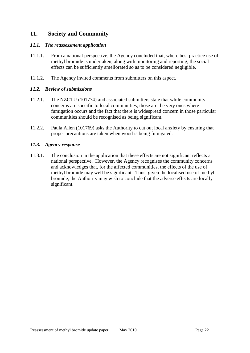# **11. Society and Community**

### *11.1. The reassessment application*

- 11.1.1. From a national perspective, the Agency concluded that, where best practice use of methyl bromide is undertaken, along with monitoring and reporting, the social effects can be sufficiently ameliorated so as to be considered negligible.
- 11.1.2. The Agency invited comments from submitters on this aspect.

### *11.2. Review of submissions*

- 11.2.1. The NZCTU (101774) and associated submitters state that while community concerns are specific to local communities, those are the very ones where fumigation occurs and the fact that there is widespread concern in those particular communities should be recognised as being significant.
- 11.2.2. Paula Allen (101769) asks the Authority to cut out local anxiety by ensuring that proper precautions are taken when wood is being fumigated.

### *11.3. Agency response*

11.3.1. The conclusion in the application that these effects are not significant reflects a national perspective. However, the Agency recognises the community concerns and acknowledges that, for the affected communities, the effects of the use of methyl bromide may well be significant. Thus, given the localised use of methyl bromide, the Authority may wish to conclude that the adverse effects are locally significant.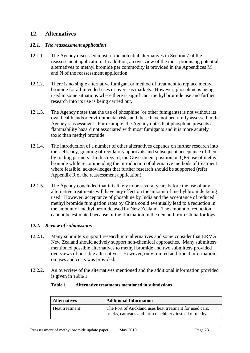# <span id="page-22-0"></span>**12. Alternatives**

### *12.1. The reassessment application*

- 12.1.1. The Agency discussed most of the potential alternatives in Section 7 of the reassessment application. In addition, an overview of the most promising potential alternatives to methyl bromide per commodity is provided in the Appendices M and N of the reassessment application.
- 12.1.2. There is no single alternative fumigant or method of treatment to replace methyl bromide for all intended uses or overseas markets. However, phosphine is being used in some situations where there is significant methyl bromide use and further research into its use is being carried out.
- 12.1.3. The Agency notes that the use of phosphine (or other fumigants) is not without its own health and/or environmental risks and these have not been fully assessed in the Agency's assessment. For example, the Agency notes that phosphine presents a flammability hazard not associated with most fumigants and it is more acutely toxic than methyl bromide.
- 12.1.4. The introduction of a number of other alternatives depends on further research into their efficacy, granting of regulatory approvals and subsequent acceptance of them by trading partners. In this regard, the Government position on QPS use of methyl bromide while recommending the introduction of alternative methods of treatment where feasible, acknowledges that further research should be supported (refer Appendix R of the reassessment application).
- 12.1.5. The Agency concluded that it is likely to be several years before the use of any alternative treatments will have any effect on the amount of methyl bromide being used. However, acceptance of phosphine by India and the acceptance of reduced methyl bromide fumigation rates by China could eventually lead to a reduction in the amount of methyl bromide used by New Zealand. The amount of reduction cannot be estimated because of the fluctuation in the demand from China for logs.

### *12.2. Review of submissions*

- 12.2.1. Many submitters support research into alternatives and some consider that ERMA New Zealand should actively support non-chemical approaches. Many submitters mentioned possible alternatives to methyl bromide and two submitters provided overviews of possible alternatives. However, only limited additional information on uses and costs was provided.
- <span id="page-22-1"></span>12.2.2. An overview of the alternatives mentioned and the additional information provided is given in [Table 1](#page-22-1).

#### **Table 1 Alternative treatments mentioned in submissions**

| <b>Alternatives</b> | <b>Additional Information</b>                                                                                    |  |
|---------------------|------------------------------------------------------------------------------------------------------------------|--|
| Heat treatment      | The Port of Auckland uses heat treatment for used cars,<br>trucks, caravans and farm machinery instead of methyl |  |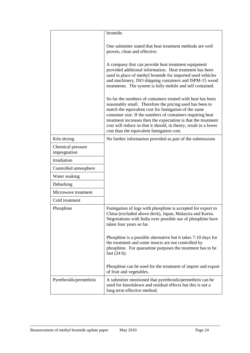|                                   | bromide.                                                                                                                                                                                                                                                                                                                                                                                                                          |
|-----------------------------------|-----------------------------------------------------------------------------------------------------------------------------------------------------------------------------------------------------------------------------------------------------------------------------------------------------------------------------------------------------------------------------------------------------------------------------------|
|                                   | One submitter stated that heat treatment methods are well<br>proven, clean and effective.                                                                                                                                                                                                                                                                                                                                         |
|                                   | A company that can provide heat treatment equipment<br>provided additional information. Heat treatment has been<br>used in place of methyl bromide for imported used vehicles<br>and machinery, ISO shipping containers and ISPM-15 wood<br>treatments. The system is fully mobile and self contained.                                                                                                                            |
|                                   | So far the numbers of containers treated with heat has been<br>reasonably small. Therefore the pricing used has been to<br>match the equivalent cost for fumigation of the same<br>container size. If the numbers of containers requiring heat<br>treatment increases then the expectation is that the treatment<br>cost will reduce so that it should, in theory, result in a lower<br>cost than the equivalent fumigation cost. |
| Kiln drying                       | No further information provided as part of the submissions                                                                                                                                                                                                                                                                                                                                                                        |
| Chemical pressure<br>impregnation |                                                                                                                                                                                                                                                                                                                                                                                                                                   |
| Irradiation                       |                                                                                                                                                                                                                                                                                                                                                                                                                                   |
| Controlled atmosphere             |                                                                                                                                                                                                                                                                                                                                                                                                                                   |
| Water soaking                     |                                                                                                                                                                                                                                                                                                                                                                                                                                   |
| Debarking                         |                                                                                                                                                                                                                                                                                                                                                                                                                                   |
| Microwave treatment               |                                                                                                                                                                                                                                                                                                                                                                                                                                   |
| Cold treatment                    |                                                                                                                                                                                                                                                                                                                                                                                                                                   |
| Phosphine                         | Fumigation of logs with phosphine is accepted for export to<br>China (excluded above deck), Japan, Malaysia and Korea.<br>Negotiations with India over possible use of phosphine have<br>taken four years so far.                                                                                                                                                                                                                 |
|                                   | Phosphine is a possible alternative but it takes 7-10 days for<br>the treatment and some insects are not controlled by<br>phosphine. For quarantine purposes the treatment has to be<br>fast $(24 h)$ .                                                                                                                                                                                                                           |
|                                   | Phosphine can be used for the treatment of import and export<br>of fruit and vegetables.                                                                                                                                                                                                                                                                                                                                          |
| Pyrethroids/permethrin            | A submitter mentioned that pyrethroids/permethrin can be<br>used for knockdown and residual effects but this is not a<br>long term effective method.                                                                                                                                                                                                                                                                              |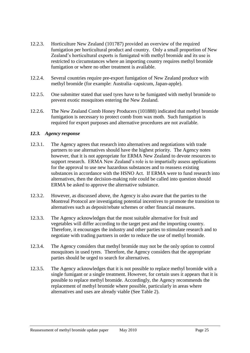- 12.2.3. Horticulture New Zealand (101787) provided an overview of the required fumigation per horticultural product and country. Only a small proportion of New Zealand's horticultural exports is fumigated with methyl bromide and its use is restricted to circumstances where an importing country requires methyl bromide fumigation or where no other treatment is available.
- 12.2.4. Several countries require pre-export fumigation of New Zealand produce with methyl bromide (for example: Australia–capsicum, Japan-apple).
- 12.2.5. One submitter stated that used tyres have to be fumigated with methyl bromide to prevent exotic mosquitoes entering the New Zealand.
- 12.2.6. The New Zealand Comb Honey Producers (101888) indicated that methyl bromide fumigation is necessary to protect comb from wax moth. Such fumigation is required for export purposes and alternative procedures are not available.

#### *12.3. Agency response*

- 12.3.1. The Agency agrees that research into alternatives and negotiations with trade partners to use alternatives should have the highest priority. The Agency notes however, that it is not appropriate for ERMA New Zealand to devote resources to support research. ERMA New Zealand's role is to impartially assess applications for the approval to use new hazardous substances and to reassess existing substances in accordance with the HSNO Act. If ERMA were to fund research into alternatives, then the decision-making role could be called into question should ERMA be asked to approve the alternative substance.
- 12.3.2. However, as discussed above, the Agency is also aware that the parties to the Montreal Protocol are investigating potential incentives to promote the transition to alternatives such as deposit/rebate schemes or other financial measures.
- 12.3.3. The Agency acknowledges that the most suitable alternative for fruit and vegetables will differ according to the target pest and the importing country. Therefore, it encourages the industry and other parties to stimulate research and to negotiate with trading partners in order to reduce the use of methyl bromide.
- 12.3.4. The Agency considers that methyl bromide may not be the only option to control mosquitoes in used tyres. Therefore, the Agency considers that the appropriate parties should be urged to search for alternatives.
- 12.3.5. The Agency acknowledges that it is not possible to replace methyl bromide with a single fumigant or a single treatment. However, for certain uses it appears that it is possible to replace methyl bromide. Accordingly, the Agency recommends the replacement of methyl bromide where possible, particularly in areas where alternatives and uses are already viable (See Table 2).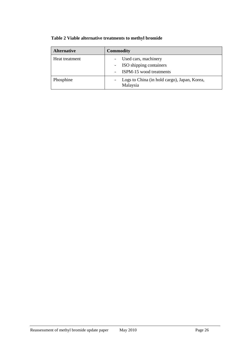| <b>Alternative</b> | <b>Commodity</b>                                                           |
|--------------------|----------------------------------------------------------------------------|
| Heat treatment     | Used cars, machinery<br>ISO shipping containers<br>ISPM-15 wood treatments |
| Phosphine          | Logs to China (in hold cargo), Japan, Korea,<br>Malaysia                   |

# **Table 2 Viable alternative treatments to methyl bromide**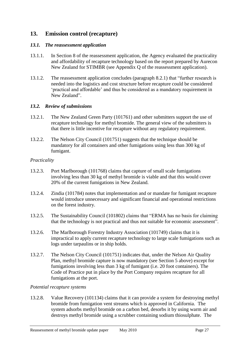# **13. Emission control (recapture)**

### *13.1. The reassessment application*

- 13.1.1. In Section 8 of the reassessment application, the Agency evaluated the practicality and affordability of recapture technology based on the report prepared by Aurecon New Zealand for STIMBR (see Appendix Q of the reassessment application).
- 13.1.2. The reassessment application concludes (paragraph 8.2.1) that "further research is needed into the logistics and cost structure before recapture could be considered ‗practical and affordable' and thus be considered as a mandatory requirement in New Zealand".

### *13.2. Review of submissions*

- 13.2.1. The New Zealand Green Party (101761) and other submitters support the use of recapture technology for methyl bromide. The general view of the submitters is that there is little incentive for recapture without any regulatory requirement.
- 13.2.2. The Nelson City Council (101751) suggests that the technique should be mandatory for all containers and other fumigations using less than 300 kg of fumigant.

#### *Practicality*

- 13.2.3. Port Marlborough (101768) claims that capture of small scale fumigations involving less than 30 kg of methyl bromide is viable and that this would cover 20% of the current fumigations in New Zealand.
- 13.2.4. Zindia (101784) notes that implementation and or mandate for fumigant recapture would introduce unnecessary and significant financial and operational restrictions on the forest industry.
- 13.2.5. The Sustainability Council (101802) claims that "ERMA has no basis for claiming that the technology is not practical and thus not suitable for economic assessment".
- 13.2.6. The Marlborough Forestry Industry Association (101749) claims that it is impractical to apply current recapture technology to large scale fumigations such as logs under tarpaulins or in ship holds.
- 13.2.7. The Nelson City Council (101751) indicates that, under the Nelson Air Quality Plan, methyl bromide capture is now mandatory (see Section 5 above) except for fumigations involving less than 3 kg of fumigant (i.e. 20 foot containers). The Code of Practice put in place by the Port Company requires recapture for all fumigations at the port.

#### *Potential recapture systems*

13.2.8. Value Recovery (101134) claims that it can provide a system for destroying methyl bromide from fumigation vent streams which is approved in California. The system adsorbs methyl bromide on a carbon bed, desorbs it by using warm air and destroys methyl bromide using a scrubber containing sodium thiosulphate. The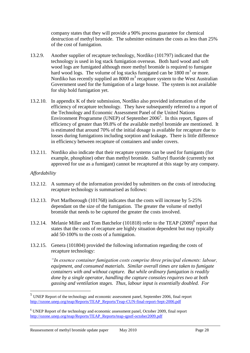company states that they will provide a 90% process guarantee for chemical destruction of methyl bromide. The submitter estimates the costs as less than 25% of the cost of fumigation.

- 13.2.9. Another supplier of recapture technology, Nordiko (101797) indicated that the technology is used in log stack fumigation overseas. Both hard wood and soft wood logs are fumigated although more methyl bromide is required to fumigate hard wood logs. The volume of log stacks fumigated can be  $1800 \text{ m}^3$  or more. Nordiko has recently supplied an  $8000 \text{ m}^3$  recapture system to the West Australian Government used for the fumigation of a large house. The system is not available for ship hold fumigation yet.
- 13.2.10. In appendix K of their submission, Nordiko also provided information of the efficiency of recapture technology. They have subsequently referred to a report of the Technology and Economic Assessment Panel of the United Nations Environment Programme (UNEP) of September  $2006<sup>5</sup>$ . In this report, figures of efficiency of greater than 99.8% of the available methyl bromide are mentioned. It is estimated that around 70% of the initial dosage is available for recapture due to losses during fumigations including sorption and leakage**.** There is little difference in efficiency between recapture of containers and under covers.
- 13.2.11. Nordiko also indicate that their recapture systems can be used for fumigants (for example, phosphine) other than methyl bromide. Sulfuryl fluoride (currently not approved for use as a fumigant) cannot be recaptured at this stage by any company.

#### *Affordability*

<u>.</u>

- 13.2.12. A summary of the information provided by submitters on the costs of introducing recapture technology is summarised as follows:
- 13.2.13. Port Marlborough (101768) indicates that the costs will increase by 5-25% dependant on the size of the fumigation. The greater the volume of methyl bromide that needs to be captured the greater the costs involved.
- 13.2.14. Melanie Miller and Tom Batchelor (101818) refer to the TEAP (2009)<sup>6</sup> report that states that the costs of recapture are highly situation dependent but may typically add 50-100% to the costs of a fumigation.
- 13.2.15. Genera (101804) provided the following information regarding the costs of recapture technology:

*"In essence container fumigation costs comprise three principal elements: labour, equipment, and consumed materials. Similar overall times are taken to fumigate containers with and without capture. But while ordinary fumigation is readily done by a single operator, handling the capture consoles requires two at both gassing and ventilation stages. Thus, labour input is essentially doubled. For* 

 $<sup>5</sup>$  UNEP Report of the technology and economic assessment panel, September 2006, final report</sup> [http://ozone.unep.org/teap/Reports/TEAP\\_Reports/Teap-CUN-final-report-Sept-2006.pdf](http://ozone.unep.org/teap/Reports/TEAP_Reports/Teap-CUN-final-report-Sept-2006.pdf)

<sup>6</sup> UNEP Report of the technology and economic assessment panel, October 2009, final report [http://ozone.unep.org/teap/Reports/TEAP\\_Reports/teap-qpstf-october2009.pdf](http://ozone.unep.org/teap/Reports/TEAP_Reports/teap-qpstf-october2009.pdf)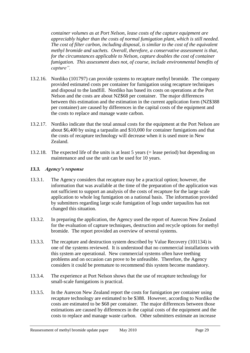*container volumes as at Port Nelson, lease costs of the capture equipment are appreciably higher than the costs of normal fumigation plant, which is still needed. The cost of filter carbon, including disposal, is similar to the cost of the equivalent methyl bromide and sachets. Overall, therefore, a conservative assessment is that, for the circumstances applicable to Nelson, capture doubles the cost of container fumigation. This assessment does not, of course, include environmental benefits of capture".* 

- 13.2.16. Nordiko (101797) can provide systems to recapture methyl bromide. The company provided estimated costs per container for fumigation using recapture techniques and disposal to the landfill. Nordiko has based its costs on operations at the Port Nelson and the costs are about NZ\$68 per container. The major differences between this estimation and the estimation in the current application form (NZ\$388 per container) are caused by differences in the capital costs of the equipment and the costs to replace and manage waste carbon.
- 13.2.17. Nordiko indicate that the total annual costs for the equipment at the Port Nelson are about \$6,400 by using a tarpaulin and \$10,000 for container fumigations and that the costs of recapture technology will decrease when it is used more in New Zealand.
- 13.2.18. The expected life of the units is at least 5 years (= lease period) but depending on maintenance and use the unit can be used for 10 years.

# <span id="page-28-0"></span>*13.3. Agency's response*

- 13.3.1. The Agency considers that recapture may be a practical option; however, the information that was available at the time of the preparation of the application was not sufficient to support an analysis of the costs of recapture for the large scale application to whole log fumigation on a national basis. The information provided by submitters regarding large scale fumigation of logs under tarpaulins has not changed this situation.
- 13.3.2. In preparing the application, the Agency used the report of Aurecon New Zealand for the evaluation of capture techniques, destruction and recycle options for methyl bromide. The report provided an overview of several systems.
- 13.3.3. The recapture and destruction system described by Value Recovery (101134) is one of the systems reviewed. It is understood that no commercial installations with this system are operational. New commercial systems often have teething problems and on occasion can prove to be unfeasible. Therefore, the Agency considers it could be premature to recommend this system become mandatory.
- 13.3.4. The experience at Port Nelson shows that the use of recapture technology for small-scale fumigations is practical.
- 13.3.5. In the Aurecon New Zealand report the costs for fumigation per container using recapture technology are estimated to be \$388. However, according to Nordiko the costs are estimated to be \$68 per container. The major differences between those estimations are caused by differences in the capital costs of the equipment and the costs to replace and manage waste carbon. Other submitters estimate an increase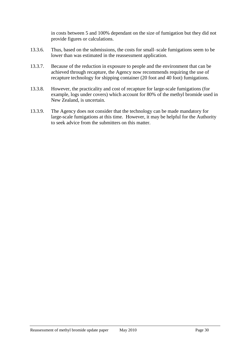in costs between 5 and 100% dependant on the size of fumigation but they did not provide figures or calculations.

- 13.3.6. Thus, based on the submissions, the costs for small–scale fumigations seem to be lower than was estimated in the reassessment application.
- 13.3.7. Because of the reduction in exposure to people and the environment that can be achieved through recapture, the Agency now recommends requiring the use of recapture technology for shipping container (20 foot and 40 foot) fumigations.
- 13.3.8. However, the practicality and cost of recapture for large-scale fumigations (for example, logs under covers) which account for 80% of the methyl bromide used in New Zealand, is uncertain.
- 13.3.9. The Agency does not consider that the technology can be made mandatory for large-scale fumigations at this time. However, it may be helpful for the Authority to seek advice from the submitters on this matter.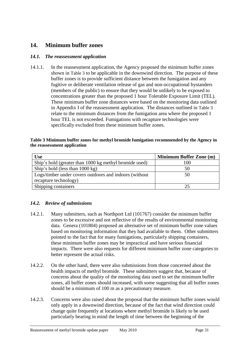# **14. Minimum buffer zones**

## *14.1. The reassessment application*

14.1.1. In the reassessment application, the Agency proposed the minimum buffer zones shown in [Table 3](#page-30-0) to be applicable in the downwind direction. The purpose of these buffer zones is to provide sufficient distance between the fumigation and any fugitive or deliberate ventilation release of gas and non-occupational bystanders (members of the public) to ensure that they would be unlikely to be exposed to concentrations greater than the proposed 1 hour Tolerable Exposure Limit (TEL). These minimum buffer zone distances were based on the monitoring data outlined in Appendix I of the reassessment application. The distances outlined in [Table 3](#page-30-0) relate to the minimum distances from the fumigation area where the proposed 1 hour TEL is not exceeded. Fumigations with recapture technologies were specifically excluded from these minimum buffer zones.

#### <span id="page-30-0"></span>**Table 3 Minimum buffer zones for methyl bromide fumigation recommended by the Agency in the reassessment application**

| <b>Use</b>                                             | <b>Minimum Buffer Zone (m)</b> |
|--------------------------------------------------------|--------------------------------|
| Ship's hold (greater than 1000 kg methyl bromide used) | 100                            |
| Ship's hold (less than 1000 kg)                        | 50                             |
| Logs/timber under covers outdoors and indoors (without | 50                             |
| recapture technology)                                  |                                |
| Shipping containers                                    |                                |

# *14.2. Review of submissions*

- 14.2.1. Many submitters, such as Northport Ltd (101767) consider the minimum buffer zones to be excessive and not reflective of the results of environmental monitoring data. Genera (101804) proposed an alternative set of minimum buffer zone values based on monitoring information that they had available to them. Other submitters pointed to the fact that for many fumigations, particularly shipping containers, these minimum buffer zones may be impractical and have serious financial impacts. There were also requests for different minimum buffer zone categories to better represent the actual risks.
- 14.2.2. On the other hand, there were also submissions from those concerned about the health impacts of methyl bromide. These submitters suggest that, because of concerns about the quality of the monitoring data used to set the minimum buffer zones, all buffer zones should increased, with some suggesting that all buffer zones should be a minimum of 100 m as a precautionary measure.
- 14.2.3. Concerns were also raised about the proposal that the minimum buffer zones would only apply in a downwind direction, because of the fact that wind direction could change quite frequently at locations where methyl bromide is likely to be used particularly bearing in mind the length of time between the beginning of the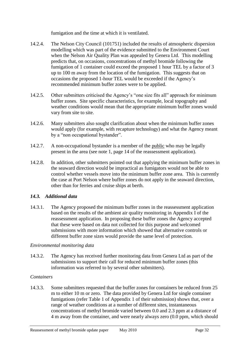fumigation and the time at which it is ventilated.

- 14.2.4. The Nelson City Council (101751) included the results of atmospheric dispersion modelling which was part of the evidence submitted to the Environment Court when the Nelson Air Quality Plan was appealed by Genera Ltd. This modelling predicts that, on occasions, concentrations of methyl bromide following the fumigation of 1 container could exceed the proposed 1 hour TEL by a factor of 3 up to 100 m away from the location of the fumigation. This suggests that on occasions the proposed 1-hour TEL would be exceeded if the Agency's recommended minimum buffer zones were to be applied.
- 14.2.5. Other submitters criticised the Agency's "one size fits all" approach for minimum buffer zones. Site specific characteristics, for example, local topography and weather conditions would mean that the appropriate minimum buffer zones would vary from site to site.
- 14.2.6. Many submitters also sought clarification about when the minimum buffer zones would apply (for example, with recapture technology) and what the Agency meant by a "non occupational bystander".
- 14.2.7. A non-occupational bystander is a member of the public who may be legally present in the area (see note 1, page 14 of the reassessment application).
- 14.2.8. In addition, other submitters pointed out that applying the minimum buffer zones in the seaward direction would be impractical as fumigators would not be able to control whether vessels move into the minimum buffer zone area. This is currently the case at Port Nelson where buffer zones do not apply in the seaward direction, other than for ferries and cruise ships at berth.

# *14.3. Additional data*

14.3.1. The Agency proposed the minimum buffer zones in the reassessment application based on the results of the ambient air quality monitoring in Appendix I of the reassessment application. In proposing these buffer zones the Agency accepted that these were based on data not collected for this purpose and welcomed submissions with more information which showed that alternative controls or different buffer zone sizes would provide the same level of protection.

# *Environmental monitoring data*

14.3.2. The Agency has received further monitoring data from Genera Ltd as part of the submissions to support their call for reduced minimum buffer zones (this information was referred to by several other submitters).

# *Containers*

14.3.3. Some submitters requested that the buffer zones for containers be reduced from 25 m to either 10 m or zero. The data provided by Genera Ltd for single container fumigations (refer Table 1 of Appendix 1 of their submission) shows that, over a range of weather conditions at a number of different sites, instantaneous concentrations of methyl bromide varied between 0.0 and 2.3 ppm at a distance of 4 m away from the container, and were nearly always zero (0.0 ppm, which should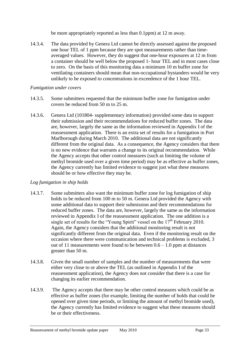be more appropriately reported as less than 0.1ppm) at 12 m away.

14.3.4. The data provided by Genera Ltd cannot be directly assessed against the proposed one hour TEL of 1 ppm because they are spot measurements rather than timeaveraged values. However, they do suggest that one-hour exposures at 12 m from a container should be well below the proposed 1- hour TEL and in most cases close to zero. On the basis of this monitoring data a minimum 10 m buffer zone for ventilating containers should mean that non-occupational bystanders would be very unlikely to be exposed to concentrations in exceedence of the 1 hour TEL.

### *Fumigation under covers*

- 14.3.5. Some submitters requested that the minimum buffer zone for fumigation under covers be reduced from 50 m to 25 m.
- 14.3.6. Genera Ltd (101804- supplementary information) provided some data to support their submission and their recommendations for reduced buffer zones. The data are, however, largely the same as the information reviewed in Appendix I of the reassessment application. There is an extra set of results for a fumigation in Port Marlborough during March 2010. The additional data are not significantly different from the original data. As a consequence, the Agency considers that there is no new evidence that warrants a change to its original recommendation. While the Agency accepts that other control measures (such as limiting the volume of methyl bromide used over a given time period) may be as effective as buffer zones, the Agency currently has limited evidence to suggest just what these measures should be or how effective they may be.

# *Log fumigation in ship holds*

- 14.3.7. Some submitters also want the minimum buffer zone for log fumigation of ship holds to be reduced from 100 m to 50 m. Genera Ltd provided the Agency with some additional data to support their submission and their recommendations for reduced buffer zones. The data are, however, largely the same as the information reviewed in Appendix I of the reassessment application. The one addition is a single set of results for the "Young Spirit" vessel on the  $17<sup>th</sup>$  February 2010. Again, the Agency considers that the additional monitoring result is not significantly different from the original data. Even if the monitoring result on the occasion where there were communication and technical problems is excluded, 3 out of 11 measurements were found to be between  $0.6 - 1.0$  ppm at distances greater than 50 m.
- 14.3.8. Given the small number of samples and the number of measurements that were either very close to or above the TEL (as outlined in Appendix I of the reassessment application), the Agency does not consider that there is a case for changing its earlier recommendation.
- 14.3.9. The Agency accepts that there may be other control measures which could be as effective as buffer zones (for example, limiting the number of holds that could be opened over given time periods, or limiting the amount of methyl bromide used), the Agency currently has limited evidence to suggest what these measures should be or their effectiveness.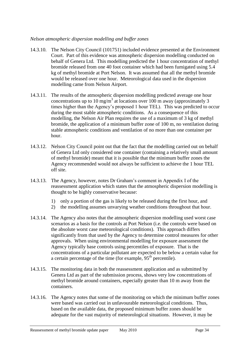### *Nelson atmospheric dispersion modelling and buffer zones*

- 14.3.10. The Nelson City Council (101751) included evidence presented at the Environment Court. Part of this evidence was atmospheric dispersion modelling conducted on behalf of Genera Ltd. This modelling predicted the 1 hour concentration of methyl bromide released from one 40 foot container which had been fumigated using 5.4 kg of methyl bromide at Port Nelson. It was assumed that all the methyl bromide would be released over one hour. Meteorological data used in the dispersion modelling came from Nelson Airport.
- 14.3.11. The results of the atmospheric dispersion modelling predicted average one hour concentrations up to 10 mg/m<sup>3</sup> at locations over 100 m away (approximately 3 times higher than the Agency's proposed 1 hour TEL). This was predicted to occur during the most stable atmospheric conditions. As a consequence of this modelling, the Nelson Air Plan requires the use of a maximum of 3 kg of methyl bromide, the application of a minimum buffer zone of 100 m, no ventilation during stable atmospheric conditions and ventilation of no more than one container per hour.
- 14.3.12. Nelson City Council point out that the fact that the modelling carried out on behalf of Genera Ltd only considered one container (containing a relatively small amount of methyl bromide) meant that it is possible that the minimum buffer zones the Agency recommended would not always be sufficient to achieve the 1 hour TEL off site.
- 14.3.13. The Agency, however, notes Dr Graham's comment in Appendix I of the reassessment application which states that the atmospheric dispersion modelling is thought to be highly conservative because:
	- 1) only a portion of the gas is likely to be released during the first hour, and
	- 2) the modelling assumes unvarying weather conditions throughout that hour.
- 14.3.14. The Agency also notes that the atmospheric dispersion modelling used worst case scenarios as a basis for the controls at Port Nelson (i.e. the controls were based on the absolute worst case meteorological conditions). This approach differs significantly from that used by the Agency to determine control measures for other approvals. When using environmental modelling for exposure assessment the Agency typically base controls using percentiles of exposure. That is the concentrations of a particular pollutant are expected to be below a certain value for a certain percentage of the time (for example,  $95<sup>th</sup>$  percentile).
- 14.3.15. The monitoring data in both the reassessment application and as submitted by Genera Ltd as part of the submission process, shows very low concentrations of methyl bromide around containers, especially greater than 10 m away from the containers.
- 14.3.16. The Agency notes that some of the monitoring on which the minimum buffer zones were based was carried out in unfavourable meteorological conditions. Thus, based on the available data, the proposed minimum buffer zones should be adequate for the vast majority of meteorological situations. However, it may be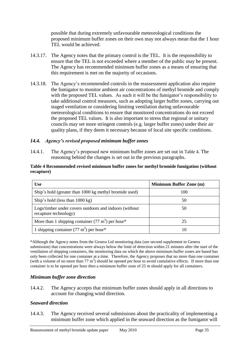possible that during extremely unfavourable meteorological conditions the proposed minimum buffer zones on their own may not always mean that the 1 hour TEL would be achieved.

- 14.3.17. The Agency notes that the primary control is the TEL. It is the responsibility to ensure that the TEL is not exceeded where a member of the public may be present. The Agency has recommended minimum buffer zones as a means of ensuring that this requirement is met on the majority of occasions.
- 14.3.18. The Agency's recommended controls in the reassessment application also require the fumigator to monitor ambient air concentrations of methyl bromide and comply with the proposed TEL values. As such it will be the fumigator's responsibility to take additional control measures, such as adopting larger buffer zones, carrying out staged ventilation or considering limiting ventilation during unfavourable meteorological conditions to ensure that monitored concentrations do not exceed the proposed TEL values. It is also important to stress that regional or unitary councils may set more stringent controls (e.g. larger buffer zones) under their air quality plans, if they deem it necessary because of local site specific conditions.

### *14.4. Agency's revised proposed minimum buffer zones*

14.4.1. The Agency's proposed new minimum buffer zones are set out in [Table 4](#page-34-0). The reasoning behind the changes is set out in the previous paragraphs.

#### <span id="page-34-0"></span>**Table 4 Recommended revised minimum buffer zones for methyl bromide fumigation (without recapture)**

| <b>Use</b>                                                                      | <b>Minimum Buffer Zone (m)</b> |
|---------------------------------------------------------------------------------|--------------------------------|
| Ship's hold (greater than 1000 kg methyl bromide used)                          | 100                            |
| Ship's hold (less than 1000 kg)                                                 | 50                             |
| Logs/timber under covers outdoors and indoors (without<br>recapture technology) | 50                             |
| More than 1 shipping container $(77 \text{ m}^3)$ per hour*                     | 25                             |
| 1 shipping container $(77 \text{ m}^3)$ per hour*                               | 10                             |

\*Although the Agency notes from the Genera Ltd monitoring data (see second supplement to Genera submission) that concentrations were always below the limit of detection within 21 minutes after the start of the ventilation of shipping containers, the monitoring data on which the above minimum buffer zones are based has only been collected for one container at a time. Therefore, the Agency proposes that no more than one container (with a volume of no more than  $77 \text{ m}^3$ ) should be opened per hour to avoid cumulative effects. If more than one container is to be opened per hour then a minimum buffer zone of 25 m should apply for all containers.

### *Minimum buffer zone direction*

14.4.2. The Agency accepts that minimum buffer zones should apply in all directions to account for changing wind direction.

### *Seaward direction*

14.4.3. The Agency received several submissions about the practicality of implementing a minimum buffer zone which applied in the seaward direction as the fumigator will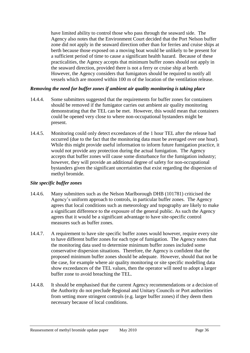have limited ability to control those who pass through the seaward side. The Agency also notes that the Environment Court decided that the Port Nelson buffer zone did not apply in the seaward direction other than for ferries and cruise ships at berth because those exposed on a moving boat would be unlikely to be present for a sufficient period of time to cause a significant health hazard. Because of these practicalities, the Agency accepts that minimum buffer zones should not apply in the seaward direction, provided there is not a ferry or cruise ship at berth. However, the Agency considers that fumigators should be required to notify all vessels which are moored within 100 m of the location of the ventilation release.

### *Removing the need for buffer zones if ambient air quality monitoring is taking place*

- 14.4.4. Some submitters suggested that the requirements for buffer zones for containers should be removed if the fumigator carries out ambient air quality monitoring demonstrating that the TEL can be met. However, this would mean that containers could be opened very close to where non-occupational bystanders might be present.
- 14.4.5. Monitoring could only detect exceedances of the 1 hour TEL after the release had occurred (due to the fact that the monitoring data must be averaged over one hour). While this might provide useful information to inform future fumigation practice, it would not provide any protection during the actual fumigation. The Agency accepts that buffer zones will cause some disturbance for the fumigation industry; however, they will provide an additional degree of safety for non-occupational bystanders given the significant uncertainties that exist regarding the dispersion of methyl bromide.

### *Site specific buffer zones*

- 14.4.6. Many submitters such as the Nelson Marlborough DHB (101781) criticised the Agency's uniform approach to controls, in particular buffer zones. The Agency agrees that local conditions such as meteorology and topography are likely to make a significant difference to the exposure of the general public. As such the Agency agrees that it would be a significant advantage to have site-specific control measures such as buffer zones.
- 14.4.7. A requirement to have site specific buffer zones would however, require every site to have different buffer zones for each type of fumigation. The Agency notes that the monitoring data used to determine minimum buffer zones included some conservative dispersion situations. Therefore, the Agency is confident that the proposed minimum buffer zones should be adequate. However, should that not be the case, for example where air quality monitoring or site specific modelling data show exceedances of the TEL values, then the operator will need to adopt a larger buffer zone to avoid breaching the TEL.
- 14.4.8. It should be emphasised that the current Agency recommendations or a decision of the Authority do not preclude Regional and Unitary Councils or Port authorities from setting more stringent controls (e.g. larger buffer zones) if they deem them necessary because of local conditions.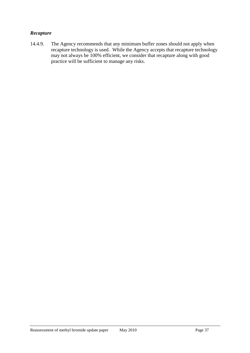## *Recapture*

14.4.9. The Agency recommends that any minimum buffer zones should not apply when recapture technology is used. While the Agency accepts that recapture technology may not always be 100% efficient, we consider that recapture along with good practice will be sufficient to manage any risks.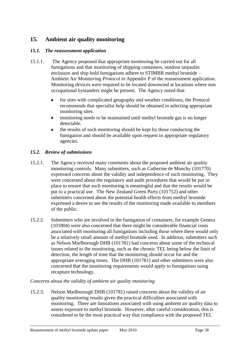# **15. Ambient air quality monitoring**

## *15.1. The reassessment application*

- 15.1.1. The Agency proposed that appropriate monitoring be carried out for all fumigations and that monitoring of shipping containers, outdoor tarpaulin enclosure and ship hold fumigations adhere to STIMBR methyl bromide – Ambient Air Monit*oring Protocol in* Appendix P of the reassessment application. Monitoring devices were required to be located downwind at locations where non occupational bystanders might be present. The Agency noted that:
	- for sites with complicated geography and weather conditions, the Protocol recommends that specialist help should be obtained in selecting appropriate monitoring sites.
	- monitoring needs to be maintained until methyl bromide gas is no longer  $\bullet$ detectable.
	- the results of such monitoring should be kept by those conducting the  $\bullet$ fumigation and should be available upon request to appropriate regulatory agencies.

## *15.2. Review of submissions*

- 15.2.1. The Agency received many comments about the proposed ambient air quality monitoring controls. Many submitters, such as Catherine de Monchy (101770) expressed concerns about the validity and independence of such monitoring. They were concerned about the regulatory and audit procedures that would be put in place to ensure that such monitoring is meaningful and that the results would be put to a practical use. The New Zealand Green Party (101752) and other submitters concerned about the potential health effects from methyl bromide expressed a desire to see the results of the monitoring made available to members of the public.
- 15.2.2. Submitters who are involved in the fumigation of containers, for example Genera (101804) were also concerned that there might be considerable financial costs associated with monitoring all fumigations including those where there would only be a relatively small amount of methyl bromide used. In addition, submitters such as Nelson Marlborough DHB (101781) had concerns about some of the technical issues related to the monitoring, such as the chronic TEL being below the limit of detection, the length of time that the monitoring should occur for and the appropriate averaging times. The DHB (101781) and other submitters were also concerned that the monitoring requirements would apply to fumigations using recapture technology.

### *Concerns about the validity of ambient air quality monitoring*

15.2.3. Nelson Marlborough DHB (101781) raised concerns about the validity of air quality monitoring results given the practical difficulties associated with monitoring. There are limitations associated with using ambient air quality data to assess exposure to methyl bromide. However, after careful consideration, this is considered to be the most practical way that compliance with the proposed TEL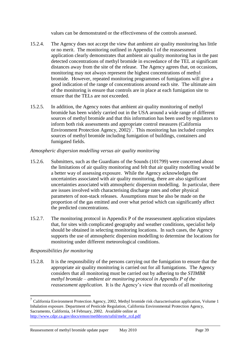values can be demonstrated or the effectiveness of the controls assessed.

- 15.2.4. The Agency does not accept the view that ambient air quality monitoring has little or no merit. The monitoring outlined in Appendix I of the reassessment application clearly demonstrates that ambient air quality monitoring has in the past detected concentrations of methyl bromide in exceedance of the TEL at significant distances away from the site of the release. The Agency agrees that, on occasions, monitoring may not always represent the highest concentrations of methyl bromide. However, repeated monitoring programmes of fumigations will give a good indication of the range of concentrations around each site. The ultimate aim of the monitoring is ensure that controls are in place at each fumigation site to ensure that the TELs are not exceeded.
- 15.2.5. In addition, the Agency notes that ambient air quality monitoring of methyl bromide has been widely carried out in the USA around a wide range of different sources of methyl bromide and that this information has been used by regulators to inform both risk assessments and appropriate control measures (California Environment Protection Agency,  $2002$ )<sup>7</sup>. This monitoring has included complex sources of methyl bromide including fumigation of buildings, containers and fumigated fields.

## *Atmospheric dispersion modelling versus air quality monitoring*

- 15.2.6. Submitters, such as the Guardians of the Sounds (101799) were concerned about the limitations of air quality monitoring and felt that air quality modelling would be a better way of assessing exposure. While the Agency acknowledges the uncertainties associated with air quality monitoring, there are also significant uncertainties associated with atmospheric dispersion modelling. In particular, there are issues involved with characterising discharge rates and other physical parameters of non-stack releases. Assumptions must be also be made on the proportion of the gas emitted and over what period which can significantly affect the predicted concentrations.
- 15.2.7. The monitoring protocol in Appendix P of the reassessment application stipulates that, for sites with complicated geography and weather conditions, specialist help should be obtained in selecting monitoring locations. In such cases, the Agency supports the use of atmospheric dispersion modelling to determine the locations for monitoring under different meteorological conditions.

## *Responsibilities for monitoring*

1

15.2.8. It is the responsibility of the persons carrying out the fumigation to ensure that the appropriate air quality monitoring is carried out for all fumigations. The Agency considers that all monitoring must be carried out by adhering to the *STIMBR methyl bromide – ambient air monitoring protocol in Appendix P of the reassessment application*. It is the Agency's view that records of all monitoring

 $^7$  California Environment Protection Agency, 2002, Methyl bromide risk characterisation application, Volume 1 Inhalation exposure. Department of Pesticide Regulation, California Environmental Protection Agency, Sacramento, California, 14 February, 2002. Available online at [http://www.cdpr.ca.gov/docs/emon/methbrom/rafnl/mebr\\_rcd.pdf](http://www.cdpr.ca.gov/docs/emon/methbrom/rafnl/mebr_rcd.pdf)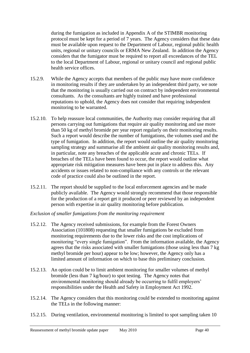during the fumigation as included in Appendix A of the STIMBR monitoring protocol must be kept for a period of 7 years. The Agency considers that these data must be available upon request to the Department of Labour, regional public health units, regional or unitary councils or ERMA New Zealand. In addition the Agency considers that the fumigator must be required to report all exceedances of the TEL to the local Department of Labour, regional or unitary council and regional public health service offices.

- 15.2.9. While the Agency accepts that members of the public may have more confidence in monitoring results if they are undertaken by an independent third party, we note that the monitoring is usually carried out on contract by independent environmental consultants. As the consultants are highly trained and have professional reputations to uphold, the Agency does not consider that requiring independent monitoring to be warranted.
- 15.2.10. To help reassure local communities, the Authority may consider requiring that all persons carrying out fumigations that require air quality monitoring and use more than 50 kg of methyl bromide per year report regularly on their monitoring results. Such a report would describe the number of fumigations, the volumes used and the type of fumigation. In addition, the report would outline the air quality monitoring sampling strategy and summarise all the ambient air quality monitoring results and, in particular, note any breaches of the applicable acute and chronic TELs. If breaches of the TELs have been found to occur, the report would outline what appropriate risk mitigation measures have been put in place to address this. Any accidents or issues related to non-compliance with any controls or the relevant code of practice could also be outlined in the report.
- <span id="page-39-0"></span>15.2.11. The report should be supplied to the local enforcement agencies and be made publicly available. The Agency would strongly recommend that those responsible for the production of a report get it produced or peer reviewed by an independent person with expertise in air quality monitoring before publication.

## *Exclusion of smaller fumigations from the monitoring requirement*

- 15.2.12. The Agency received submissions, for example from the Forest Owners Association (101808) requesting that smaller fumigations be excluded from monitoring requirements due to the lower risks and the cost implications of monitoring "every single fumigation". From the information available, the Agency agrees that the risks associated with smaller fumigations (those using less than 7 kg methyl bromide per hour) appear to be low; however, the Agency only has a limited amount of information on which to base this preliminary conclusion.
- 15.2.13. An option could be to limit ambient monitoring for smaller volumes of methyl bromide (less than 7 kg/hour) to spot testing. The Agency notes that environmental monitoring should already be occurring to fulfil employers' responsibilities under the Health and Safety in Employment Act 1992.
- 15.2.14. The Agency considers that this monitoring could be extended to monitoring against the TELs in the following manner:
- 15.2.15. During ventilation, environmental monitoring is limited to spot sampling taken 10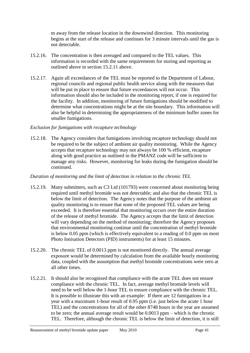m away from the release location in the downwind direction. This monitoring begins at the start of the release and continues for 3 minute intervals until the gas is not detectable.

- 15.2.16. The concentration is then averaged and compared to the TEL values. This information is recorded with the same requirements for storing and reporting as outlined above in section [15.2.11 above.](#page-39-0)
- 15.2.17. Again all exceedances of the TEL must be reported to the Department of Labour, regional councils and regional public health service along with the measures that will be put in place to ensure that future exceedances will not occur. This information should also be included in the monitoring report, if one is required for the facility. In addition, monitoring of future fumigations should be modified to determine what concentrations might be at the site boundary. This information will also be helpful in determining the appropriateness of the minimum buffer zones for smaller fumigations.

### *Exclusion for fumigations with recapture technology*

15.2.18. The Agency considers that fumigations involving recapture technology should not be required to be the subject of ambient air quality monitoring. While the Agency accepts that recapture technology may not always be 100 % efficient, recapture along with good practice as outlined in the PMANZ code will be sufficient to manage any risks. However, monitoring for leaks during the fumigation should be continued.

#### *Duration of monitoring and the limit of detection in relation to the chronic TEL*

- 15.2.19. Many submitters, such as C3 Ltd (101793) were concerned about monitoring being required until methyl bromide was not detectable; and also that the chronic TEL is below the limit of detection. The Agency notes that the purpose of the ambient air quality monitoring is to ensure that none of the proposed TEL values are being exceeded. It is therefore essential that monitoring occurs over the entire duration of the release of methyl bromide. The Agency accepts that the limit of detection will vary depending on the method of monitoring; therefore the Agency proposes that environmental monitoring continue until the concentration of methyl bromide is below 0.05 ppm (which is effectively equivalent to a reading of 0.0 ppm on most Photo Ionisation Detectors (PID) instruments) for at least 15 minutes.
- 15.2.20. The chronic TEL of 0.0013 ppm is not monitored directly. The annual average exposure would be determined by calculation from the available hourly monitoring data, coupled with the assumption that methyl bromide concentrations were zero at all other times.
- 15.2.21. It should also be recognised that compliance with the acute TEL does not ensure compliance with the chronic TEL. In fact, average methyl bromide levels will need to be well below the 1-hour TEL to ensure compliance with the chronic TEL. It is possible to illustrate this with an example: If there are 12 fumigations in a year with a maximum 1-hour result of 0.95 ppm (i.e. just below the acute 1 hour TEL) and the concentrations for all of the other 8748 hours in the year are assumed to be zero; the annual average result would be 0.0013 ppm – which is the chronic TEL. Therefore, although the chronic TEL is below the limit of detection, it is still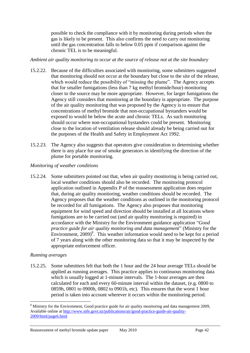possible to check the compliance with it by monitoring during periods when the gas is likely to be present. This also confirms the need to carry out monitoring until the gas concentration falls to below 0.05 ppm if comparison against the chronic TEL is to be meaningful.

### *Ambient air quality monitoring to occur at the source of release not at the site boundary*

- 15.2.22. Because of the difficulties associated with monitoring, some submitters suggested that monitoring should not occur at the boundary but close to the site of the release, which would reduce the possibility of "missing the plume". The Agency accepts that for smaller fumigations (less than 7 kg methyl bromide/hour) monitoring closer to the source may be more appropriate. However, for larger fumigations the Agency still considers that monitoring at the boundary is appropriate. The purpose of the air quality monitoring that was proposed by the Agency is to ensure that concentrations of methyl bromide that non-occupational bystanders would be exposed to would be below the acute and chronic TELs. As such monitoring should occur where non-occupational bystanders could be present. Monitoring close to the location of ventilation release should already be being carried out for the purposes of the Health and Safety in Employment Act 1992.
- 15.2.23. The Agency also suggests that operators give consideration to determining whether there is any place for use of smoke generators in identifying the direction of the plume for portable monitoring.

### *Monitoring of weather conditions*

15.2.24. Some submitters pointed out that, when air quality monitoring is being carried out, local weather conditions should also be recorded. The monitoring protocol application outlined in Appendix P of the reassessment application does require that, during air quality monitoring, weather conditions should be recorded. The Agency proposes that the weather conditions as outlined in the monitoring protocol be recorded for all fumigations. The Agency also proposes that monitoring equipment for wind speed and direction should be installed at all locations where fumigations are to be carried out (and air quality monitoring is required) in accordance with the Ministry for the Environment guidance application "*Good practice guide for air quality monitoring and data management*" (Ministry for the Environment,  $2009)^8$ . This weather information would need to be kept for a period of 7 years along with the other monitoring data so that it may be inspected by the appropriate enforcement officer.

## *Running averages*

15.2.25. Some submitters felt that both the 1 hour and the 24 hour average TELs should be applied as running averages. This practice applies to continuous monitoring data which is usually logged at 1-minute intervals. The 1-hour averages are then calculated for each and every 60-minute interval within the dataset, (e.g. 0800 to 0859h, 0801 to 0900h, 0802 to 0901h, etc). This ensures that the worst 1 hour period is taken into account wherever it occurs within the monitoring period.

<sup>1</sup> <sup>8</sup> Ministry for the Environment, Good practice guide for air quality monitoring and data management 2009, Available online at [http://www.mfe.govt.nz/publications/air/good-practice-guide-air-quality-](http://www.mfe.govt.nz/publications/air/good-practice-guide-air-quality-2009/html/page6.html)[2009/html/page6.html](http://www.mfe.govt.nz/publications/air/good-practice-guide-air-quality-2009/html/page6.html)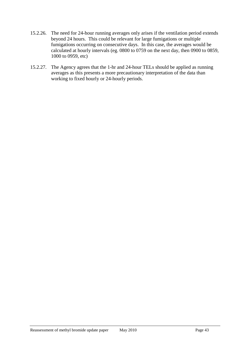- 15.2.26. The need for 24-hour running averages only arises if the ventilation period extends beyond 24 hours. This could be relevant for large fumigations or multiple fumigations occurring on consecutive days. In this case, the averages would be calculated at hourly intervals (eg. 0800 to 0759 on the next day, then 0900 to 0859, 1000 to 0959, etc)
- 15.2.27. The Agency agrees that the 1-hr and 24-hour TELs should be applied as running averages as this presents a more precautionary interpretation of the data than working to fixed hourly or 24-hourly periods.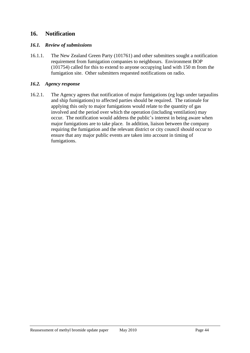# **16. Notification**

### *16.1. Review of submissions*

16.1.1. The New Zealand Green Party (101761) and other submitters sought a notification requirement from fumigation companies to neighbours. Environment BOP (101754) called for this to extend to anyone occupying land with 150 m from the fumigation site. Other submitters requested notifications on radio.

#### *16.2. Agency response*

16.2.1. The Agency agrees that notification of major fumigations (eg logs under tarpaulins and ship fumigations) to affected parties should be required. The rationale for applying this only to major fumigations would relate to the quantity of gas involved and the period over which the operation (including ventilation) may occur. The notification would address the public's interest in being aware when major fumigations are to take place. In addition, liaison between the company requiring the fumigation and the relevant district or city council should occur to ensure that any major public events are taken into account in timing of fumigations.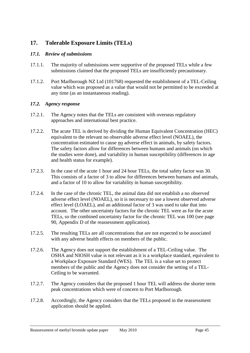# **17. Tolerable Exposure Limits (TELs)**

## *17.1. Review of submissions*

- 17.1.1. The majority of submissions were supportive of the proposed TELs while a few submissions claimed that the proposed TELs are insufficiently precautionary.
- 17.1.2. Port Marlborough NZ Ltd (101768) requested the establishment of a TEL-Ceiling value which was proposed as a value that would not be permitted to be exceeded at any time (as an instantaneous reading).

## *17.2. Agency response*

- 17.2.1. The Agency notes that the TELs are consistent with overseas regulatory approaches and international best practice.
- 17.2.2. The acute TEL is derived by dividing the Human Equivalent Concentration (HEC) equivalent to the relevant no observable adverse effect level (NOAEL), the concentration estimated to cause no adverse effect in animals, by safety factors. The safety factors allow for differences between humans and animals (on which the studies were done), and variability in human susceptibility (differences in age and health status for example).
- 17.2.3. In the case of the acute 1 hour and 24 hour TELs, the total safety factor was 30. This consists of a factor of 3 to allow for differences between humans and animals, and a factor of 10 to allow for variability in human susceptibility.
- 17.2.4. In the case of the chronic TEL, the animal data did not establish a no observed adverse effect level (NOAEL), so it is necessary to use a lowest observed adverse effect level (LOAEL), and an additional factor of 3 was used to take that into account. The other uncertainty factors for the chronic TEL were as for the acute TELs, so the combined uncertainty factor for the chronic TEL was 100 (see page 90, Appendix D of the reassessment application).
- 17.2.5. The resulting TELs are all concentrations that are not expected to be associated with any adverse health effects on members of the public.
- 17.2.6. The Agency does not support the establishment of a TEL-Ceiling value. The OSHA and NIOSH value is not relevant as it is a workplace standard, equivalent to a Workplace Exposure Standard (WES). The TEL is a value set to protect members of the public and the Agency does not consider the setting of a TEL-Ceiling to be warranted.
- 17.2.7. The Agency considers that the proposed 1 hour TEL will address the shorter term peak concentrations which were of concern to Port Marlborough.
- 17.2.8. Accordingly, the Agency considers that the TELs proposed in the reassessment application should be applied.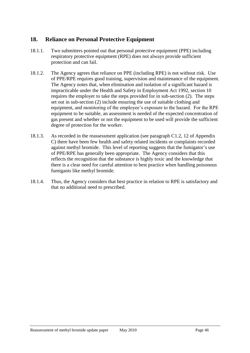# **18. Reliance on Personal Protective Equipment**

- 18.1.1. Two submitters pointed out that personal protective equipment (PPE) including respiratory protective equipment (RPE) does not always provide sufficient protection and can fail.
- 18.1.2. The Agency agrees that reliance on PPE (including RPE) is not without risk. Use of PPE/RPE requires good training, supervision and maintenance of the equipment. The Agency notes that, when elimination and isolation of a significant hazard is impracticable under the Health and Safety in Employment Act 1992, section 10 requires the employer to take the steps provided for in sub-section (2). The steps set out in sub-section (2) include ensuring the use of suitable clothing and equipment, and monitoring of the employee's exposure to the hazard. For the RPE equipment to be suitable, an assessment is needed of the expected concentration of gas present and whether or not the equipment to be used will provide the sufficient degree of protection for the worker.
- 18.1.3. As recorded in the reassessment application (see paragraph C1.2, 12 of Appendix C) there have been few health and safety related incidents or complaints recorded against methyl bromide. This level of reporting suggests that the fumigator's use of PPE/RPE has generally been appropriate. The Agency considers that this reflects the recognition that the substance is highly toxic and the knowledge that there is a clear need for careful attention to best practice when handling poisonous fumigants like methyl bromide.
- 18.1.4. Thus, the Agency considers that best practice in relation to RPE is satisfactory and that no additional need to prescribed.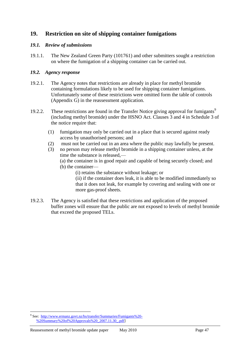# **19. Restriction on site of shipping container fumigations**

## *19.1. Review of submissions*

19.1.1. The New Zealand Green Party (101761) and other submitters sought a restriction on where the fumigation of a shipping container can be carried out.

## *19.2. Agency response*

- 19.2.1. The Agency notes that restrictions are already in place for methyl bromide containing formulations likely to be used for shipping container fumigations. Unfortunately some of these restrictions were omitted form the table of controls (Appendix G) in the reassessment application.
- 19.2.2. These restrictions are found in the Transfer Notice giving approval for fumigants<sup>9</sup> (including methyl bromide) under the HSNO Act. Clauses 3 and 4 in Schedule 3 of the notice require that:
	- (1) fumigation may only be carried out in a place that is secured against ready access by unauthorised persons; and
	- (2) must not be carried out in an area where the public may lawfully be present.
	- (3) no person may release methyl bromide in a shipping container unless, at the time the substance is released,—
		- (a) the container is in good repair and capable of being securely closed; and
		- (b) the container—
			- (i) retains the substance without leakage; or

(ii) if the container does leak, it is able to be modified immediately so that it does not leak, for example by covering and sealing with one or more gas-proof sheets.

19.2.3. The Agency is satisfied that these restrictions and application of the proposed buffer zones will ensure that the public are not exposed to levels of methyl bromide that exceed the proposed TELs.

<sup>&</sup>lt;u>.</u> <sup>9</sup> See: [http://www.ermanz.govt.nz/hs/transfer/Summaries/Fumigants%20-](http://www.ermanz.govt.nz/hs/transfer/Summaries/Fumigants%20-%20Summary%20of%20Approvals%20_2007.11.30_.pdf) [%20Summary%20of%20Approvals%20\\_2007.11.30\\_.pdf\]](http://www.ermanz.govt.nz/hs/transfer/Summaries/Fumigants%20-%20Summary%20of%20Approvals%20_2007.11.30_.pdf)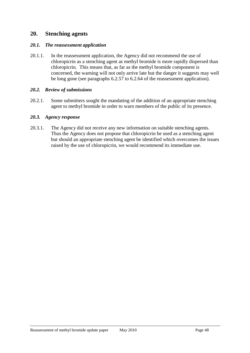## **20. Stenching agents**

### *20.1. The reassessment application*

20.1.1. In the reassessment application, the Agency did not recommend the use of chloropicrin as a stenching agent as methyl bromide is more rapidly dispersed than chloropicrin. This means that, as far as the methyl bromide component is concerned, the warning will not only arrive late but the danger it suggests may well be long gone (see paragraphs 6.2.57 to 6.2.64 of the reassessment application).

### *20.2. Review of submissions*

20.2.1. Some submitters sought the mandating of the addition of an appropriate stenching agent to methyl bromide in order to warn members of the public of its presence.

### *20.3. Agency response*

20.3.1. The Agency did not receive any new information on suitable stenching agents. Thus the Agency does not propose that chloropicrin be used as a stenching agent but should an appropriate stenching agent be identified which overcomes the issues raised by the use of chloropicrin, we would recommend its immediate use.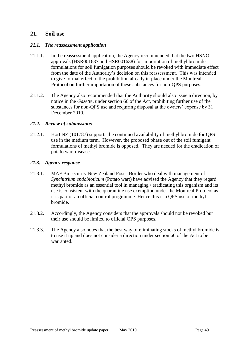## **21. Soil use**

#### *21.1. The reassessment application*

- 21.1.1. In the reassessment application, the Agency recommended that the two HSNO approvals (HSR001637 and HSR001638) for importation of methyl bromide formulations for soil fumigation purposes should be revoked with immediate effect from the date of the Authority's decision on this reassessment. This was intended to give formal effect to the prohibition already in place under the Montreal Protocol on further importation of these substances for non-QPS purposes.
- 21.1.2. The Agency also recommended that the Authority should also issue a direction, by notice in the *Gazette*, under section 66 of the Act, prohibiting further use of the substances for non-QPS use and requiring disposal at the owners' expense by 31 December 2010.

#### *21.2. Review of submissions*

21.2.1. Hort NZ (101787) supports the continued availability of methyl bromide for QPS use in the medium term. However, the proposed phase out of the soil fumigant formulations of methyl bromide is opposed. They are needed for the eradication of potato wart disease.

#### *21.3. Agency response*

- 21.3.1. MAF Biosecurity New Zealand Post Border who deal with management of *Synchitrium endobioticum* (Potato wart) have advised the Agency that they regard methyl bromide as an essential tool in managing / eradicating this organism and its use is consistent with the quarantine use exemption under the Montreal Protocol as it is part of an official control programme. Hence this is a QPS use of methyl bromide.
- 21.3.2. Accordingly, the Agency considers that the approvals should not be revoked but their use should be limited to official QPS purposes.
- 21.3.3. The Agency also notes that the best way of eliminating stocks of methyl bromide is to use it up and does not consider a direction under section 66 of the Act to be warranted.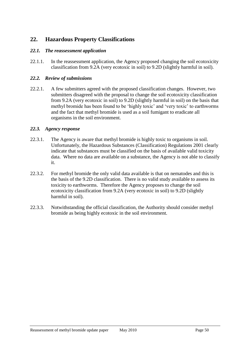# **22. Hazardous Property Classifications**

### *22.1. The reassessment application*

22.1.1. In the reassessment application, the Agency proposed changing the soil ecotoxicity classification from 9.2A (very ecotoxic in soil) to 9.2D (slightly harmful in soil).

### *22.2. Review of submissions*

22.2.1. A few submitters agreed with the proposed classification changes. However, two submitters disagreed with the proposal to change the soil ecotoxicity classification from 9.2A (very ecotoxic in soil) to 9.2D (slightly harmful in soil) on the basis that methyl bromide has been found to be 'highly toxic' and 'very toxic' to earthworms and the fact that methyl bromide is used as a soil fumigant to eradicate all organisms in the soil environment.

#### *22.3. Agency response*

- 22.3.1. The Agency is aware that methyl bromide is highly toxic to organisms in soil. Unfortunately, the Hazardous Substances (Classification) Regulations 2001 clearly indicate that substances must be classified on the basis of available valid toxicity data. Where no data are available on a substance, the Agency is not able to classify it.
- 22.3.2. For methyl bromide the only valid data available is that on nematodes and this is the basis of the 9.2D classification. There is no valid study available to assess its toxicity to earthworms. Therefore the Agency proposes to change the soil ecotoxicity classification from 9.2A (very ecotoxic in soil) to 9.2D (slightly harmful in soil).
- 22.3.3. Notwithstanding the official classification, the Authority should consider methyl bromide as being highly ecotoxic in the soil environment.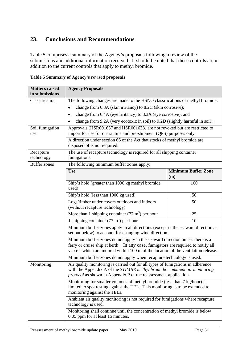# **23. Conclusions and Recommendations**

Table 5 comprises a summary of the Agency's proposals following a review of the submissions and additional information received. It should be noted that these controls are in addition to the current controls that apply to methyl bromide.

|  |  | Table 5 Summary of Agency's revised proposals |  |  |
|--|--|-----------------------------------------------|--|--|
|--|--|-----------------------------------------------|--|--|

| <b>Matters raised</b><br>in submissions | <b>Agency Proposals</b>                                                                                                                                                                                                                                |                                   |  |
|-----------------------------------------|--------------------------------------------------------------------------------------------------------------------------------------------------------------------------------------------------------------------------------------------------------|-----------------------------------|--|
| Classification                          | The following changes are made to the HSNO classifications of methyl bromide:                                                                                                                                                                          |                                   |  |
|                                         | change from 6.3A (skin irritancy) to 8.2C (skin corrosive);<br>$\bullet$                                                                                                                                                                               |                                   |  |
|                                         | change from 6.4A (eye irritancy) to 8.3A (eye corrosive); and<br>$\bullet$                                                                                                                                                                             |                                   |  |
|                                         | change from 9.2A (very ecotoxic in soil) to 9.2D (slightly harmful in soil).                                                                                                                                                                           |                                   |  |
| Soil fumigation<br>use                  | Approvals (HSR001637 and HSR001638) are not revoked but are restricted to<br>import for use for quarantine and pre-shipment (QPS) purposes only.                                                                                                       |                                   |  |
|                                         | A direction under section 66 of the Act that stocks of methyl bromide are<br>disposed of is not required.                                                                                                                                              |                                   |  |
| Recapture<br>technology                 | The use of recapture technology is required for all shipping container<br>fumigations.                                                                                                                                                                 |                                   |  |
| <b>Buffer zones</b>                     | The following minimum buffer zones apply:                                                                                                                                                                                                              |                                   |  |
|                                         | <b>Use</b>                                                                                                                                                                                                                                             | <b>Minimum Buffer Zone</b><br>(m) |  |
|                                         | Ship's hold (greater than 1000 kg methyl bromide<br>used)                                                                                                                                                                                              | 100                               |  |
|                                         | Ship's hold (less than 1000 kg used)                                                                                                                                                                                                                   | 50                                |  |
|                                         | Logs/timber under covers outdoors and indoors<br>(without recapture technology)                                                                                                                                                                        | 50                                |  |
|                                         | More than 1 shipping container $(77 \text{ m}^3)$ per hour                                                                                                                                                                                             | 25                                |  |
|                                         | 1 shipping container $(77 \text{ m}^3)$ per hour                                                                                                                                                                                                       | 10                                |  |
|                                         | Minimum buffer zones apply in all directions (except in the seaward direction as<br>set out below) to account for changing wind direction.                                                                                                             |                                   |  |
|                                         | Minimum buffer zones do not apply in the seaward direction unless there is a<br>ferry or cruise ship at berth. In any case, fumigators are required to notify all<br>vessels which are moored within 100 m of the location of the ventilation release. |                                   |  |
|                                         | Minimum buffer zones do not apply when recapture technology is used.                                                                                                                                                                                   |                                   |  |
| Monitoring                              | Air quality monitoring is carried out for all types of fumigations in adherence<br>with the Appendix A of the $STIMBR$ methyl bromide – ambient air monitoring<br><i>protocol</i> as shown in Appendix P of the reassessment application.              |                                   |  |
|                                         | Monitoring for smaller volumes of methyl bromide (less than 7 kg/hour) is<br>limited to spot testing against the TEL. This monitoring is to be extended to<br>monitoring against the TELs.                                                             |                                   |  |
|                                         | Ambient air quality monitoring is not required for fumigations where recapture<br>technology is used.                                                                                                                                                  |                                   |  |
|                                         | Monitoring shall continue until the concentration of methyl bromide is below<br>0.05 ppm for at least 15 minutes.                                                                                                                                      |                                   |  |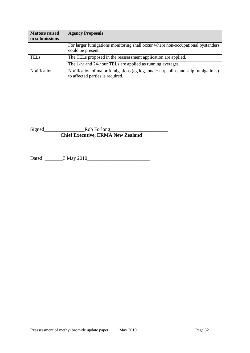| <b>Matters raised</b><br>in submissions | <b>Agency Proposals</b>                                                                                               |
|-----------------------------------------|-----------------------------------------------------------------------------------------------------------------------|
|                                         | For larger fumigations monitoring shall occur where non-occupational bystanders<br>could be present.                  |
| <b>TELs</b>                             | The TELs proposed in the reassessment application are applied.                                                        |
|                                         | The 1-hr and 24-hour TELs are applied as running averages.                                                            |
| Notification                            | Notification of major fumigations (eg logs under tarpaulins and ship fumigations)<br>to affected parties is required. |

Signed\_\_\_\_\_\_\_\_\_\_\_\_\_\_\_\_Rob Forlong\_\_\_\_\_\_\_\_\_\_\_\_\_\_\_\_\_\_\_\_\_\_\_ **Chief Executive, ERMA New Zealand**

Dated \_\_\_\_\_\_\_3 May 2010\_\_\_\_\_\_\_\_\_\_\_\_\_\_\_\_\_\_\_\_\_\_\_\_\_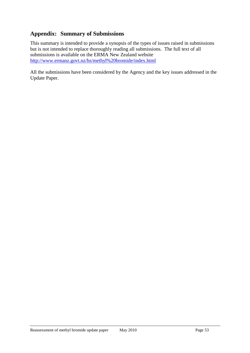# **Appendix: Summary of Submissions**

This summary is intended to provide a synopsis of the types of issues raised in submissions but is not intended to replace thoroughly reading all submissions. The full text of all submissions is available on the ERMA New Zealand website <http://www.ermanz.govt.nz/hs/methyl%20bromide/index.html>

All the submissions have been considered by the Agency and the key issues addressed in the Update Paper.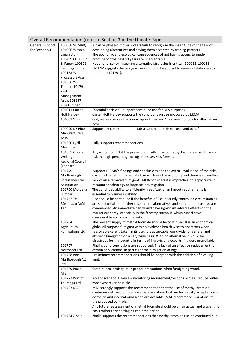|                                   |                                                                                                                                                                                                                  | Overall Recommendation (refer to Section 3 of the Update Paper)                                                                                                                                                                                                                                                                                                                                                                                                                     |
|-----------------------------------|------------------------------------------------------------------------------------------------------------------------------------------------------------------------------------------------------------------|-------------------------------------------------------------------------------------------------------------------------------------------------------------------------------------------------------------------------------------------------------------------------------------------------------------------------------------------------------------------------------------------------------------------------------------------------------------------------------------|
| General support<br>for Scenario 1 | 100088 STIMBR;<br>101006 Westco<br>Lagan Ltd;<br>100499 CHH Pulp<br>& Paper; 100321<br>Red Stag Timber;<br>100163 Wood<br>Processors Assn;<br>101636 WPI<br>Timber; 101791<br>Pest<br>Management<br>Assn; 101837 | A ban or phase-out over 5 years fails to recognise the magnitude of the task of<br>developing alternatives and having them accepted by trading partners.<br>The economic and ecological consequences of not having access to methyl<br>bromide for the next 10 years are unacceptable.<br>Need for urgency in seeking alternative strategies is critical (100088, 100163)<br>PMANZ suggests the ten year period should be subject to review of data ahead of<br>that time (101791). |
|                                   | Kiwi Lumber<br>101011 Carter                                                                                                                                                                                     | Essential decision - support continued use for QPS purposes                                                                                                                                                                                                                                                                                                                                                                                                                         |
|                                   | <b>Holt Harvey</b>                                                                                                                                                                                               | Carter Holt Harvey supports the conditions on use proposed by ERMA.                                                                                                                                                                                                                                                                                                                                                                                                                 |
|                                   | 101001 Scion                                                                                                                                                                                                     | Only viable course of action - support scenario 1 but need to look for alternatives                                                                                                                                                                                                                                                                                                                                                                                                 |
|                                   | 100090 NZ Pine<br>Manufacturers<br>Assn                                                                                                                                                                          | now<br>Supports recommendation - fair assessment or risks, costs and benefits                                                                                                                                                                                                                                                                                                                                                                                                       |
|                                   | 101630 Lyall<br>Mortimer                                                                                                                                                                                         | Fully supports recommendations                                                                                                                                                                                                                                                                                                                                                                                                                                                      |
|                                   | 101635 Greater<br>Wellington<br><b>Regional Council</b><br>(Leonard);                                                                                                                                            | Any action to inhibit the present controlled use of methyl bromide would place at<br>risk the high percentage of logs from GWRC's forests.                                                                                                                                                                                                                                                                                                                                          |
|                                   | 101749                                                                                                                                                                                                           | Supports ERMA's findings and conclusions and the overall evaluation of the risks,                                                                                                                                                                                                                                                                                                                                                                                                   |
|                                   | Marlborough                                                                                                                                                                                                      | costs and benefits. Immediate ban will harm the economy and there is currently a                                                                                                                                                                                                                                                                                                                                                                                                    |
|                                   | Forest Industry<br>Association                                                                                                                                                                                   | lack of an alternative fumigant. MFIA considers it is impractical to apply current<br>recapture technology to large scale fumigation.                                                                                                                                                                                                                                                                                                                                               |
|                                   | 101750 Motueka                                                                                                                                                                                                   | The continued ability to efficiently meet Australian import requirements is                                                                                                                                                                                                                                                                                                                                                                                                         |
|                                   | Lumber                                                                                                                                                                                                           | essential to business viability.                                                                                                                                                                                                                                                                                                                                                                                                                                                    |
|                                   | 101762 Te<br>Rūnanga o Ngāi<br>Tahu                                                                                                                                                                              | Use should be continued if the benefits of use in strictly controlled circumstances<br>are substantial and further research on alternatives and mitigation measures are<br>commenced. An immediate ban would have significant adverse effects on the<br>market economy, especially in the forestry sector, in which Maori have<br>considerable economic interests.                                                                                                                  |
|                                   | 101764<br>Agricultural<br><b>Fumigations Ltd</b>                                                                                                                                                                 | The present supply of methyl bromide should be continued. It is an economical<br>global all purpose fumigant with no evidence health wise to operators when<br>reasonable care is taken in its use. It is acceptable worldwide for general and<br>efficient fumigation on a very wide basis. With no alternative it would be<br>disastrous for this country in terms of imports and exports if it were unavailable.                                                                 |
|                                   | 101767                                                                                                                                                                                                           | Findings and conclusions are supported. The lack of an effective replacement for                                                                                                                                                                                                                                                                                                                                                                                                    |
|                                   | Northport Ltd<br>101768 Port<br>Marlborough NZ<br>Ltd                                                                                                                                                            | certain applications, in particular the fumigation of logs.<br>Preliminary recommendations should be adopted with the addition of a ceiling<br>limit.                                                                                                                                                                                                                                                                                                                               |
|                                   | 101769 Paula<br>Allen                                                                                                                                                                                            | Cut out local anxiety; take proper precautions when fumigating wood.                                                                                                                                                                                                                                                                                                                                                                                                                |
|                                   | 101773 Port of<br>Tauranga Ltd                                                                                                                                                                                   | Accept scenario 1. Review monitoring requirement/responsibilities. Reduce buffer<br>zones wherever possible.                                                                                                                                                                                                                                                                                                                                                                        |
|                                   | 101783 MAF                                                                                                                                                                                                       | MAF strongly supports the recommendation that the use of methyl bromide<br>continues until economically viable alternatives that are technically accepted on a<br>domestic and international scene are available. MAF recommends variations to<br>the proposed controls.<br>Any future reassessment of methyl bromide should be on an actual and a scientific<br>basis rather than setting a fixed time period.                                                                     |
|                                   | 101784 Zindia                                                                                                                                                                                                    | Zindia supports the recommendations that methyl bromide use be continued but                                                                                                                                                                                                                                                                                                                                                                                                        |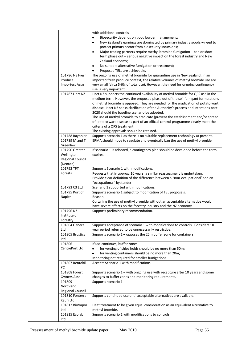|                        | with additional controls.                                                                                                                                          |
|------------------------|--------------------------------------------------------------------------------------------------------------------------------------------------------------------|
|                        | Biosecurity depends on good border management;                                                                                                                     |
|                        | New Zealand's earnings are dominated by primary industry goods - need to<br>$\bullet$                                                                              |
|                        | protect primary sector from biosecurity incursions;                                                                                                                |
|                        | Major trading partners require methyl bromide fumigation - ban or short<br>$\bullet$                                                                               |
|                        | term phase out - serious negative impact on the forest industry and New                                                                                            |
|                        | Zealand economy;                                                                                                                                                   |
|                        | No suitable alternative fumigation or treatment;<br>٠                                                                                                              |
|                        | Proposed TELs are achievable.<br>٠                                                                                                                                 |
| 101786 NZ Fresh        | The ongoing use of methyl bromide for quarantine use in New Zealand. In an                                                                                         |
| Produce                | imported fresh produce context, the relative volumes of methyl bromide use are                                                                                     |
| <b>Importers Assn</b>  | very small (circa 5-6% of total use). However, the need for ongoing contingency                                                                                    |
| 101787 Hort NZ         | use is very important.                                                                                                                                             |
|                        | Hort NZ supports the continued availability of methyl bromide for QPS use in the<br>medium term. However, the proposed phase out of the soil fumigant formulations |
|                        | of methyl bromide is opposed. They are needed for the eradication of potato wart                                                                                   |
|                        | disease. Hort NZ seeks clarification of the Authority's process and intentions post                                                                                |
|                        | 2020 should the baseline scenario be adopted.                                                                                                                      |
|                        | The use of methyl bromide to eradicate (prevent the establishment and/or spread                                                                                    |
|                        | of) potato wart disease as part of an official control programme clearly meet the                                                                                  |
|                        | criteria of a QPS treatment.                                                                                                                                       |
|                        | The existing approvals should be retained.                                                                                                                         |
| 101788 Rayonier        | Supports scenario 1 as there is no suitable replacement technology at present.                                                                                     |
| 101789 M and T         | ERMA should move to regulate and eventually ban the use of methyl bromide.                                                                                         |
| Greenlaw               |                                                                                                                                                                    |
| 101790 Greater         | If scenario 1 is adopted, a contingency plan should be developed before the term                                                                                   |
| Wellington             | expires.                                                                                                                                                           |
| Regional Council       |                                                                                                                                                                    |
| (Denton)               |                                                                                                                                                                    |
| 101792 TPT             | Supports Scenario 1 with modifications.                                                                                                                            |
| Forests                | Requests that in approx. 10 years, a similar reassessment is undertaken.                                                                                           |
|                        | Provide clear definition of the difference between a "non-occupational' and an                                                                                     |
|                        | "occupational" bystander.                                                                                                                                          |
| 101793 C3 Ltd          | Scenario 1 supported with modifications.                                                                                                                           |
| 101795 Port of         | Supports scenario 1 subject to modification of TEL proposals.                                                                                                      |
| Napier                 | Reason:                                                                                                                                                            |
|                        | Curtailing the use of methyl bromide without an acceptable alternative would                                                                                       |
|                        | have severe effects on the forestry industry and the NZ economy.                                                                                                   |
| 101796 NZ              | Supports preliminary recommendation.                                                                                                                               |
| Institute of           |                                                                                                                                                                    |
| Forestry               |                                                                                                                                                                    |
| 101804 Genera          | Supports acceptance of scenario 1 with modifications to controls. Considers 10                                                                                     |
| Ltd<br>101805 Brustics | year period referred to be unnecessarily restrictive.                                                                                                              |
| Ltd                    | Supports scenario $1$ – opposes the 25m buffer zone for containers.                                                                                                |
| 101806                 | If use continues, buffer zones                                                                                                                                     |
| CentrePort Ltd         | for venting of ships holds should be no more than 50m;<br>$\bullet$                                                                                                |
|                        | for venting containers should be no more than 20m;<br>$\bullet$                                                                                                    |
|                        | Monitoring not required for smaller fumigations.                                                                                                                   |
| 101807 Rentokil        | Accepts Scenario 1 with modifications.                                                                                                                             |
| PC                     |                                                                                                                                                                    |
| 101808 Forest          | Supports scenario $1$ – with ongoing use with recapture after 10 years and some                                                                                    |
| <b>Owners Assn</b>     | changes to buffer zones and monitoring requirements.                                                                                                               |
| 101809                 | Supports scenario 1                                                                                                                                                |
| Northland              |                                                                                                                                                                    |
| Regional Council       |                                                                                                                                                                    |
| 101810 Fonterra        | Supports continued use until acceptable alternatives are available.                                                                                                |
| Kauri Ltd              |                                                                                                                                                                    |
| 101812 BioVapor        | Heat treatment to be given equal consideration as an equivalent alternative to                                                                                     |
| Ltd                    | methyl bromide.                                                                                                                                                    |
| 101815 Ecolab          | Supports scenario 1 with modifications to controls.                                                                                                                |
| Ltd                    |                                                                                                                                                                    |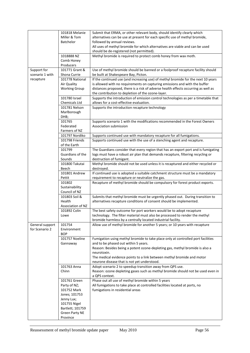|                 | 101818 Melanie       | Submit that ERMA, or other relevant body, should identify clearly which                                                                 |
|-----------------|----------------------|-----------------------------------------------------------------------------------------------------------------------------------------|
|                 | Miller & Tom         | alternatives can be use at present for each specific use of methyl bromide,                                                             |
|                 | Batchelor            | followed by annual reviews.                                                                                                             |
|                 |                      | All uses of methyl bromide for which alternatives are viable and can be used                                                            |
|                 |                      | should be de-registered (not permitted).                                                                                                |
|                 | 1018888 NZ           | Methyl bromide is required to protect comb honey from wax moth.                                                                         |
|                 | Comb Honey           |                                                                                                                                         |
|                 | Producers            |                                                                                                                                         |
| Support for     | 101771 Grant &       | Use of methyl bromide should be banned or a foolproof recapture facility should                                                         |
| scenario 1 with | Shona Currie         | be built at Shakespeare Bay, Picton.                                                                                                    |
| recapture       | 101778 National      | If the continued use (and increasing use) of methyl bromide for the next 10 years                                                       |
|                 | Air Quality          | is allowed with no requirements on capturing emissions and with the buffer                                                              |
|                 | <b>Working Group</b> | distances proposed, there is a risk of adverse health effects occurring as well as                                                      |
|                 | 101780 Israel        | the contribution to depletion of the ozone-layer.<br>Supports the introduction of emission control technologies as per a timetable that |
|                 | Chemicals Ltd        | allows for a cost-effective evaluation.                                                                                                 |
|                 | 101781 Nelson        | Supports the introduction recapture technology                                                                                          |
|                 | Marlborough          |                                                                                                                                         |
|                 | DHB;                 |                                                                                                                                         |
|                 | 101765               | Supports scenario 1 with the modifications recommended in the Forest Owners                                                             |
|                 | Federated            | Association submission                                                                                                                  |
|                 | Farmers of NZ        |                                                                                                                                         |
|                 | 101797 Nordiko       | Supports continued use with mandatory recapture for all fumigations.                                                                    |
|                 | 101798 Friends       | Supports continued use with the use of a stenching agent and recapture.                                                                 |
|                 | of the Earth         |                                                                                                                                         |
|                 | 101799               | The Guardians consider that every region that has an export port and is fumigating                                                      |
|                 | Guardians of the     | logs must have a robust air plan that demands recapture, filtering recycling or                                                         |
|                 | Sounds               | destruction of fumigant.                                                                                                                |
|                 | 101800 Takutai       | Methyl bromide should not be used unless it is recaptured and either recycled or                                                        |
|                 | Beech                | destroyed.                                                                                                                              |
|                 | 101801 Andrew        | If continued use is adopted a suitable catchment structure must be a mandatory                                                          |
|                 | Pettit<br>101802     | requirement to recapture or neutralize the gas.<br>Recapture of methyl bromide should be compulsory for forest product exports.         |
|                 | Sustainability       |                                                                                                                                         |
|                 | Council of NZ        |                                                                                                                                         |
|                 | 101803 Soil &        | Submits that methyl bromide must be urgently phased out. During transition to                                                           |
|                 | Health               | alternatives recapture conditions of consent should be implemented.                                                                     |
|                 | Association of NZ    |                                                                                                                                         |
|                 | 101892 Colin         | The best safety outcome for port workers would be to adopt recapture                                                                    |
|                 | Lowe                 | technology. The filter material must also be processed to render the methyl                                                             |
|                 |                      | bromide harmless by a centrally located industrial facility.                                                                            |
| General support | 101754               | Allow use of methyl bromide for another 5 years; or 10 years with recapture                                                             |
| for Scenario 2  | Environment          |                                                                                                                                         |
|                 | <b>BOP</b>           |                                                                                                                                         |
|                 | 101757 Noeline       | Fumigation using methyl bromide to take place only at controlled port facilities                                                        |
|                 | Gannaway             | and to be phased out within 5 years.                                                                                                    |
|                 |                      | Reason: Besides being a potent ozone-depleting gas, methyl bromide is also a<br>neurotoxin.                                             |
|                 |                      | The medical evidence points to a link between methyl bromide and motor                                                                  |
|                 |                      | neurone disease that is not yet understood.                                                                                             |
|                 | 101763 Anna          | Adopt scenario 2 to speedup transition away from QPS use.                                                                               |
|                 | Chinn                | Reason: ozone depleting gases such as methyl bromide should not be used even in                                                         |
|                 |                      | a QPS context.                                                                                                                          |
|                 | 101761 Green         | Phase out all use of methyl bromide within 5 years                                                                                      |
|                 | Party of NZ;         | All fumigations to take place at controlled facilities located at ports, no                                                             |
|                 | 101752 Mark          | fumigations in residential areas                                                                                                        |
|                 | Jones; 101753        |                                                                                                                                         |
|                 | Jenny Lux;           |                                                                                                                                         |
|                 | 101755 Nigel         |                                                                                                                                         |
|                 | Bartlett; 101759     |                                                                                                                                         |
|                 | Green Party NE       |                                                                                                                                         |
|                 | Province             |                                                                                                                                         |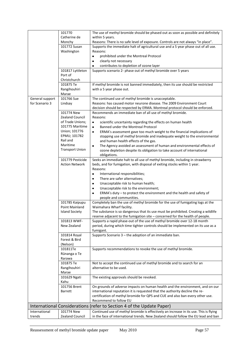|                 | 101770                 | The use of methyl bromide should be phased out as soon as possible and definitely     |
|-----------------|------------------------|---------------------------------------------------------------------------------------|
|                 | Catherine de           | within 5 years.                                                                       |
|                 | Monchy                 | Reasons: There is no safe level of exposure. Controls are not always "in place".      |
|                 | 101772 Susan           | Supports the immediate halt of agricultural use and a 5 year phase out of all use.    |
|                 | Washington             | Reasons:                                                                              |
|                 |                        | prohibited under the Montreal Protocol<br>٠                                           |
|                 |                        | clearly not necessary<br>٠                                                            |
|                 |                        | contributes to depletion of ozone layer                                               |
|                 | 101817 Lyttleton       | Supports scenario 2- phase out of methyl bromide over 5 years                         |
|                 | Port of                |                                                                                       |
|                 | Christchurch           |                                                                                       |
|                 | 101875 Te              | If methyl bromide is not banned immediately, then its use should be restricted        |
|                 | Rangihouhiri           | with a 5 year phase out.                                                              |
|                 | Marae                  |                                                                                       |
| General support | 101766 Sue             | The continued use of methyl bromide is unacceptable.                                  |
| for Scenario 3  | Lindsay                | Reasons: has caused motor neurone disease. The 2009 Environment Court                 |
|                 |                        | decision should be respected by ERMA. Montreal protocol should be enforced.           |
|                 | 101774 New             | Recommends an immediate ban of all use of methyl bromide.                             |
|                 | <b>Zealand Council</b> | Reasons:                                                                              |
|                 | of Trade Unions;       |                                                                                       |
|                 |                        | scientific uncertainty regarding the effects on human health<br>$\bullet$             |
|                 | 101775 Maritime        | Banned under the Montreal Protocol<br>$\bullet$                                       |
|                 | Union; 101776          | ERMA's assessment gave too much weight to the financial implications of<br>$\bullet$  |
|                 | EPMU; 101782           | stopping use of methyl bromide and inadequate weight to the environmental             |
|                 | Rail and               | and human health effects of the gas.                                                  |
|                 | Maritime               | The Agency avoided an assessment of human and environmental effects of<br>٠           |
|                 | <b>Transport Union</b> | ozone depletion despite its obligation to take account of international               |
|                 |                        | obligations.                                                                          |
|                 | 101779 Pesticide       | Seeks an immediate halt to all use of methyl bromide, including in strawberry         |
|                 | <b>Action Network</b>  | beds, and for fumigation, with disposal of exiting stocks within 1 year.              |
|                 |                        | Reasons:                                                                              |
|                 |                        | International responsibilities;<br>٠                                                  |
|                 |                        | There are safer alternatives;<br>٠                                                    |
|                 |                        | Unacceptable risk to human health;<br>٠                                               |
|                 |                        | Unacceptable risk to the environment;<br>٠                                            |
|                 |                        | ERMA's duty - to protect the environment and the health and safety of                 |
|                 |                        | people and communities.                                                               |
|                 | 101785 Kaipupu         | Completely ban the use of methyl bromide for the use of fumigating logs at the        |
|                 | Point Mainland         | Waimahara Wharf facility.                                                             |
|                 | <b>Island Society</b>  | The substance is so dangerous that its use must be prohibited. Creating a wildlife    |
|                 |                        | reserve adjacent to the fumigation site - concerned for the health of people.         |
|                 | 101813 WWF-            | Supports a rapid phase-out of the use of methyl bromide over 12-18 month              |
|                 | New Zealand            | period, during which time tighter controls should be implemented on its use as a      |
|                 |                        | fumigant.                                                                             |
|                 | 101814 Royal           | Supports Scenario 3 - the adoption of an immediate ban.                               |
|                 | Forest & Bird          |                                                                                       |
|                 | (Nelson)               |                                                                                       |
|                 | 101811Te               | Supports recommendations to revoke the use of methyl bromide.                         |
|                 | Rūnanga o Te           |                                                                                       |
|                 | Rarawa                 |                                                                                       |
|                 | 101875 Te              | Not to accept the continued use of methyl bromide and to search for an                |
|                 |                        | alternative to be used.                                                               |
|                 | Rangihouhiri           |                                                                                       |
|                 | Marae                  |                                                                                       |
|                 | 101629 Ngati           | The existing approvals should be revoked.                                             |
|                 | Kahu                   |                                                                                       |
|                 | 101756 Brent           | On grounds of adverse impacts on human health and the environment, and on our         |
|                 | Barrett                | international reputation it is requested that the authority decline the re-           |
|                 |                        | certification of methyl bromide for QPS and CUE and also ban every other use.         |
|                 |                        | Recommend to follow EU                                                                |
|                 |                        | International Considerations (refer to Section 4 of the Update Paper)                 |
| International   | 101774 New             | Continued use of methyl bromide is effectively an increase in its use. This is flying |
| trends          | <b>Zealand Council</b> | in the face of international trends. New Zealand should follow the EU lead and ban    |
|                 |                        |                                                                                       |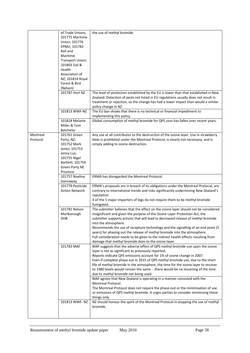|          | of Trade Unions;             | the use of methyl bromide.                                                                                                                                                                                                                                                              |
|----------|------------------------------|-----------------------------------------------------------------------------------------------------------------------------------------------------------------------------------------------------------------------------------------------------------------------------------------|
|          | 101775 Maritime              |                                                                                                                                                                                                                                                                                         |
|          | Union; 101776                |                                                                                                                                                                                                                                                                                         |
|          | EPMU; 101782                 |                                                                                                                                                                                                                                                                                         |
|          | Rail and                     |                                                                                                                                                                                                                                                                                         |
|          | Maritime                     |                                                                                                                                                                                                                                                                                         |
|          | Transport Union;             |                                                                                                                                                                                                                                                                                         |
|          | 101803 Soil &                |                                                                                                                                                                                                                                                                                         |
|          | Health                       |                                                                                                                                                                                                                                                                                         |
|          | Association of               |                                                                                                                                                                                                                                                                                         |
|          | NZ; 101814 Royal             |                                                                                                                                                                                                                                                                                         |
|          | Forest & Bird                |                                                                                                                                                                                                                                                                                         |
|          | (Nelson)                     |                                                                                                                                                                                                                                                                                         |
|          | 101787 Hort NZ               | The level of protection established by the EU is lower than that established in New<br>Zealand. Detection of pests not listed in EU regulations usually does not result in<br>treatment or rejection, so the change has had a lower impact than would a similar<br>policy change in NZ. |
|          | 101813 WWF-NZ                | The EU ban shows that there is no technical or financial impediment to<br>implementing this policy.                                                                                                                                                                                     |
|          | 101818 Melanie               | Global consumption of methyl bromide for QPS uses has fallen over recent years.                                                                                                                                                                                                         |
|          | Miller & Tom<br>Batchelor    |                                                                                                                                                                                                                                                                                         |
| Montreal | 101761 Green                 | Any use at all contributes to the destruction of the ozone layer. Use in strawberry                                                                                                                                                                                                     |
| Protocol | Party, NZ;                   | beds is prohibited under the Montreal Protocol, is clearly not necessary, and is                                                                                                                                                                                                        |
|          | 101752 Mark<br>Jones; 101753 | simply adding to ozone destruction.                                                                                                                                                                                                                                                     |
|          | Jenny Lux;                   |                                                                                                                                                                                                                                                                                         |
|          | 101755 Nigel                 |                                                                                                                                                                                                                                                                                         |
|          | Bartlett; 101759             |                                                                                                                                                                                                                                                                                         |
|          | <b>Green Party NE</b>        |                                                                                                                                                                                                                                                                                         |
|          | Province                     |                                                                                                                                                                                                                                                                                         |
|          |                              |                                                                                                                                                                                                                                                                                         |
|          | 101757 Noeline               | ERMA has disregarded the Montreal Protocol.                                                                                                                                                                                                                                             |
|          | Gannaway                     |                                                                                                                                                                                                                                                                                         |
|          | 101779 Pesticide             | ERMA's proposals are in breach of its obligations under the Montreal Protocol, are                                                                                                                                                                                                      |
|          | <b>Action Network</b>        | contrary to international trends and risks significantly undermining New Zealand's                                                                                                                                                                                                      |
|          |                              | reputation.                                                                                                                                                                                                                                                                             |
|          |                              | 4 of the 5 major importers of logs do not require them to be methyl bromide                                                                                                                                                                                                             |
|          |                              | fumigated.                                                                                                                                                                                                                                                                              |
|          | 101781 Nelson                | The submitter believes that the effect on the ozone layer should not be considered                                                                                                                                                                                                      |
|          | Marlborough                  | insignificant and given the purpose of the Ozone Layer Protection Act, the                                                                                                                                                                                                              |
|          | DHB                          | submitter supports actions that will lead to decreased release of methyl bromide                                                                                                                                                                                                        |
|          |                              | into the atmosphere.                                                                                                                                                                                                                                                                    |
|          |                              | Recommends the use of recapture technology and the signalling of an end point (5                                                                                                                                                                                                        |
|          |                              | years) for phasing out the release of methyl bromide into the atmosphere.                                                                                                                                                                                                               |
|          |                              | Full consideration needs to be given to the indirect health effects resulting from                                                                                                                                                                                                      |
|          |                              | damage that methyl bromide does to the ozone layer.                                                                                                                                                                                                                                     |
|          | 101783 MAF                   | MAF suggests that the adverse effect of QPS methyl bromide use upon the ozone                                                                                                                                                                                                           |
|          |                              | layer is not as significant as previously reported.                                                                                                                                                                                                                                     |
|          |                              | Reports indicate QPS emissions account for 1% of ozone change in 2007.                                                                                                                                                                                                                  |
|          |                              | Even if complete phase out in 2015 of QPS methyl bromide use, due to the short                                                                                                                                                                                                          |
|          |                              | life of methyl bromide in the atmosphere, the time for the ozone layer to recover                                                                                                                                                                                                       |
|          |                              | to 1980 levels would remain the same - .there would be no lessening of the time                                                                                                                                                                                                         |
|          |                              | due to methyl bromide not being used.                                                                                                                                                                                                                                                   |
|          |                              | MAF agrees that New Zealand is operating in a manner consisted with the                                                                                                                                                                                                                 |
|          |                              | Montreal Protocol.                                                                                                                                                                                                                                                                      |
|          |                              | The Montreal Protocol does not require the phase-out or the minimisation of use                                                                                                                                                                                                         |
|          |                              | or emissions of QPS methyl bromide. It urges parties to consider minimising these<br>things only.                                                                                                                                                                                       |
|          | 101813 WWF-NZ                | NZ should honour the spirit of the Montreal Protocol in stopping the use of methyl                                                                                                                                                                                                      |
|          |                              | bromide.                                                                                                                                                                                                                                                                                |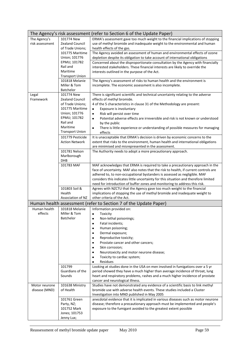|                    |                                    | The Agency's risk assessment (refer to Section 6 of the Update Paper)                                                                                             |
|--------------------|------------------------------------|-------------------------------------------------------------------------------------------------------------------------------------------------------------------|
| The Agency's       | 101774 New                         | ERMA's assessment gave too much weight to the financial implications of stopping                                                                                  |
| risk assessment    | <b>Zealand Council</b>             | use of methyl bromide and inadequate weight to the environmental and human                                                                                        |
|                    | of Trade Unions;                   | health effects of the gas.                                                                                                                                        |
|                    | 101775 Maritime<br>Union; 101776   | The Agency avoided an assessment of human and environmental effects of ozone<br>depletion despite its obligation to take account of international obligations     |
|                    | EPMU; 101782                       | Concerned about the disproportionate consultation by the Agency with financially                                                                                  |
|                    | Rail and                           | interested stakeholders. These financial interests are likely to override the                                                                                     |
|                    | Maritime                           | interests outlined in the purpose of the Act.                                                                                                                     |
|                    | <b>Transport Union</b>             |                                                                                                                                                                   |
|                    | 101818 Melanie                     | The Agency's assessment of risks to human health and the environment is                                                                                           |
|                    | Miller & Tom                       | incomplete. The economic assessment is also incomplete.                                                                                                           |
|                    | <b>Batchelor</b><br>101774 New     |                                                                                                                                                                   |
| Legal<br>Framework | <b>Zealand Council</b>             | There is significant scientific and technical uncertainty relating to the adverse<br>effects of methyl bromide.                                                   |
|                    | of Trade Unions;                   | 4 of the 5 characteristics in clause 31 of the Methodology are present:                                                                                           |
|                    | 101775 Maritime                    | Exposure is involuntary<br>٠                                                                                                                                      |
|                    | Union; 101776                      | Risk will persist over time<br>$\bullet$                                                                                                                          |
|                    | EPMU; 101782                       | Potential adverse effects are irreversible and risk is not known or understood<br>$\bullet$                                                                       |
|                    | Rail and                           | by the public                                                                                                                                                     |
|                    | Maritime<br><b>Transport Union</b> | There is little experience or understanding of possible measures for managing<br>$\bullet$                                                                        |
|                    | 101779 Pesticide                   | effects<br>It is unacceptable that ERMA's decision is driven by economic concerns to the                                                                          |
|                    | <b>Action Network</b>              | extent that risks to the environment, human health and international obligations                                                                                  |
|                    |                                    | are minimised and misrepresented in the assessment.                                                                                                               |
|                    | 101781 Nelson                      | The Authority needs to adopt a more precautionary approach.                                                                                                       |
|                    | Marlborough                        |                                                                                                                                                                   |
|                    | DHB                                |                                                                                                                                                                   |
|                    | 101783 MAF                         | MAF acknowledges that ERMA is required to take a precautionary approach in the                                                                                    |
|                    |                                    | face of uncertainty. MAF also notes that the risk to health, if current controls are                                                                              |
|                    |                                    | adhered to, to non-occupational bystanders is assessed as negligible. MAF<br>considers this indicates little uncertainty for this situation and therefore limited |
|                    |                                    | need for introduction of buffer zones and monitoring to address this risk.                                                                                        |
|                    | 101803 Soil &                      | Agrees with NZCTU that the Agency gave too much weight to the financial                                                                                           |
|                    | Health                             | implications of stopping the use of methyl bromide and inadequate weight to                                                                                       |
|                    | Association of NZ                  | other criteria of the Act.                                                                                                                                        |
|                    |                                    | Human health assessment (refer to Section 7 of the Update Paper)                                                                                                  |
| Human health       | 101818 Melanie                     | Information provided on:                                                                                                                                          |
| effects            | Miller & Tom<br>Batchelor          | Toxicity<br>$\bullet$                                                                                                                                             |
|                    |                                    | Non-lethal poisonings;<br>Fatal incidents;<br>٠                                                                                                                   |
|                    |                                    | Human poisoning;<br>٠                                                                                                                                             |
|                    |                                    | Dermal exposure;<br>٠                                                                                                                                             |
|                    |                                    | Reproductive toxicity;<br>$\bullet$                                                                                                                               |
|                    |                                    | Prostate cancer and other cancers;<br>٠                                                                                                                           |
|                    |                                    | Skin corrosion;<br>$\bullet$                                                                                                                                      |
|                    |                                    | Neurotoxicity and motor neurone disease;<br>$\bullet$                                                                                                             |
|                    |                                    | Toxicity to cardiac system;<br>٠                                                                                                                                  |
|                    |                                    | Residues<br>$\bullet$                                                                                                                                             |
|                    | 101799<br>Guardians of the         | Looking at studies done in the USA on men involved in fumigations over a 5 yr                                                                                     |
|                    | Sounds                             | period showed they have a much higher than average incidence of throat, lung<br>heart and respiratory problems, rashes and a much higher incidence of prostate    |
|                    |                                    | cancer and neurological illness.                                                                                                                                  |
| Motor neurone      | 101638 Ministry                    | Studies have not demonstrated any evidence of a scientific basis to link methyl                                                                                   |
| disease (MND)      | of Health                          | bromide use with adverse health events. These studies included a Cluster                                                                                          |
|                    |                                    | Investigation into MND published in May 2005                                                                                                                      |
|                    | 101761 Green                       | anecdotal evidence that it is implicated in various diseases such as motor neurone                                                                                |
|                    | Party, NZ;                         | disease; therefore a precautionary approach must be implemented and people's                                                                                      |
|                    | 101752 Mark<br>Jones; 101753       | exposure to the fumigant avoided to the greatest extent possible                                                                                                  |
|                    | Jenny Lux;                         |                                                                                                                                                                   |
|                    |                                    |                                                                                                                                                                   |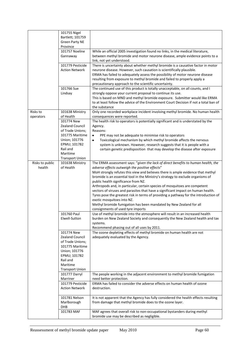|                           | 101755 Nigel<br>Bartlett; 101759<br><b>Green Party NE</b><br>Province                                                                |                                                                                                                                                                                                                                                                                                                                                                                                                                                                                                                                                                                                              |
|---------------------------|--------------------------------------------------------------------------------------------------------------------------------------|--------------------------------------------------------------------------------------------------------------------------------------------------------------------------------------------------------------------------------------------------------------------------------------------------------------------------------------------------------------------------------------------------------------------------------------------------------------------------------------------------------------------------------------------------------------------------------------------------------------|
|                           | 101757 Noeline<br>Gannaway                                                                                                           | While an official 2005 investigation found no links, in the medical literature,<br>between methyl bromide and motor neurone disease, ample evidence points to a<br>link, not yet understood.                                                                                                                                                                                                                                                                                                                                                                                                                 |
|                           | 101779 Pesticide<br><b>Action Network</b>                                                                                            | There is uncertainty about whether methyl bromide is a causative factor in motor<br>neurone disease. However, such causation is scientifically plausible.<br>ERMA has failed to adequately assess the possibility of motor neurone disease<br>resulting from exposure to methyl bromide and failed to properly apply a<br>precautionary approach to the scientific uncertainty.                                                                                                                                                                                                                              |
|                           | 101766 Sue<br>Lindsay                                                                                                                | The continued use of this product is totally unacceptable, on all counts, and I<br>strongly oppose your current proposal to continue its use.<br>This is based on MND and methyl bromide exposure. Submitter would like ERMA<br>to at least follow the advice of the Environment Court Decision if not a total ban of<br>the substance                                                                                                                                                                                                                                                                       |
| Risks to<br>operators     | 101638 Ministry<br>of Health                                                                                                         | Only one recorded workplace incident involving methyl bromide. No human health<br>consequences were reported.                                                                                                                                                                                                                                                                                                                                                                                                                                                                                                |
|                           | 101774 New<br><b>Zealand Council</b>                                                                                                 | The health risk to operators is potentially significant and is understated by the<br>Agency.                                                                                                                                                                                                                                                                                                                                                                                                                                                                                                                 |
|                           | of Trade Unions;<br>101775 Maritime<br>Union; 101776<br>EPMU; 101782<br>Rail and<br>Maritime<br><b>Transport Union</b>               | Reasons:<br>PPE may not be adequate to minimise risk to operators<br>$\bullet$<br>Toxicological mechanism by which methyl bromide affects the nervous<br>$\bullet$<br>system is unknown. However, research suggests that it is people with a<br>certain genetic predisposition that may develop the disease after exposure                                                                                                                                                                                                                                                                                   |
| Risks to public<br>health | 101638 Ministry<br>of Health                                                                                                         | The ERMA assessment says: "given the lack of direct benefits to human health, the<br>adverse effects outweigh the positive effects"                                                                                                                                                                                                                                                                                                                                                                                                                                                                          |
|                           |                                                                                                                                      | MoH strongly refutes this view and believes there is ample evidence that methyl<br>bromide is an essential tool in the Ministry's strategy to exclude organisms of<br>public health significance from NZ.<br>Arthropods and, in particular, certain species of mosquitoes are competent<br>vectors of viruses and parasites that have a significant impact on human health.<br>Tyres pose the greatest risk in terms of providing a pathway for the introduction of<br>exotic mosquitoes into NZ.<br>Methyl bromide fumigation has been mandated by New Zealand for all<br>consignments of used tyre imports |
|                           | 101760 Paul<br>Elwell-Sutton                                                                                                         | Use of methyl bromide into the atmosphere will result in an increased health<br>burden on New Zealand Society and consequently the New Zealand health and tax<br>systems.<br>Recommend phasing out of all uses by 2011.                                                                                                                                                                                                                                                                                                                                                                                      |
|                           | 101774 New<br><b>Zealand Council</b><br>of Trade Unions;<br>101775 Maritime<br>Union; 101776<br>EPMU; 101782<br>Rail and<br>Maritime | The ozone depleting effects of methyl bromide on human health are not<br>adequately evaluated by the Agency.                                                                                                                                                                                                                                                                                                                                                                                                                                                                                                 |
|                           | <b>Transport Union</b><br>101777 Darryl<br>Marriner                                                                                  | The people working in the adjacent environment to methyl bromide fumigation                                                                                                                                                                                                                                                                                                                                                                                                                                                                                                                                  |
|                           | 101779 Pesticide<br><b>Action Network</b>                                                                                            | need better protection.<br>ERMA has failed to consider the adverse effects on human health of ozone<br>destruction.                                                                                                                                                                                                                                                                                                                                                                                                                                                                                          |
|                           | 101781 Nelson<br>Marlborough<br>DHB                                                                                                  | It is not apparent that the Agency has fully considered the health effects resulting<br>from damage that methyl bromide does to the ozone layer.                                                                                                                                                                                                                                                                                                                                                                                                                                                             |
|                           | 101783 MAF                                                                                                                           | MAF agrees that overall risk to non-occupational bystanders during methyl<br>bromide use may be described as negligible.                                                                                                                                                                                                                                                                                                                                                                                                                                                                                     |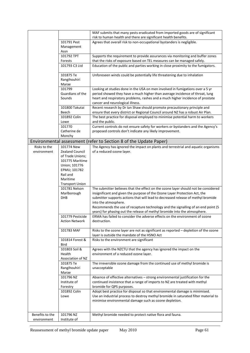|                 |                                         | MAF submits that many pests eradicated from imported goods are of significant        |
|-----------------|-----------------------------------------|--------------------------------------------------------------------------------------|
|                 |                                         | risk to human health and there are significant health benefits.                      |
|                 | 101791 Pest                             | Agrees that overall risk to non-occupational bystanders is negligible.               |
|                 | Management                              |                                                                                      |
|                 | Assn                                    |                                                                                      |
|                 | 101792 TPT                              | Supports the requirement to provide assurances via monitoring and buffer zones       |
|                 | Forests                                 | that the risks of exposure based on TEL measures can be managed safely.              |
|                 | 101793 C3 Ltd                           | Education of the public and parties working in close proximity to the fumigators.    |
|                 | 101875 Te                               | Unforeseen winds could be potentially life threatening due to inhalation             |
|                 | Rangihouhiri                            |                                                                                      |
|                 | Marae                                   |                                                                                      |
|                 | 101799                                  | Looking at studies done in the USA on men involved in fumigations over a 5 yr        |
|                 | Guardians of the                        | period showed they have a much higher than average incidence of throat, lung         |
|                 | Sounds                                  | heart and respiratory problems, rashes and a much higher incidence of prostate       |
|                 |                                         | cancer and neurological illness.                                                     |
|                 | 101800 Takutai                          | Recent research by Dr Ian Shaw should promote precautionary principle and            |
|                 | Beech                                   | ensure that every district or Regional Council around NZ has a robust Air Plan.      |
|                 | 101892 Colin                            | The best practice for disposal employed to minimise potential harm to workers        |
|                 | Lowe                                    | and the public.                                                                      |
|                 | 101770                                  | Current controls do not ensure safety for workers or bystanders and the Agency's     |
|                 | Catherine de                            | proposed controls don't indicate any likely improvement.                             |
|                 | Monchy                                  |                                                                                      |
|                 |                                         | Environmental assessment (refer to Section 8 of the Update Paper)                    |
| Risks to the    | 101774 New                              | The Agency has ignored the impact on plants and terrestrial and aquatic organisms    |
| environment     | <b>Zealand Council</b>                  | of a reduced ozone layer.                                                            |
|                 | of Trade Unions;                        |                                                                                      |
|                 | 101775 Maritime                         |                                                                                      |
|                 | Union; 101776                           |                                                                                      |
|                 | EPMU; 101782                            |                                                                                      |
|                 | Rail and                                |                                                                                      |
|                 | Maritime                                |                                                                                      |
|                 | <b>Transport Union</b><br>101781 Nelson | The submitter believes that the effect on the ozone layer should not be considered   |
|                 | Marlborough                             | insignificant and given the purpose of the Ozone Layer Protection Act, the           |
|                 | DHB                                     | submitter supports actions that will lead to decreased release of methyl bromide     |
|                 |                                         | into the atmosphere.                                                                 |
|                 |                                         | Recommends the use of recapture technology and the signalling of an end point (5     |
|                 |                                         | years) for phasing out the release of methyl bromide into the atmosphere.            |
|                 | 101779 Pesticide                        | ERMA has failed to consider the adverse effects on the environment of ozone          |
|                 | <b>Action Network</b>                   | destruction.                                                                         |
|                 |                                         |                                                                                      |
|                 | 101783 MAF                              | Risks to the ozone layer are not as significant as reported - depletion of the ozone |
|                 | 101814 Forest &                         | layer is outside the mandate of the HSNO Act                                         |
|                 | <b>Bird</b>                             | Risks to the environment are significant                                             |
|                 | 101803 Soil &                           | Agrees with the NZCTU that the agency has ignored the impact on the                  |
|                 | Health                                  | environment of a reduced ozone layer.                                                |
|                 | Association of NZ                       |                                                                                      |
|                 | 101875 Te                               | The irreversible ozone damage from the continued use of methyl bromide is            |
|                 | Rangihouhiri                            | unacceptable                                                                         |
|                 | Marae                                   |                                                                                      |
|                 | 101796 NZ                               | Absence of effective alternatives - strong environmental justification for the       |
|                 | Institute of                            | continued insistence that a range of imports to NZ are treated with methyl           |
|                 | Forestry                                | bromide for QPS purposes.                                                            |
|                 | 101892 Colin                            | Adopt best practice for disposal so that environmental damage is minimised.          |
|                 | Lowe                                    | Use an industrial process to destroy methyl bromide in saturated filter material to  |
|                 |                                         | minimise environmental damage such as ozone depletion.                               |
|                 |                                         |                                                                                      |
| Benefits to the | 101796 NZ                               | Methyl bromide needed to protect native flora and fauna.                             |
| environment     | Institute of                            |                                                                                      |
|                 |                                         |                                                                                      |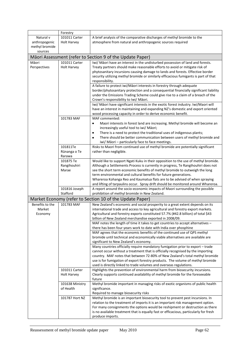|                 | Forestry           |                                                                                                                                                     |
|-----------------|--------------------|-----------------------------------------------------------------------------------------------------------------------------------------------------|
| Natural v       | 101011 Carter      | A brief analysis of the comparative discharges of methyl bromide to the                                                                             |
| anthropogenic   | <b>Holt Harvey</b> | atmosphere from natural and anthropogenic sources required                                                                                          |
| methyl bromide  |                    |                                                                                                                                                     |
| sources         |                    |                                                                                                                                                     |
|                 |                    | Māori Assessment (refer to Section 9 of the Update Paper)                                                                                           |
| Māori           | 101011 Carter      | Iwi/ Māori have an interest in the undisturbed possession of land and forests.                                                                      |
| Perspectives    | <b>Holt Harvey</b> | Treaty partners should make reasonable efforts to avoid or mitigate risk of                                                                         |
|                 |                    | phytosanitary incursions causing damage to lands and forests. Effective border                                                                      |
|                 |                    | security utilizing methyl bromide or similarly efficacious fumigants is part of that                                                                |
|                 |                    | responsibility.                                                                                                                                     |
|                 |                    | A failure to protect iwi/Māori interests in forestry through adequate                                                                               |
|                 |                    | border/phytosanitary protection and a consequential financially significant liability                                                               |
|                 |                    | under the Emissions Trading Scheme could give rise to a claim of a breach of the                                                                    |
|                 |                    | Crown's responsibility to Iwi/ Māori.                                                                                                               |
|                 |                    | Iwi/ Māori have significant interests in the exotic forest industry. Iwi/Maori will                                                                 |
|                 |                    | have an interest in maintaining and expanding NZ's domestic and export oriented                                                                     |
|                 |                    | wood processing capacity in order to derive economic benefit.                                                                                       |
|                 | 101783 MAF         | MAF commented:                                                                                                                                      |
|                 |                    | Maori interests in forest land are increasing. Methyl bromide will become an<br>٠                                                                   |
|                 |                    | increasingly useful tool to iwi/ Māori;                                                                                                             |
|                 |                    | There is a need to protect the traditional uses of indigenous plants;<br>٠                                                                          |
|                 |                    | There should be better communication between users of methyl bromide and<br>$\bullet$                                                               |
|                 |                    | iwi/ Māori - particularly face to face meetings.                                                                                                    |
|                 | 101811Te           | Risks to Maori from continued use of methyl bromide are potentially significant                                                                     |
|                 | Rūnanga o Te       | rather than negligible.                                                                                                                             |
|                 | Rarawa             |                                                                                                                                                     |
|                 | 101875 Te          | Would like to support Ngati Kuku in their opposition to the use of methyl bromide.                                                                  |
|                 | Rangihouhiri       | Although a Settlements Process is currently in progress, Te Rangihouhiri does not                                                                   |
|                 | Marae              | see the short term economic benefits of methyl bromide to outweigh the long                                                                         |
|                 |                    | term environmental and cultural benefits for future generations.                                                                                    |
|                 |                    | Whareroa Kohanga Reo and Kaumatua flats are to be advised of when spraying                                                                          |
|                 | 101816 Joseph      | and lifting of tarpaulins occur. Spray drift should be monitored around Whareroa.                                                                   |
|                 | Stafford           | A report around the socio-economic impacts of Maori surrounding the possible<br>prohibition of methyl bromide in New Zealand.                       |
|                 |                    |                                                                                                                                                     |
|                 |                    | Market Economy (refer to Section 10 of the Update Paper)                                                                                            |
| Benefits to the | 101783 MAF         | New Zealand's economic and social prosperity to a great extent depends on its                                                                       |
| Market          |                    | international trade and access to key agricultural and forestry export markets.                                                                     |
| Economy         |                    | Agricultural and forestry exports constituted 57.7% (#42.8 billion) of total \$43                                                                   |
|                 |                    | billion of New Zealand merchandise exported in 2008/09.                                                                                             |
|                 |                    | MAF notes the length of time it takes to get countries to accept alternatives -<br>there has been four years work to date with India over phosphine |
|                 |                    | MAF agrees that the economic benefits of the continued use of QPS methyl                                                                            |
|                 |                    | bromide until technical and economically viable alternatives are available are                                                                      |
|                 |                    | significant to New Zealand's economy.                                                                                                               |
|                 |                    | Many countries officially require mandatory fumigation prior to export - trade                                                                      |
|                 |                    | cannot occur without a treatment that is officially recognised by the importing                                                                     |
|                 |                    | country. MAF notes that between 72-80% of New Zealand's total methyl bromide                                                                        |
|                 |                    | use is for fumigation of export forestry products. The volume of methyl bromide                                                                     |
|                 |                    | used is directly linked to trade volumes and overseas regulations.                                                                                  |
|                 | 101011 Carter      | Highlights the prevention of environmental harm from biosecurity incursions.                                                                        |
|                 | <b>Holt Harvey</b> | Clearly supports continued availability of methyl bromide for the foreseeable                                                                       |
|                 |                    | future                                                                                                                                              |
|                 | 101638 Ministry    | Methyl bromide important in managing risks of exotic organisms of public health                                                                     |
|                 | of Health          | significance.                                                                                                                                       |
|                 |                    | Required to manage biosecurity risks                                                                                                                |
|                 | 101787 Hort NZ     | Methyl bromide is an important biosecurity tool to prevent pest incursions. In                                                                      |
|                 |                    | relation to the treatment of imports it is an important risk management option.                                                                     |
|                 |                    | For many consignments the options would be reshipment or destruction as there                                                                       |
|                 |                    | is no available treatment that is equally fast or efficacious, particularly for fresh                                                               |
|                 |                    | produce imports.                                                                                                                                    |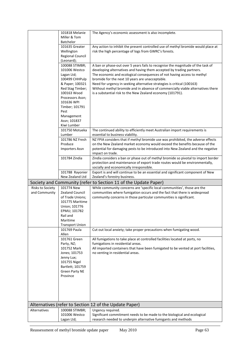|                  | 101818 Melanie              | The Agency's economic assessment is also incomplete.                                                                                      |
|------------------|-----------------------------|-------------------------------------------------------------------------------------------------------------------------------------------|
|                  | Miller & Tom                |                                                                                                                                           |
|                  | Batchelor                   |                                                                                                                                           |
|                  | 101635 Greater              | Any action to inhibit the present controlled use of methyl bromide would place at                                                         |
|                  | Wellington                  | risk the high percentage of logs from GWRC's forests.                                                                                     |
|                  | <b>Regional Council</b>     |                                                                                                                                           |
|                  | (Leonard);                  |                                                                                                                                           |
|                  | 100088 STIMBR;              | A ban or phase-out over 5 years fails to recognise the magnitude of the task of                                                           |
|                  | 101006 Westco               | developing alternatives and having them accepted by trading partners.                                                                     |
|                  | Lagan Ltd;                  | The economic and ecological consequences of not having access to methyl                                                                   |
|                  | 100499 CHHPulp              | bromide for the next 10 years are unacceptable.                                                                                           |
|                  | & Paper; 100321             | Need for urgency in seeking alternative strategies is critical (100163)                                                                   |
|                  | Red Stag Timber;            | Without methyl bromide and in absence of commercially viable alternatives there                                                           |
|                  | 100163 Wood                 | is a substantial risk to the New Zealand economy (101791).                                                                                |
|                  | Processors Assn;            |                                                                                                                                           |
|                  | 101636 WPI                  |                                                                                                                                           |
|                  | Timber; 101791              |                                                                                                                                           |
|                  | Pest                        |                                                                                                                                           |
|                  | Management                  |                                                                                                                                           |
|                  | Assn; 101837                |                                                                                                                                           |
|                  | Kiwi Lumber                 |                                                                                                                                           |
|                  | 101750 Motueka              | The continued ability to efficiently meet Australian import requirements is                                                               |
|                  | Lumber                      | essential to business viability.                                                                                                          |
|                  | 101786 NZ Fresh             | NZ FPIA considers that if methyl bromide use was prohibited, the adverse effects                                                          |
|                  | Produce                     | on the New Zealand market economy would exceed the benefits because of the                                                                |
|                  | <b>Importers Assn</b>       | potential for damaging pests to be introduced into New Zealand and the negative                                                           |
|                  |                             | impact on trade.                                                                                                                          |
|                  | 101784 Zindia               | Zindia considers a ban or phase out of methyl bromide so pivotal to import border                                                         |
|                  |                             | protection and maintenance of export trade routes would be environmentally,                                                               |
|                  |                             | socially and economically irresponsible.                                                                                                  |
|                  | 101788 Rayonier             | Export is and will continue to be an essential and significant component of New                                                           |
|                  | New Zealand Ltd             | Zealand's forestry business.                                                                                                              |
|                  |                             |                                                                                                                                           |
|                  |                             | Society and Community (refer to Section 11 of the Update Paper)                                                                           |
| Risks to Society | 101774 New                  | While community concerns are 'specific local communities', those are the                                                                  |
| and Community    | <b>Zealand Council</b>      | communities where fumigation occurs and the fact that there is widespread                                                                 |
|                  | of Trade Unions;            | community concerns in those particular communities is significant.                                                                        |
|                  | 101775 Maritime             |                                                                                                                                           |
|                  | Union; 101776               |                                                                                                                                           |
|                  | EPMU; 101782                |                                                                                                                                           |
|                  | Rail and                    |                                                                                                                                           |
|                  | Maritime                    |                                                                                                                                           |
|                  | <b>Transport Union</b>      |                                                                                                                                           |
|                  | 101769 Paula                | Cut out local anxiety; take proper precautions when fumigating wood.                                                                      |
|                  | Allen                       |                                                                                                                                           |
|                  | 101761 Green                | All fumigations to take place at controlled facilities located at ports, no                                                               |
|                  | Party, NZ;<br>101752 Mark   | fumigations in residential areas.                                                                                                         |
|                  | Jones; 101753               | All imported containers that have been fumigated to be vented at port facilities,                                                         |
|                  | Jenny Lux;                  | no venting in residential areas.                                                                                                          |
|                  | 101755 Nigel                |                                                                                                                                           |
|                  | Bartlett; 101759            |                                                                                                                                           |
|                  | <b>Green Party NE</b>       |                                                                                                                                           |
|                  | Province                    |                                                                                                                                           |
|                  |                             |                                                                                                                                           |
|                  |                             |                                                                                                                                           |
|                  |                             |                                                                                                                                           |
|                  |                             |                                                                                                                                           |
|                  |                             |                                                                                                                                           |
|                  |                             | Alternatives (refer to Section 12 of the Update Paper)                                                                                    |
| Alternatives     | 100088 STIMBR;              | Urgency required.                                                                                                                         |
|                  | 101006 Westco<br>Lagan Ltd; | Significant commitment needs to be made to the biological and ecological<br>research needed to underpin alternative fumigants and methods |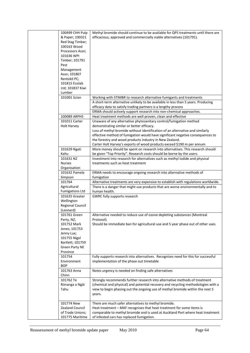| 100499 CHH Pulp            | Methyl bromide should continue to be available for QPS treatments until there are  |
|----------------------------|------------------------------------------------------------------------------------|
| & Paper; 100321            | efficacious, approved and commercially viable alternatives (101791).               |
| Red Stag Timber;           |                                                                                    |
| 100163 Wood                |                                                                                    |
| Processors Assn;           |                                                                                    |
| 101636 WPI                 |                                                                                    |
| Timber; 101791             |                                                                                    |
| Pest                       |                                                                                    |
| Management                 |                                                                                    |
| Assn; 101807               |                                                                                    |
| Rentokil PC;               |                                                                                    |
| 101815 Ecolab              |                                                                                    |
| Ltd; 101837 Kiwi           |                                                                                    |
| Lumber                     |                                                                                    |
| 101001 Scion               | Working with STIMBR to research alternative fumigants and treatments               |
|                            | A short-term alternative unlikely to be available in less than 5 years. Producing  |
|                            | efficacy data to satisfy trading partners is a lengthy process                     |
|                            | ERMA should actively support research into non-chemical approaches.                |
| 100089 ARPHS               | Heat treatment methods are well proven, clean and effective                        |
| 101011 Carter              | Unaware of any alternative phytosanitary control/fumigation method                 |
| Holt Harvey                | demonstrating similar or better efficacy.                                          |
|                            | Loss of methyl bromide without identification of an alternative and similarly      |
|                            | effective method of fumigation would have significant negative consequences to     |
|                            | the forestry and wood products industry in New Zealand.                            |
|                            | Carter Holt Harvey's exports of wood products exceed \$190 m per annum             |
| 101629 Ngati               | More money should be spent on research into alternatives. This research should     |
| Kahu                       | be given "Top Priority". Research costs should be borne by the users.              |
| 101631 NZ                  | Investment into research for alternatives such as methyl iodide and physical       |
| <b>Nurses</b>              | treatments such as heat treatment                                                  |
| Organisation               |                                                                                    |
| 101632 Pamela              | ERMA needs to encourage ongoing research into alternative methods of               |
| Simpson                    | fumigation                                                                         |
| 101764                     | Alternative treatments are very expensive to establish with regulations worldwide. |
| Agricultural               | There is a danger that might use products that are worse environmentally and to    |
| <b>Fumigations Ltd</b>     | human health.                                                                      |
| 101635 Greater             | GWRC fully supports research                                                       |
| Wellington                 |                                                                                    |
| <b>Regional Council</b>    |                                                                                    |
| (Leonard)                  |                                                                                    |
| 101761 Green               | Alternative needed to reduce use of ozone depleting substances (Montreal           |
| Party, NZ;                 | Protocol).                                                                         |
| 101752 Mark                | Should be immediate ban for agricultural use and 5 year phase out of other uses    |
| Jones; 101753              |                                                                                    |
|                            |                                                                                    |
| Jenny Lux;<br>101755 Nigel |                                                                                    |
| Bartlett; 101759           |                                                                                    |
| <b>Green Party NE</b>      |                                                                                    |
| Province                   |                                                                                    |
| 101754                     | Fully supports research into alternatives. Recognises need for this for successful |
| Environment                | implementation of the phase out timetable                                          |
| <b>BOP</b>                 |                                                                                    |
| 101763 Anna                | Notes urgency is needed on finding safe alternatives                               |
| Chinn                      |                                                                                    |
| 101762 Te                  | Strongly recommends further research into alternative methods of treatment         |
| Rūnanga o Ngāi             | (chemical and physical) and potential recovery and recycling methodologies with a  |
| Tahu                       | view to begin phasing out the ongoing use of methyl bromide within the next 5      |
|                            | years.                                                                             |
|                            |                                                                                    |
| 101774 New                 | There are much safer alternatives to methyl bromide.                               |
| <b>Zealand Council</b>     | Heat treatment - MAF recognises that heat treatment for some items is              |
| of Trade Unions;           | comparable to methyl bromide and is used at Auckland Port where heat treatment     |
| 101775 Maritime            | of infested cars has replaced fumigation.                                          |
|                            |                                                                                    |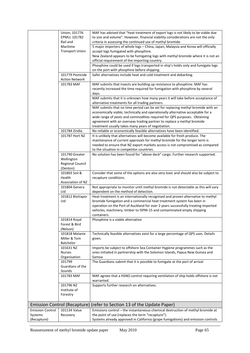|                         | Union; 101776                             | MAF has advised that "heat treatment of export logs is not likely to be viable due                                                                          |
|-------------------------|-------------------------------------------|-------------------------------------------------------------------------------------------------------------------------------------------------------------|
|                         | EPMU; 101782                              | to size and volume". However, financial viability considerations are not the only                                                                           |
|                         | Rail and<br>Maritime                      | criteria in assessing the continued use of methyl bromide.<br>5 major importers of whole logs - China, Japan, Malaysia and Korea will officially            |
|                         | <b>Transport Union</b>                    | accept logs fumigated with phosphine.                                                                                                                       |
|                         |                                           | New Zealand appears to be fumigating logs with methyl bromide where it is not an                                                                            |
|                         |                                           | official requirement of the importing country.                                                                                                              |
|                         |                                           | Phosphine could be used if logs transported in ship's holds only and fumigate logs                                                                          |
|                         |                                           | on the port with phosphine before shipping.                                                                                                                 |
|                         | 101779 Pesticide<br><b>Action Network</b> | Safer alternatives include heat and cold treatment and debarking.                                                                                           |
|                         | 101783 MAF                                | MAF submits that insects are building up resistance to phosphine. MAF has                                                                                   |
|                         |                                           | recently increased the time required for fumigation with phosphine by several                                                                               |
|                         |                                           | days.                                                                                                                                                       |
|                         |                                           | MAF submits that it is unknown how many years it will take before acceptance of<br>alternative treatments for all trading partners.                         |
|                         |                                           | MAF submits that no time period can be set for replacing methyl bromide with an                                                                             |
|                         |                                           | economically viable, technically and operationally alternative acceptable for a                                                                             |
|                         |                                           | wide range of pests and commodities required for QPS purposes. Obtaining                                                                                    |
|                         |                                           | agreement with an overseas trading partner to replace a methyl bromide<br>treatment usually takes many years of negotiation.                                |
|                         | 101784 Zindia                             | No reliable or economically feasible alternatives have been identified.                                                                                     |
|                         | 101787 Hort NZ                            | It is unlikely that alternatives will become available for fresh produce. The                                                                               |
|                         |                                           | maintenance of current approvals for methyl bromide for the longer term is                                                                                  |
|                         |                                           | needed to ensure that NZ export markets access is not compromised as compared                                                                               |
|                         |                                           | to the situation in competitor countries.                                                                                                                   |
|                         | 101790 Greater                            | No solution has been found for "above deck" cargo. Further research supported.                                                                              |
|                         | Wellington<br>Regional Council            |                                                                                                                                                             |
|                         | (Denton)                                  |                                                                                                                                                             |
|                         | 101803 Soil &                             | Consider that some of the options are also very toxic and should also be subject to                                                                         |
|                         | Health                                    | recapture conditions.                                                                                                                                       |
|                         | Association of NZ                         |                                                                                                                                                             |
|                         | 101804 Genera<br>Ltd                      | Not appropriate to monitor until methyl bromide is not detectable as this will vary                                                                         |
|                         | 101812 BioVapor                           | dependent on the method of detection.<br>Heat treatment is an internationally recognised and proven alternative to methyl                                   |
|                         | Ltd                                       | bromide fumigation and a commercial heat treatment system has been in                                                                                       |
|                         |                                           | operation on the Port of Auckland for over 2 years successfully treating imported                                                                           |
|                         |                                           | vehicles, machinery, timber to ISPM-15 and contaminated empty shipping                                                                                      |
|                         |                                           | containers.                                                                                                                                                 |
|                         | 101814 Royal<br>Forest & Bird             | Phosphine is a viable alternative                                                                                                                           |
|                         | (Nelson)                                  |                                                                                                                                                             |
|                         | 101818 Melanie                            | Technically feasible alternatives exist for a large percentage of QPS uses. Details                                                                         |
|                         | Miller & Tom                              | given.                                                                                                                                                      |
|                         | Batchelor                                 |                                                                                                                                                             |
|                         | 101631 NZ<br><b>Nurses</b>                | Imports be subject to offshore Sea Container Hygiene programmes such as the<br>ones initiated in partnership with the Solomon Islands, Papua New Guinea and |
|                         | Organisation                              | Samoa                                                                                                                                                       |
|                         | 101799                                    | The Guardians submit that it is possible to fumigate at the port of arrival                                                                                 |
|                         | Guardians of the                          |                                                                                                                                                             |
|                         | Sounds                                    |                                                                                                                                                             |
|                         | 101783 MAF                                | MAF agrees that a HSNO control requiring ventilation of ship holds offshore is not<br>warranted.                                                            |
|                         | 101796 NZ                                 | Supports further research on alternatives.                                                                                                                  |
|                         | Institute of                              |                                                                                                                                                             |
|                         | Forestry                                  |                                                                                                                                                             |
|                         |                                           | Emission Control (Recapture) (refer to Section 13 of the Update Paper)                                                                                      |
| <b>Emission Control</b> | 101134 Value                              | Emissions control - the instantaneous chemical destruction of methyl bromide at                                                                             |
| Systems                 | Recovery                                  | the point of use (replaces the term "recapture").                                                                                                           |
| (Recapture)             |                                           | Systems already approved in California (grape fumigations) and emission controls                                                                            |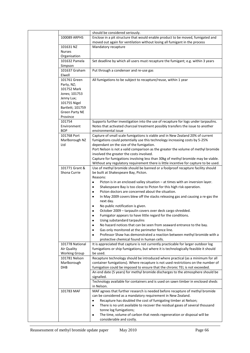|                                                                                                                                                   | should be considered seriously.                                                                                                                                                                                                                                                                                                                                                                                                                                                                                                                                                                                                                                                                                                                                                                                                                                                                                                                               |
|---------------------------------------------------------------------------------------------------------------------------------------------------|---------------------------------------------------------------------------------------------------------------------------------------------------------------------------------------------------------------------------------------------------------------------------------------------------------------------------------------------------------------------------------------------------------------------------------------------------------------------------------------------------------------------------------------------------------------------------------------------------------------------------------------------------------------------------------------------------------------------------------------------------------------------------------------------------------------------------------------------------------------------------------------------------------------------------------------------------------------|
| 100089 ARPHS                                                                                                                                      | Enclose in a pit structure that would enable product to be moved, fumigated and<br>moved out again for ventilation without losing all fumigant in the process                                                                                                                                                                                                                                                                                                                                                                                                                                                                                                                                                                                                                                                                                                                                                                                                 |
| 101631 NZ                                                                                                                                         | Mandatory recapture                                                                                                                                                                                                                                                                                                                                                                                                                                                                                                                                                                                                                                                                                                                                                                                                                                                                                                                                           |
| <b>Nurses</b>                                                                                                                                     |                                                                                                                                                                                                                                                                                                                                                                                                                                                                                                                                                                                                                                                                                                                                                                                                                                                                                                                                                               |
| Organisation<br>101632 Pamela                                                                                                                     | Set deadline by which all users must recapture the fumigant; e.g. within 3 years                                                                                                                                                                                                                                                                                                                                                                                                                                                                                                                                                                                                                                                                                                                                                                                                                                                                              |
| Simpson                                                                                                                                           |                                                                                                                                                                                                                                                                                                                                                                                                                                                                                                                                                                                                                                                                                                                                                                                                                                                                                                                                                               |
| 101637 Graham<br>Elwell                                                                                                                           | Put through a condenser and re-use gas                                                                                                                                                                                                                                                                                                                                                                                                                                                                                                                                                                                                                                                                                                                                                                                                                                                                                                                        |
| 101761 Green<br>Party, NZ;<br>101752 Mark<br>Jones; 101753<br>Jenny Lux;<br>101755 Nigel<br>Bartlett; 101759<br><b>Green Party NE</b><br>Province | All fumigations to be subject to recapture/reuse, within 1 year                                                                                                                                                                                                                                                                                                                                                                                                                                                                                                                                                                                                                                                                                                                                                                                                                                                                                               |
| 101754<br>Environment<br><b>BOP</b>                                                                                                               | Supports further investigation into the use of recapture for logs under tarpaulins.<br>Notes that activated charcoal treatment possibly transfers the issue to another<br>environmental issue                                                                                                                                                                                                                                                                                                                                                                                                                                                                                                                                                                                                                                                                                                                                                                 |
| 101768 Port                                                                                                                                       | Capture of small scale fumigations is viable and in New Zealand 20% of current                                                                                                                                                                                                                                                                                                                                                                                                                                                                                                                                                                                                                                                                                                                                                                                                                                                                                |
| Marlborough NZ<br>Ltd                                                                                                                             | fumigations could potentially use this technology increasing costs by 5-25%<br>dependant on the size of the fumigation.<br>Port Nelson is not a valid comparison as the greater the volume of methyl bromide<br>involved the greater the costs involved.<br>Capture for fumigations involving less than 30kg of methyl bromide may be viable.<br>Without any regulatory requirement there is little incentive for capture to be used.                                                                                                                                                                                                                                                                                                                                                                                                                                                                                                                         |
| 101771 Grant &                                                                                                                                    | Use of methyl bromide should be banned or a foolproof recapture facility should                                                                                                                                                                                                                                                                                                                                                                                                                                                                                                                                                                                                                                                                                                                                                                                                                                                                               |
| Shona Currie<br>101778 National                                                                                                                   | be built at Shakespeare Bay, Picton.<br>Reasons:<br>Picton is in an enclosed valley situation - at times with an inversion layer.<br>٠<br>Shakespeare Bay is too close to Picton for this high risk operation.<br>٠<br>Picton doctors are concerned about the situation.<br>٠<br>In May 2009 covers blew off the stacks releasing gas and causing a re-gas the<br>٠<br>next day.<br>No public notification is given.<br>٠<br>October 2009 - tarpaulin covers over deck cargo shredded.<br>٠<br>Fumigator appears to have little regard for the conditions.<br>٠<br>Using substandard tarpaulins<br>٠<br>No hazard notices that can be seen from seaward entrance to the bay.<br>٠<br>Gas only monitored at the perimeter fence line.<br>٠<br>Professor Shaw has demonstrated a reaction between methyl bromide with a<br>٠<br>protective chemical found in human cells.<br>It is appreciated that capture is not currently practicable for larger outdoor log |
| Air Quality<br><b>Working Group</b>                                                                                                               | fumigations or ship fumigations, but where it is technologically feasible it should<br>be used.                                                                                                                                                                                                                                                                                                                                                                                                                                                                                                                                                                                                                                                                                                                                                                                                                                                               |
| 101781 Nelson<br>Marlborough<br><b>DHB</b>                                                                                                        | Recapture technology should be introduced where practical (as a minimum for all<br>container fumigations). Where recapture is not used restrictions on the number of<br>fumigation could be imposed to ensure that the chronic TEL is not exceeded.                                                                                                                                                                                                                                                                                                                                                                                                                                                                                                                                                                                                                                                                                                           |
|                                                                                                                                                   | An end date (5 years) for methyl bromide discharges to the atmosphere should be<br>signalled.<br>Technology available for containers and is used on sawn timber in enclosed sheds<br>in Nelson.                                                                                                                                                                                                                                                                                                                                                                                                                                                                                                                                                                                                                                                                                                                                                               |
| 101783 MAF                                                                                                                                        | MAF agrees that further research is needed before recapture of methyl bromide<br>can be considered as a mandatory requirement in New Zealand.<br>Recapture has doubled the cost of fumigating timber at Nelson;<br>$\bullet$<br>There is no unit available to recover the residual gases of several thousand<br>٠<br>tonne log fumigations;<br>The time, volume of carbon that needs regeneration or disposal will be<br>٠<br>considerable and costly.                                                                                                                                                                                                                                                                                                                                                                                                                                                                                                        |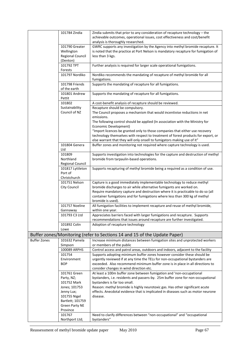|                     | 101784 Zindia                       | Zindia submits that prior to any consideration of recapture technology - the<br>achievable outcomes, operational issues, cost effectiveness and cost/benefit |
|---------------------|-------------------------------------|--------------------------------------------------------------------------------------------------------------------------------------------------------------|
|                     |                                     | analysis is thoroughly researched.                                                                                                                           |
|                     | 101790 Greater                      | GWRC supports any investigation by the Agency into methyl bromide recapture. It                                                                              |
|                     | Wellington                          | is noted that the practice at Port Nelson is mandatory recapture for fumigation of                                                                           |
|                     | <b>Regional Council</b><br>(Denton) | less than 3 kgs.                                                                                                                                             |
|                     | 101792 TPT                          | Further analysis is required for larger scale operational fumigations.                                                                                       |
|                     | Forests                             |                                                                                                                                                              |
|                     | 101797 Nordiko                      | Nordiko recommends the mandating of recapture of methyl bromide for all                                                                                      |
|                     |                                     | fumigations.                                                                                                                                                 |
|                     | 101798 Friends<br>of the earth      | Supports the mandating of recapture for all fumigations.                                                                                                     |
|                     | 101801 Andrew<br>Pettit             | Supports the mandating of recapture for all fumigations.                                                                                                     |
|                     | 101802                              | A cost-benefit analysis of recapture should be reviewed.                                                                                                     |
|                     | Sustainability                      | Recapture should be compulsory.                                                                                                                              |
|                     | Council of NZ                       | The Council proposes a mechanism that would incentivise reductions in net                                                                                    |
|                     |                                     | emissions.                                                                                                                                                   |
|                     |                                     | The following control should be applied (In association with the Ministry for<br>Economic Development)                                                       |
|                     |                                     | "Import licences be granted only to those companies that either use recovery                                                                                 |
|                     |                                     | technology themselves with respect to treatment of forest products for export, or                                                                            |
|                     |                                     | else warrant that they will only onsell to fumigators making use of it"                                                                                      |
|                     | 101804 Genera<br>Ltd                | Buffer zones and monitoring not required where capture technology is used.                                                                                   |
|                     | 101809                              | Supports investigation into technologies for the capture and destruction of methyl                                                                           |
|                     | Northland                           | bromide from tarpaulin-based operations.                                                                                                                     |
|                     | Regional Council                    |                                                                                                                                                              |
|                     | 101817 Lyttleton                    | Supports recapturing of methyl bromide being a required as a condition of use.                                                                               |
|                     | Port of                             |                                                                                                                                                              |
|                     | Christchurch<br>101751 Nelson       | Capture is a good immediately implementable technology to reduce methyl                                                                                      |
|                     | City Council                        | bromide discharges to air while alternative fumigants are worked on.                                                                                         |
|                     |                                     | Require mandatory capture and destruction where it is practicable to do so (all                                                                              |
|                     |                                     | container fumigations and for fumigations where less than 300 kg of methyl<br>bromide is used).                                                              |
|                     | 101757 Noeline<br>Gannaway          | All fumigation facilities to implement recapture and reuse of methyl bromide,<br>within one year.                                                            |
|                     | 101793 C3 Ltd                       | Appreciates barriers faced with larger fumigations and recapture. Supports<br>recommendations that issues around recapture are further investigated.         |
|                     | 101892 Colin<br>Lowe                | Adoption of recapture technology                                                                                                                             |
|                     |                                     | Buffer zones/Monitoring (refer to Sections 14 and 15 of the Update Paper)                                                                                    |
| <b>Buffer Zones</b> | 101632 Pamela                       | Increase minimum distances between fumigation sites and unprotected workers                                                                                  |
|                     | Simpson                             | or members of the public                                                                                                                                     |
|                     | 100089 ARPHS                        | Control access and patrol areas, outdoors and indoors, adjacent to the facility                                                                              |
|                     | 101754                              | Supports adopting minimum buffer zones however consider these should be                                                                                      |
|                     | Environment                         | urgently reviewed if at any time the TELs for non-occupational bystanders are                                                                                |
|                     | <b>BOP</b>                          | exceeded. Also recommend minimum buffer zone is in place in all directions to<br>consider changes in wind direction etc.                                     |
|                     | 101761 Green                        | At least a 100m buffer zone between fumigation and 'non-occupational                                                                                         |
|                     | Party, NZ;                          | bystanders, i.e. residents and passers-by. 25m buffer zone for non-occupational                                                                              |
|                     | 101752 Mark                         | bystanders is far too small.                                                                                                                                 |
|                     | Jones; 101753                       | Reason: methyl bromide is highly neurotoxic gas. Has other significant acute                                                                                 |
|                     | Jenny Lux;                          | effects. Anecdotal evidence that is implicated in diseases such as motor neurone                                                                             |
|                     | 101755 Nigel                        | disease.                                                                                                                                                     |
|                     | Bartlett; 101759                    |                                                                                                                                                              |
|                     | <b>Green Party NE</b><br>Province   |                                                                                                                                                              |
|                     | 101767                              | Need to clarify differences between "non-occupational" and "occupational                                                                                     |
|                     | Northport Ltd;                      | bystanders"                                                                                                                                                  |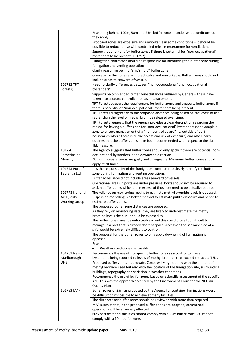|                        | Reasoning behind 100m, 50m and 25m buffer zones - under what conditions do<br>they apply?                                                                            |
|------------------------|----------------------------------------------------------------------------------------------------------------------------------------------------------------------|
|                        | Proposed zones are excessive and unworkable in some conditions - it should be                                                                                        |
|                        | possible to reduce these with controlled release programme for ventilation.                                                                                          |
|                        | Support requirement for buffer zones if there is potential for "non-occupational"                                                                                    |
|                        | bystanders to be present (101792).                                                                                                                                   |
|                        | Fumigation contractor should be responsible for identifying the buffer zone during                                                                                   |
|                        | fumigation and venting operations                                                                                                                                    |
|                        | Clarify reasoning behind "ship's hold" buffer zone                                                                                                                   |
|                        | On-water buffer zones are impracticable and unworkable. Buffer zones should not                                                                                      |
|                        | include areas to seaward of vessels.                                                                                                                                 |
| 101792 TPT<br>Forests; | Need to clarify differences between "non-occupational" and "occupational<br>bystanders"                                                                              |
|                        | Supports recommended buffer zone distances outlined by Genera - these have<br>taken into account controlled release management.                                      |
|                        | TPT Forests support the requirement for buffer zones and supports buffer zones if                                                                                    |
|                        | there is potential of "non-occupational" bystanders being present.                                                                                                   |
|                        | TPT Forests disagrees with the proposed distances being based on the levels of use                                                                                   |
|                        | rather than the level of methyl bromide released over time.                                                                                                          |
|                        | TPT Forests requests that the Agency provides a clear description regarding the                                                                                      |
|                        | reason for having a buffer zone for "non-occupational" bystanders (for example a                                                                                     |
|                        | zone to ensure management of a "non-controlled are" i.e. outside of port                                                                                             |
|                        | boundaries where there is public access and risk of exposure) and also clearly                                                                                       |
|                        | outlines that the buffer zones have been recommended with respect to the dual                                                                                        |
|                        | TEL measure.                                                                                                                                                         |
| 101770                 | The Agency suggests that buffer zones should only apply if there are potential non-                                                                                  |
| Catherine de           | occupational bystanders in the downwind direction.                                                                                                                   |
| Monchy                 | Winds in coastal areas are gusty and changeable. Minimum buffer zones should                                                                                         |
|                        | apply at all times.                                                                                                                                                  |
| 101773 Port of         | It is the responsibility of the fumigation contractor to clearly identify the buffer                                                                                 |
| Tauranga Ltd           | zone during fumigation and venting operations.                                                                                                                       |
|                        |                                                                                                                                                                      |
|                        | Buffer zones should not include areas seaward of vessels                                                                                                             |
|                        | Operational areas in ports are under pressure. Ports should not be required to                                                                                       |
| 101778 National        | assign buffer zones which are in excess of those deemed to be actually required.                                                                                     |
| Air Quality            | The reliance on monitoring results to estimate methyl bromide levels is opposed.<br>Dispersion modelling is a better method to estimate public exposure and hence to |
| <b>Working Group</b>   | estimate buffer zones.                                                                                                                                               |
|                        | The proposed buffer zone distances are opposed.                                                                                                                      |
|                        | As they rely on monitoring data, they are likely to underestimate the methyl                                                                                         |
|                        | bromide levels the public could be exposed to.                                                                                                                       |
|                        | The buffer zones must be enforceable $-$ and this could prove too difficult to                                                                                       |
|                        | manage in a port that is already short of space. Access on the seaward side of a                                                                                     |
|                        | ship would be extremely difficult to control.                                                                                                                        |
|                        | The proposal for the buffer zones to only apply downwind of fumigation is                                                                                            |
|                        | opposed.                                                                                                                                                             |
|                        | Reason:                                                                                                                                                              |
|                        | Weather conditions changeable                                                                                                                                        |
| 101781 Nelson          | Recommends the use of site specific buffer zones as a control to prevent                                                                                             |
| Marlborough            | bystanders being exposed to levels of methyl bromide that exceed the acute TELs.                                                                                     |
| DHB                    | Proposed buffer zones inadequate. Zones will vary not only with the amount of                                                                                        |
|                        | methyl bromide used but also with the location of the fumigation site, surrounding                                                                                   |
|                        | buildings, topography and variation in weather conditions.                                                                                                           |
|                        | Recommends the use of buffer zones based on scientific assessment of the specific                                                                                    |
|                        | site. This was the approach accepted by the Environment Court for the NCC Air                                                                                        |
| 101783 MAF             | Quality Plan.                                                                                                                                                        |
|                        | Buffer zones of 25m as proposed by the Agency for container fumigations would                                                                                        |
|                        | be difficult or impossible to achieve at many facilities.                                                                                                            |
|                        | The distances for buffer zones should be reviewed with more data required.                                                                                           |
|                        | MAF submits that, if the proposed buffer zones are adopted, commercial<br>operations will be adversely affected.                                                     |
|                        | 60% of transitional facilities cannot comply with a 25m buffer zone. 2% cannot                                                                                       |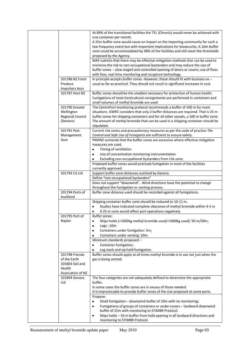|                       | At 89% of the transitional facilities the TEL (Chronic) would never be achieved with |
|-----------------------|--------------------------------------------------------------------------------------|
|                       | one container per month.                                                             |
|                       | A 25m buffer zone would cause an impact on the importing community for such a        |
|                       | low frequency event but with important implications for biosecurity. A 10m buffer    |
|                       | zone could be accommodated by 98% of the facilities and still meet the thresholds    |
|                       | proposed by the Agency.                                                              |
|                       | MAF submits that there may be effective mitigation methods that can be used to       |
|                       | minimise the risk to non-occupational bystanders and may reduce the size of          |
|                       | buffer zones - slow staged and controlled opening of doors or covers; use of flues   |
|                       | with fans, real-time monitoring and recapture technology.                            |
| 101786 NZ Fresh       | In principle accepts buffer zones. However, these should fit with business-as -      |
| Produce               | usual as far as practical. They should not result in significant increases in cost.  |
| <b>Importers Assn</b> |                                                                                      |
| 101787 Hort NZ        | Buffer zones should be the smallest necessary for protection of human health.        |
|                       | Fumigations of most horticultural consignments are performed in containers and       |
|                       | small volumes of methyl bromide are used.                                            |
| 101790 Greater        | The CentrePort monitoring protocol recommends a buffer of 100 m for most             |
| Wellington            | situations. GWRC considers that only 2 buffer distances are required. That is 25 m   |
| Regional Council      | buffer zones for shipping containers and for all other vessels, a 100 m buffer zone. |
| (Denton)              | The amount of methyl bromide that can be used in a shipping container should be      |
|                       | stipulated.                                                                          |
| 101791 Pest           | Current risk zones and precautionary measures as per the code of practice The        |
| Management            | Control and Safe Use of Fumigants are sufficient to ensure safety.                   |
| Assn                  | PMANZ contends that the buffer zones are excessive where effective mitigation        |
|                       |                                                                                      |
|                       | measures are used.                                                                   |
|                       | Timing of ventilation<br>$\bullet$                                                   |
|                       | Use of concentration monitoring instrumentation<br>$\bullet$                         |
|                       | Excluding non-occupational bystanders from risk zone.                                |
|                       | Proposed buffer zones would preclude fumigation in most of the facilities            |
|                       | currently approved.                                                                  |
| 101793 C3 Ltd         | Support buffer zone distances outlined by Genera.                                    |
|                       | Define "non-occupational bystanders"                                                 |
|                       | Does not support "downwind". Wind directions have the potential to change            |
|                       | throughout the fumigation or venting process.                                        |
| 101794 Ports of       | Buffer zone distance used should be recorded against all fumigations.                |
| Auckland              |                                                                                      |
|                       | Shipping container buffer zone should be reduced to 10-11 m.                         |
|                       | Studies have indicated complete clearance of methyl bromide within 4-5 m             |
|                       | A 25 m zone would affect port operations negatively                                  |
| 101795 Port of        | Buffer zones:                                                                        |
| Napier                | Ships holds (>1000kg methyl bromide used/<1000kg used): 50 m/20m;<br>٠               |
|                       | Logs:20m<br>٠                                                                        |
|                       | Containers under fumigation: 5m;<br>٠                                                |
|                       | Containers under venting: 20m.<br>٠                                                  |
|                       | Minimum standards proposed -                                                         |
|                       |                                                                                      |
|                       | Container fumigation;<br>$\bullet$                                                   |
|                       | Log stack and sip hold fumigation.<br>٠                                              |
| 101798 Friends        | Buffer zones should apply at all times methyl bromide is in use not just when the    |
| of the Earth          | gas is being vented.                                                                 |
| 101803 Soil and       |                                                                                      |
| Health                |                                                                                      |
| Association of NZ     |                                                                                      |
| 101804 Genera         | The four categories are not adequately defined to determine the appropriate          |
| Ltd                   | buffer.                                                                              |
|                       | In some cases the buffer zones are in excess of those needed.                        |
|                       | It is impracticable to provide buffer zones of the size proposed at some ports.      |
|                       | Propose:                                                                             |
|                       | Small fumigation - downwind buffer of 10m with no monitoring;                        |
|                       | Fumigations of groups of containers or under covers - landward downwind<br>$\bullet$ |
|                       | buffer of 25m with monitoring to STIMBR Protocol.                                    |
|                       | Ships holds - 50 m buffer from hold opening in all landward directions and<br>٠      |
|                       | monitoring to STIMBR Protocol.                                                       |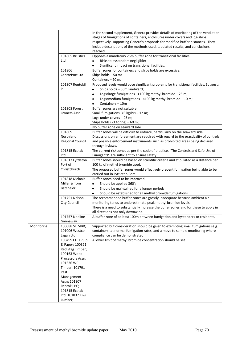|            |                                                                                                                                                 | In the second supplement, Genera provides details of monitoring of the ventilation<br>stages of fumigations of containers, enclosures under covers and log-ships<br>respectively, supporting Genera's proposals for modified buffer distances. They<br>include descriptions of the methods used, tabulated results, and conclusions<br>reached. |
|------------|-------------------------------------------------------------------------------------------------------------------------------------------------|-------------------------------------------------------------------------------------------------------------------------------------------------------------------------------------------------------------------------------------------------------------------------------------------------------------------------------------------------|
|            | 101805 Brustics<br>Ltd                                                                                                                          | Opposes a mandatory 25m buffer zone for transitional facilities.<br>Risks to bystanders negligible;<br>$\bullet$<br>Significant impact on transitional facilities.<br>$\bullet$                                                                                                                                                                 |
|            | 101806<br>CentrePort Ltd                                                                                                                        | Buffer zones for containers and ships holds are excessive.<br>Ships holds - 50 m;<br>Containers - 20 m.                                                                                                                                                                                                                                         |
|            | 101807 Rentokil<br>PC                                                                                                                           | Proposed levels would pose significant problems for transitional facilities. Suggest:<br>Ships holds - 50m landward;<br>٠<br>Logs/large fumigations - >100 kg methyl bromide - 25 m;<br>$\bullet$<br>Logs/medium fumigations - < 100 kg methyl bromide $-10$ m;<br>$\bullet$<br>Containers - 10m<br>٠                                           |
|            | 101808 Forest<br>Owners Assn                                                                                                                    | Buffer zones are not suitable.<br>Small fumigations (<8 kg/hr) $-12$ m;<br>Logs under covers - 25 m;<br>Ships holds ( $>1$ tonne) – 60 m;<br>No buffer zone on seaward side                                                                                                                                                                     |
|            | 101809<br>Northland<br>Regional Council                                                                                                         | Buffer zones will be difficult to enforce, particularly on the seaward side.<br>Discussions on enforcement are required with regard to the practicality of controls<br>and possible enforcement instruments such as prohibited areas being declared<br>through bylaws.                                                                          |
|            | 101815 Ecolab<br>Ltd<br>101817 Lyttleton                                                                                                        | The current risk zones as per the code of practice, "The Controls and Safe Use of<br>Fumigants" are sufficient to ensure safety.<br>Buffer zones should be based on scientific criteria and stipulated as a distance per                                                                                                                        |
|            | Port of<br>Christchurch                                                                                                                         | 100 kg of methyl bromide used.<br>The proposed buffer zones would effectively prevent fumigation being able to be                                                                                                                                                                                                                               |
|            | 101818 Melanie<br>Miller & Tom<br><b>Batchelor</b>                                                                                              | carried out in Lyttleton Port.<br>Buffer zones need to be improved:<br>Should be applied 360°;<br>٠<br>Should be maintained for a longer period;<br>٠<br>Should be established for all methyl bromide fumigations.<br>٠                                                                                                                         |
|            | 101751 Nelson<br>City Council                                                                                                                   | The recommended buffer zones are grossly inadequate because ambient air<br>monitoring tends to underestimate peak methyl bromide levels.<br>There is a need to substantially increase the buffer zones and for these to apply in<br>all directions not only downwind.                                                                           |
|            | 101757 Noeline<br>Gannaway                                                                                                                      | A buffer zone of at least 100m between fumigation and bystanders or residents.                                                                                                                                                                                                                                                                  |
| Monitoring | 100088 STIMBR;<br>101006 Westco<br>Lagan Ltd;                                                                                                   | Supported but consideration should be given to exempting small fumigations (e.g.<br>containers) at normal fumigation rates, and a move to sample monitoring where<br>compliance can be demonstrated                                                                                                                                             |
|            | 100499 CHH Pulp<br>& Paper; 100321<br>Red Stag Timber;<br>100163 Wood<br>Processors Assn;<br>101636 WPI<br>Timber; 101791<br>Pest<br>Management | A lower limit of methyl bromide concentration should be set                                                                                                                                                                                                                                                                                     |
|            | Assn; 101807<br>Rentokil PC;<br>101815 Ecolab<br>Ltd; 101837 Kiwi<br>Lumber;                                                                    |                                                                                                                                                                                                                                                                                                                                                 |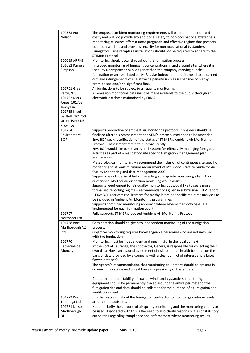| 100553 Port<br>Nelson                                                                                                                             | The proposed ambient monitoring requirements will be both impractical and<br>costly and will not provide any additional safety to non-occupational bystanders.<br>Monitoring at source offers a more pragmatic and effective regime that protects<br>both port workers and provides security for non-occupational bystanders.<br>Fumigators using recapture installations should not be required to adhere to the<br><b>STIMBR Protocol</b>                                                                                                                                                                                                                                                                                                                                                                                                                                                                                                                                                                                                                                                                                                                                                                                                                                              |
|---------------------------------------------------------------------------------------------------------------------------------------------------|------------------------------------------------------------------------------------------------------------------------------------------------------------------------------------------------------------------------------------------------------------------------------------------------------------------------------------------------------------------------------------------------------------------------------------------------------------------------------------------------------------------------------------------------------------------------------------------------------------------------------------------------------------------------------------------------------------------------------------------------------------------------------------------------------------------------------------------------------------------------------------------------------------------------------------------------------------------------------------------------------------------------------------------------------------------------------------------------------------------------------------------------------------------------------------------------------------------------------------------------------------------------------------------|
| 100089 ARPHS<br>101632 Pamela<br>Simpson                                                                                                          | Monitoring should occur throughout the fumigation process.<br>Improved monitoring of fumigant concentrations in and around sites where it is<br>used, by a company or public agency than the company carrying out the<br>fumigation or an associated party. Regular independent audits need to be carried<br>out, and infringements of use attract a penalty such as suspension of methyl<br>bromide use and/or a significant fine.                                                                                                                                                                                                                                                                                                                                                                                                                                                                                                                                                                                                                                                                                                                                                                                                                                                      |
| 101761 Green<br>Party, NZ;<br>101752 Mark<br>Jones; 101753<br>Jenny Lux;<br>101755 Nigel<br>Bartlett; 101759<br><b>Green Party NE</b><br>Province | All fumigations to be subject to air quality monitoring.<br>All emission monitoring data must be made available to the public through an<br>electronic database maintained by ERMA                                                                                                                                                                                                                                                                                                                                                                                                                                                                                                                                                                                                                                                                                                                                                                                                                                                                                                                                                                                                                                                                                                       |
| 101754<br>Environment<br><b>BOP</b>                                                                                                               | Supports production of ambient air monitoring protocol. Considers should be<br>finalised after this reassessment and SKM's protocol may need to be amended.<br>Envt BOP seeks clarification of the status of STIMBR's Ambient Air Monitoring<br>Protocol - assessment refers to it inconsistently.<br>Envt BOP would like to see an overall system for effectively managing fumigation<br>activities as part of a mandatory site specific fumigation management plan<br>requirement.<br>Meteorological monitoring $-$ recommend the inclusion of continuous site specific<br>monitoring to at least minimum requirement of MfE Good Practice Guide for Air<br>Quality Monitoring and data management 2009.<br>Supports use of specialist help in selecting appropriate monitoring sites. Also<br>questioned whether air dispersion modelling would assist?<br>Supports requirement for air quality monitoring but would like to see a more<br>formalised reporting regime - recommendations given in submission. SKM report<br>- Envt BOP requests requirement for methyl bromide specific real time analyses to<br>be included in Ambient Air Monitoring programmes.<br>Supports combined monitoring approach where several methodologies are<br>implemented for each fumigation event. |
| 101767<br>Northport Ltd<br>101768 Port<br>Marlborough NZ<br>Ltd                                                                                   | Fully supports STIMBR proposed Ambient Air Monitoring Protocol<br>Consideration should be given to independent monitoring of the fumigation<br>process.<br>Objective monitoring requires knowledgeable personnel who are not involved                                                                                                                                                                                                                                                                                                                                                                                                                                                                                                                                                                                                                                                                                                                                                                                                                                                                                                                                                                                                                                                    |
| 101770<br>Catherine de<br>Monchy                                                                                                                  | with the fumigation.<br>Monitoring must be independent and meaningful in the local context.<br>At the Port of Tauranga, the contractor, Genera, is responsible for collecting their<br>own data. How can a sound assessment of risk to human health be made on the<br>basis of data provided by a company with a clear conflict of interest and a known<br>flawed data set?<br>The Agency's recommendation that monitoring equipment should be present in<br>downwind locations and only if there is a possibility of bystanders.                                                                                                                                                                                                                                                                                                                                                                                                                                                                                                                                                                                                                                                                                                                                                        |
| 101773 Port of                                                                                                                                    | Due to the unpredictability of coastal winds and bystanders, monitoring<br>equipment should be permanently placed around the entire perimeter of the<br>fumigation site and data should be collected for the duration of a fumigation and<br>ventilation event.<br>It is the responsibility of the fumigation contractor to monitor gas release levels                                                                                                                                                                                                                                                                                                                                                                                                                                                                                                                                                                                                                                                                                                                                                                                                                                                                                                                                   |
| Tauranga Ltd<br>101781 Nelson<br>Marlborough<br>DHB                                                                                               | around their activities.<br>Need to clarify the purpose of air quality monitoring and the monitoring data is to<br>be used. Associated with this is the need to also clarify responsibilities of statutory<br>authorities regarding compliance and enforcement where monitoring results                                                                                                                                                                                                                                                                                                                                                                                                                                                                                                                                                                                                                                                                                                                                                                                                                                                                                                                                                                                                  |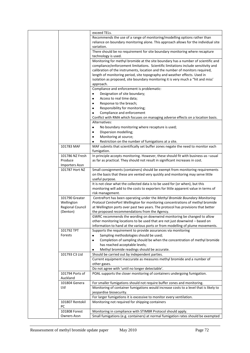|                         | exceed TELs.                                                                           |
|-------------------------|----------------------------------------------------------------------------------------|
|                         | Recommends the use of a range of monitoring/modelling options rather than              |
|                         | reliance on boundary monitoring alone. This approach allows for the individual site    |
|                         | variation.                                                                             |
|                         | There should be no requirement for site boundary monitoring where recapture            |
|                         | technology is used.                                                                    |
|                         | Monitoring for methyl bromide at the site boundary has a number of scientific and      |
|                         | compliance/enforcement limitations. Scientific limitations include sensitivity and     |
|                         | calibration of the instruments, location and the number of monitors required,          |
|                         | length of monitoring period, site topography and weather effects. Used in              |
|                         | isolation as proposed, site boundary monitoring it is very much a "hit and miss"       |
|                         | approach.                                                                              |
|                         | Compliance and enforcement is problematic:                                             |
|                         | Designation of site boundary;                                                          |
|                         | Access to real time data;<br>٠                                                         |
|                         | Response to the breach;<br>٠                                                           |
|                         | Responsibility for monitoring;<br>٠                                                    |
|                         | Compliance and enforcement                                                             |
|                         | Conflict with RMA which focuses on managing adverse effects on a location basis.       |
|                         | Alternatives:                                                                          |
|                         | No boundary monitoring where recapture is used;<br>$\bullet$                           |
|                         | Dispersion modelling;<br>٠                                                             |
|                         | Monitoring at source;<br>٠                                                             |
|                         | Restriction on the number of fumigations at a site.<br>٠                               |
| 101783 MAF              | MAF submits that scientifically set buffer zones negate the need to monitor each       |
|                         | fumigation.                                                                            |
| 101786 NZ Fresh         | In principle accepts monitoring. However, these should fit with business-as -usual     |
| Produce                 | as far as practical. They should not result in significant increases in cost.          |
| <b>Importers Assn</b>   |                                                                                        |
| 101787 Hort NZ          | Small consignments (containers) should be exempt from monitoring requirements          |
|                         | on the basis that these are vented very quickly and monitoring may serve little        |
|                         | useful purpose.                                                                        |
|                         | It is not clear what the collected data is to be used for (or when), but this          |
|                         | monitoring will add to the costs to exporters for little apparent value in terms of    |
|                         | risk management.                                                                       |
| 101790 Greater          | CentrePort has been operating under the Methyl Bromide Boundary Monitoring             |
| Wellington              | Protocol CentrePort Wellington for monitoring concentrations of methyl bromide         |
| <b>Regional Council</b> | at Wellington ports over past two years. The protocol has provisions that better       |
| (Denton)                | the proposed recommendations from the Agency.                                          |
|                         | GWRC recommends the wording on downwind monitoring be changed to allow                 |
|                         | other monitoring locations to be used that are not just downwind - based on            |
|                         | information to hand at the various ports or from modelling of plume movements.         |
| 101792 TPT              | Supports the requirement to provide assurances via monitoring                          |
| Forests                 | Sampling methodologies should be used;                                                 |
|                         | Completion of sampling should be when the concentration of methyl bromide<br>$\bullet$ |
|                         | has reached acceptable levels;                                                         |
|                         | Methyl bromide readings should be accurate.<br>٠                                       |
| 101793 C3 Ltd           | Should be carried out by independent parties.                                          |
|                         | Current equipment inaccurate as measures methyl bromide and a number of                |
|                         | other gases.                                                                           |
|                         | Do not agree with 'until no longer detectable'.                                        |
| 101794 Ports of         | POAL supports the closer monitoring of containers undergoing fumigation.               |
| Auckland                |                                                                                        |
| 101804 Genera           | For smaller fumigations should not require buffer zones and monitoring.                |
| Ltd                     | Monitoring of container fumigations would increase costs to a level that is likely to  |
|                         | jeopardise biosecurity.                                                                |
|                         | For larger fumigations it is excessive to monitor every ventilation.                   |
| 101807 Rentokil         | Monitoring not required for shipping containers                                        |
| PC                      |                                                                                        |
| 101808 Forest           | Monitoring in compliance with STIMBR Protocol should apply.                            |
| Owners Assn             | Small fumigations (e.g. containers) at normal fumigation rates should be exempted      |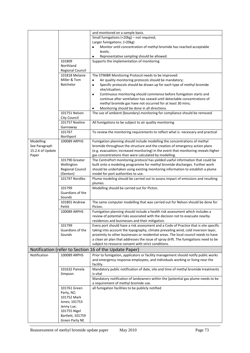|                  |                                    | and monitored on a sample basis.                                                                              |
|------------------|------------------------------------|---------------------------------------------------------------------------------------------------------------|
|                  |                                    | Small fumigations (<20kg) - not required;                                                                     |
|                  |                                    | Larger fumigations: (>20kg)                                                                                   |
|                  |                                    | Monitor until concentration of methyl bromide has reached acceptable<br>$\bullet$                             |
|                  |                                    | levels;                                                                                                       |
|                  |                                    | Representative sampling should be allowed.<br>٠                                                               |
|                  | 101809                             | Supports the implementation of monitoring                                                                     |
|                  | Northland                          |                                                                                                               |
|                  | Regional Council<br>101818 Melanie | The STIMBR Monitoring Protocol needs to be improved:                                                          |
|                  | Miller & Tom                       | Air quality monitoring protocols should be mandatory;<br>٠                                                    |
|                  | <b>Batchelor</b>                   | Specific protocols should be drawn up for each type of methyl bromide<br>$\bullet$                            |
|                  |                                    | site/situation;                                                                                               |
|                  |                                    | Continuous monitoring should commence before fumigation starts and<br>$\bullet$                               |
|                  |                                    | continue after ventilation has ceased until detectable concentrations of                                      |
|                  |                                    | methyl bromide gas have not occurred for at least 30 mins;                                                    |
|                  |                                    | Monitoring should be done in all directions.<br>٠                                                             |
|                  | 101751 Nelson                      | The use of ambient (boundary) monitoring for compliance should be removed                                     |
|                  | City Council                       |                                                                                                               |
|                  | 101757 Noeline                     | All fumigations to be subject to air quality monitoring                                                       |
|                  | Gannaway                           |                                                                                                               |
|                  | 101767                             | To review the monitoring requirements to reflect what is necessary and practical                              |
| Modelling        | Northport<br>100089 ARPHS          | Fumigation planning should include modelling the concentrations of methyl                                     |
| See Paragraph    |                                    | bromide throughout the structure and the creation of emergency action plans                                   |
| 15.2.6 of Update |                                    | (e.g. evacuation; increased monitoring) in the event that monitoring reveals higher                           |
| Paper            |                                    | gas concentrations than were calculated by modelling.                                                         |
|                  | 101790 Greater                     | The CentrePort monitoring protocol has yielded useful information that could be                               |
|                  | Wellington                         | built onto a modeling programme for methyl bromide discharges. Further work                                   |
|                  | <b>Regional Council</b>            | should be undertaken using existing monitoring information to establish a plume                               |
|                  | (Denton)                           | model for port authorities to use.                                                                            |
|                  | 101797 Nordiko                     | Plume modeling should be carried out to assess impact of emissions and resulting                              |
|                  |                                    | plumes.                                                                                                       |
|                  | 101799                             | Modelling should be carried out for Picton.                                                                   |
|                  | Guardians of the<br>Sounds         |                                                                                                               |
|                  | 101801 Andrew                      | The same computer modelling that was carried out for Nelson should be done for                                |
|                  | Pettit                             | Picton.                                                                                                       |
|                  | 100089 ARPHS                       | Fumigation planning should include a health risk assessment which includes a                                  |
|                  |                                    | review of potential risks associated with the decision not to evacuate nearby                                 |
|                  |                                    | residences and businesses and their mitigation.                                                               |
|                  | 101799                             | Every port should have a risk assessment and a Code of Practice that is site specific                         |
|                  | Guardians of the                   | taking into account the topography, climate prevailing wind, cold inversion layer,                            |
|                  | Sounds                             | proximity to other businesses or residential areas. The local council needs to have                           |
|                  |                                    | a clean air plan that addresses the issue of spray drift. The fumigations need to be                          |
|                  |                                    | subject to resource consent with strict conditions.<br>Notification (refer to Section 16 of the Update Paper) |
| Notification     | 100089 ARPHS                       | Prior to fumigation, applicators or facility management should notify public works                            |
|                  |                                    | and emergency response employees, and individuals working or living near the                                  |
|                  |                                    | facility                                                                                                      |
|                  | 101632 Pamela                      | Mandatory public notification of date, site and time of methyl bromide treatments                             |
|                  | Simpson                            | is vital                                                                                                      |
|                  |                                    | Mandatory notification of landowners within the [potential gas plume needs to be                              |
|                  |                                    | a requirement of methyl bromide use.                                                                          |
|                  | 101761 Green                       | all fumigation facilities to be publicly notified                                                             |
|                  | Party, NZ;                         |                                                                                                               |
|                  | 101752 Mark                        |                                                                                                               |
|                  | Jones; 101753                      |                                                                                                               |
|                  | Jenny Lux;<br>101755 Nigel         |                                                                                                               |
|                  | Bartlett; 101759                   |                                                                                                               |
|                  | Green Party NE                     |                                                                                                               |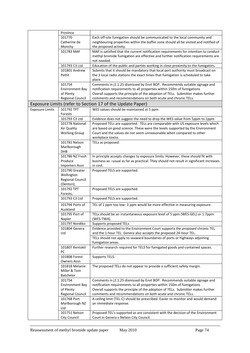|                        | Province               |                                                                                         |
|------------------------|------------------------|-----------------------------------------------------------------------------------------|
|                        | 101770                 | Each off-site fumigation should be communicated to the local community and              |
|                        | Catherine de           | neighbouring properties within the buffer zone should all be visited and notified of    |
|                        | Monchy                 | the proposed activity.                                                                  |
|                        | 101783 MAF             | MAF is satisfied that the current notification requirements for intention to conduct    |
|                        |                        | methyl bromide fumigation are effective and further notification requirements are       |
|                        |                        | not needed.                                                                             |
|                        | 101793 C3 Ltd          | Education of the public and parties working in close proximity to the fumigators.       |
|                        | 101801 Andrew          | Submits that it should be mandatory that local port authority must broadcast on         |
|                        | Pettit                 | the 3 local radio stations the exact times that fumigation is scheduled to take         |
|                        |                        | place.                                                                                  |
|                        | 101754                 | Comments in j1.1.25 dismissed by Envt BOP. Recommends suitable signage and              |
|                        | <b>Environment Bay</b> | notification requirements to all properties within 150m of fumigations                  |
|                        | of Plenty              | Overall supports the principle of the adoption of TELs. Submitter makes further         |
|                        | Regional Council       | comments and recommendations on both acute and chronic TELs.                            |
|                        |                        | Exposure Limits (refer to Section 17 of the Update Paper)                               |
|                        |                        |                                                                                         |
| <b>Exposure Limits</b> | 101792 TPT             | WES values should be maintained at 5 ppm                                                |
|                        | Forests                |                                                                                         |
|                        | 101793 C3 Ltd          | Evidence does not suggest the need to drop the WES value from 5ppm to 1ppm              |
|                        | 101778 National        | Proposed TELs are supported. TELs are comparable with US exposure levels which          |
|                        | Air Quality            | are based on good science. These were the levels supported by the Environment           |
|                        | <b>Working Group</b>   | Court and the values do not seem unreasonable when compared to other                    |
|                        |                        | workplace toxins.                                                                       |
|                        | 101781 Nelson          | TELs as proposed.                                                                       |
|                        | Marlborough            |                                                                                         |
|                        | <b>DHB</b>             |                                                                                         |
|                        | 101786 NZ Fresh        | In principle accepts changes to exposure limits. However, these should fit with         |
|                        | Produce                | business-as -usual as far as practical. They should not result in significant increases |
|                        | <b>Importers Assn</b>  | in cost.                                                                                |
|                        | 101790 Greater         | Proposed TELS are supported.                                                            |
|                        | Wellington             |                                                                                         |
|                        | Regional Council       |                                                                                         |
|                        | (Denton);              |                                                                                         |
|                        | 101792 TPT             | Proposed TELS are supported.                                                            |
|                        | Forests;               |                                                                                         |
|                        | 101793 C3 Ltd          | Proposed TELS are supported.                                                            |
|                        | 101794 Ports of        | TEL of 1 ppm too low- 3 ppm would be more effective in measuring exposure.              |
|                        | Auckland               |                                                                                         |
|                        | 101795 Port of         | TELs should be an instantaneous exposure level of 5 ppm (WES-GEL) or 1.7ppm             |
|                        | Napier                 | (WES-TWA).                                                                              |
|                        | 101797 Nordiko         | Supports proposed TELs                                                                  |
|                        | 101804 Genera          | Evidence provided to the Environment Court supports the proposed chronic TEL            |
|                        | Ltd                    | and the 1-hour TEL. Genera also accepts the proposed 24-hour TEL.                       |
|                        |                        | TELs should not apply to seaward boundaries of ports or highways adjoining              |
|                        |                        | fumigation areas.                                                                       |
|                        | 101807 Rentokil        | Further research required for TELS for fumigated goods and contained spaces.            |
|                        | PC                     |                                                                                         |
|                        | 101808 Forest          | Supports TELS.                                                                          |
|                        | <b>Owners Assn</b>     |                                                                                         |
|                        | 101818 Melanie         | The proposed TELs do not appear to provide a sufficient safety margin.                  |
|                        | Miller & Tom           |                                                                                         |
|                        | <b>Batchelor</b>       |                                                                                         |
|                        | 101754                 | Comments in j1.1.25 dismissed by Envt BOP. Recommends suitable signage and              |
|                        | <b>Environment Bay</b> | notification requirements to all properties within 150m of fumigations                  |
|                        | of Plenty              | Overall supports the principle of the adoption of TELs. Submitter makes further         |
|                        | Regional Council       | comments and recommendations on both acute and chronic TELs.                            |
|                        | 101768 Port            | A ceiling limit (TEL-C) should be prescribed. Easier to monitor and would demand        |
|                        | Marlborough NZ         | an immediate response.                                                                  |
|                        | Ltd                    |                                                                                         |
|                        | 101751 Nelson          | Proposed TEL's supported as are consistent with the decision of the Environment         |
|                        | City Council           | Court in Genera v Nelson City Council.                                                  |
|                        |                        |                                                                                         |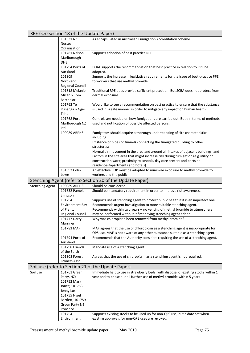| RPE (see section 18 of the Update Paper) |                              |                                                                                                                                                                      |  |  |
|------------------------------------------|------------------------------|----------------------------------------------------------------------------------------------------------------------------------------------------------------------|--|--|
|                                          | 101631 NZ                    | As encapsulated in Australian Fumigation Accreditation Scheme                                                                                                        |  |  |
|                                          | <b>Nurses</b>                |                                                                                                                                                                      |  |  |
|                                          | Organisation                 |                                                                                                                                                                      |  |  |
|                                          | 101781 Nelson<br>Marlborough | Supports adoption of best practice RPE                                                                                                                               |  |  |
|                                          | <b>DHB</b>                   |                                                                                                                                                                      |  |  |
|                                          | 101794 Ports of              | POAL supports the recommendation that best practice in relation to RPE be                                                                                            |  |  |
|                                          | Auckland                     | adopted.                                                                                                                                                             |  |  |
|                                          | 101809                       | Supports the increase in legislative requirements for the issue of best-practice PPE                                                                                 |  |  |
|                                          | Northland                    | to workers that use methyl bromide.                                                                                                                                  |  |  |
|                                          | Regional Council             |                                                                                                                                                                      |  |  |
|                                          | 101818 Melanie               | Traditional RPE does provide sufficient protection. But SCBA does not protect from                                                                                   |  |  |
|                                          | Miller & Tom                 | dermal exposure.                                                                                                                                                     |  |  |
|                                          | <b>Batchelor</b>             |                                                                                                                                                                      |  |  |
|                                          | 101762 Te                    | Would like to see a recommendation on best practice to ensure that the substance                                                                                     |  |  |
|                                          | Rūnanga o Ngāi<br>Tahu       | is used in a safe manner in order to mitigate any impact on human health                                                                                             |  |  |
|                                          | 101768 Port                  | Controls are needed on how fumigations are carried out. Both in terms of methods                                                                                     |  |  |
|                                          | Marlborough NZ               | used and notification of possible affected persons.                                                                                                                  |  |  |
|                                          | Ltd                          |                                                                                                                                                                      |  |  |
|                                          | 100089 ARPHS                 | Fumigators should acquire a thorough understanding of site characteristics<br>including:                                                                             |  |  |
|                                          |                              | Existence of pipes or tunnels connecting the fumigated building to other                                                                                             |  |  |
|                                          |                              | structures;                                                                                                                                                          |  |  |
|                                          |                              | Normal air movement in the area and around air intakes of adjacent buildings; and                                                                                    |  |  |
|                                          |                              | Factors in the site area that might increase risk during fumigation (e.g utility or                                                                                  |  |  |
|                                          |                              | construction work; proximity to schools, day care centers and portside                                                                                               |  |  |
|                                          |                              | residences/apartments and hotels).                                                                                                                                   |  |  |
|                                          | 101892 Colin                 | An effective COP must be adopted to minimize exposure to methyl bromide to                                                                                           |  |  |
| workers and the public.<br>Lowe          |                              |                                                                                                                                                                      |  |  |
|                                          |                              |                                                                                                                                                                      |  |  |
|                                          |                              | Stenching Agent (refer to Section 20 of the Update Paper)                                                                                                            |  |  |
| <b>Stenching Agent</b>                   | 100089 ARPHS                 | Should be considered                                                                                                                                                 |  |  |
|                                          | 101632 Pamela<br>Simpson     | Should be mandatory requirement in order to improve risk awareness.                                                                                                  |  |  |
|                                          | 101754                       | Supports use of stenching agent to protect public health if it is an imperfect one.                                                                                  |  |  |
|                                          | <b>Environment Bay</b>       | Recommends urgent investigation to more suitable stenching agent.                                                                                                    |  |  |
|                                          | of Plenty                    | Recommends within two years - no venting of methyl bromide to atmosphere                                                                                             |  |  |
|                                          | <b>Regional Council</b>      | may be performed without it first having stenching agent added                                                                                                       |  |  |
|                                          | 101777 Darryl                | Why was chloropicrin been removed from methyl bromide?                                                                                                               |  |  |
|                                          | Marriner                     |                                                                                                                                                                      |  |  |
|                                          | 101783 MAF                   | MAF agrees that the use of chloropicrin as a stenching agent is inappropriate for<br>QPS use. MAF is not aware of any other substance suitable as a stenching agent. |  |  |
|                                          | 101794 Ports of              | Recommends that the Authority considers requiring the use of a stenching agent.                                                                                      |  |  |
|                                          | Auckland                     |                                                                                                                                                                      |  |  |
|                                          | 101798 Friends               | Mandate use of a stenching agent.                                                                                                                                    |  |  |
|                                          | of the Earth                 |                                                                                                                                                                      |  |  |
|                                          | 101808 Forest                | Agrees that the use of chloropicrin as a stenching agent is not required.                                                                                            |  |  |
|                                          | <b>Owners Assn</b>           |                                                                                                                                                                      |  |  |
|                                          |                              | Soil use (refer to Section 21 of the Update Paper)                                                                                                                   |  |  |
| Soil use                                 | 101761 Green                 | Immediate halt to use in strawberry beds, with disposal of existing stocks within 1                                                                                  |  |  |
|                                          | Party, NZ;                   | year and to phase out all further use of methyl bromide within 5 years                                                                                               |  |  |
|                                          | 101752 Mark<br>Jones; 101753 |                                                                                                                                                                      |  |  |
|                                          | Jenny Lux;                   |                                                                                                                                                                      |  |  |
|                                          | 101755 Nigel                 |                                                                                                                                                                      |  |  |
|                                          | Bartlett; 101759             |                                                                                                                                                                      |  |  |
|                                          | Green Party NE               |                                                                                                                                                                      |  |  |
|                                          | Province                     |                                                                                                                                                                      |  |  |
|                                          | 101754<br>Environment        | Supports existing stocks to be used up for non-QPS use, but a date set when<br>existing approvals for non-QPS uses are revoked.                                      |  |  |